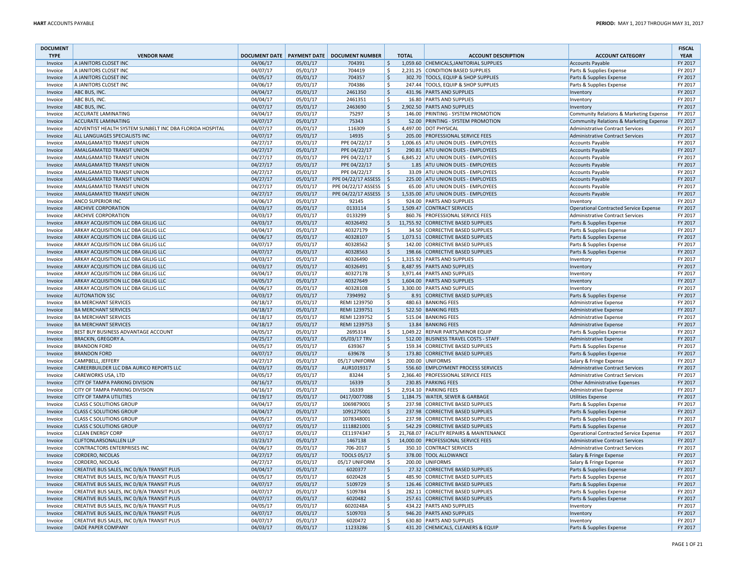| <b>DOCUMENT</b><br><b>TYPE</b> | <b>VENDOR NAME</b>                                       | <b>DOCUMENT DATE</b> |          | <b>PAYMENT DATE   DOCUMENT NUMBER</b> |                     | <b>TOTAL</b> | <b>ACCOUNT DESCRIPTION</b>               | <b>ACCOUNT CATEGORY</b>                 | <b>FISCAL</b><br><b>YEAR</b> |
|--------------------------------|----------------------------------------------------------|----------------------|----------|---------------------------------------|---------------------|--------------|------------------------------------------|-----------------------------------------|------------------------------|
| Invoice                        | A JANITORS CLOSET INC                                    | 04/06/17             | 05/01/17 | 704391                                | \$                  |              | 1,059.60 CHEMICALS, JANITORIAL SUPPLIES  | Accounts Payable                        | FY 2017                      |
| Invoice                        | A JANITORS CLOSET INC                                    | 04/07/17             | 05/01/17 | 704419                                | \$                  |              | 2,231.25 CONDITION BASED SUPPLIES        | Parts & Supplies Expense                | FY 2017                      |
| Invoice                        | A JANITORS CLOSET INC                                    | 04/05/17             | 05/01/17 | 704357                                | $\ddot{\mathsf{S}}$ |              | 302.70 TOOLS, EQUIP & SHOP SUPPLIES      | Parts & Supplies Expense                | FY 2017                      |
| Invoice                        | A JANITORS CLOSET INC                                    | 04/06/17             | 05/01/17 | 704386                                | $\mathsf{S}$        |              | 247.44 TOOLS, EQUIP & SHOP SUPPLIES      | Parts & Supplies Expense                | FY 2017                      |
| Invoice                        | ABC BUS, INC.                                            | 04/04/17             | 05/01/17 | 2461350                               | $\ddot{\varsigma}$  |              | 431.96 PARTS AND SUPPLIES                | Inventory                               | FY 2017                      |
| Invoice                        | ABC BUS, INC.                                            | 04/04/17             | 05/01/17 | 2461351                               | \$                  |              | 16.80 PARTS AND SUPPLIES                 | Inventory                               | FY 2017                      |
| Invoice                        | ABC BUS, INC.                                            | 04/07/17             | 05/01/17 | 2463690                               | l\$                 |              | 2,902.50 PARTS AND SUPPLIES              | Inventory                               | FY 2017                      |
| Invoice                        | <b>ACCURATE LAMINATING</b>                               | 04/04/17             | 05/01/17 | 75297                                 | <sub>S</sub>        |              | 146.00 PRINTING - SYSTEM PROMOTION       | Community Relations & Marketing Expense | FY 2017                      |
| Invoice                        | <b>ACCURATE LAMINATING</b>                               | 04/07/17             | 05/01/17 | 75343                                 | l\$                 |              | 52.00 PRINTING - SYSTEM PROMOTION        | Community Relations & Marketing Expense | FY 2017                      |
| Invoice                        | ADVENTIST HEALTH SYSTEM SUNBELT INC DBA FLORIDA HOSPITAL | 04/07/17             | 05/01/17 | 116309                                | Ŝ.                  |              | 4,497.00 DOT PHYSICAL                    | Administrative Contract Services        | FY 2017                      |
| Invoice                        | ALL LANGUAGES SPECIALISTS INC                            | 04/07/17             | 05/01/17 | 14935                                 | $\ddot{\varsigma}$  |              | 205.00 PROFESSIONAL SERVICE FEES         | Administrative Contract Services        | FY 2017                      |
| Invoice                        | <b>AMALGAMATED TRANSIT UNION</b>                         | 04/27/17             | 05/01/17 | PPE 04/22/17                          | \$                  |              | 1,006.65 ATU UNION DUES - EMPLOYEES      | Accounts Payable                        | FY 2017                      |
| Invoice                        | AMALGAMATED TRANSIT UNION                                | 04/27/17             | 05/01/17 | PPE 04/22/17                          | $\ddot{\mathsf{S}}$ |              | 290.81 ATU UNION DUES - EMPLOYEES        | Accounts Payable                        | FY 2017                      |
| Invoice                        | AMALGAMATED TRANSIT UNION                                | 04/27/17             | 05/01/17 | PPE 04/22/17                          | $\mathsf{S}$        |              | 6,845.22 ATU UNION DUES - EMPLOYEES      | Accounts Payable                        | FY 2017                      |
| Invoice                        | AMALGAMATED TRANSIT UNION                                | 04/27/17             | 05/01/17 | PPE 04/22/17                          | l\$                 |              | 1.85 ATU UNION DUES - EMPLOYEES          | Accounts Payable                        | FY 2017                      |
| Invoice                        | AMALGAMATED TRANSIT UNION                                | 04/27/17             | 05/01/17 | PPE 04/22/17                          | l\$                 |              | 33.09 ATU UNION DUES - EMPLOYEES         | Accounts Payable                        | FY 2017                      |
| Invoice                        | AMALGAMATED TRANSIT UNION                                | 04/27/17             | 05/01/17 | PPE 04/22/17 ASSESS   \$              |                     |              | 225.00 ATU UNION DUES - EMPLOYEES        | Accounts Payable                        | FY 2017                      |
| Invoice                        | AMALGAMATED TRANSIT UNION                                | 04/27/17             | 05/01/17 | PPE 04/22/17 ASSESS                   | -\$                 |              | 65.00 ATU UNION DUES - EMPLOYEES         | Accounts Payable                        | FY 2017                      |
| Invoice                        | <b>AMALGAMATED TRANSIT UNION</b>                         | 04/27/17             | 05/01/17 | PPE 04/22/17 ASSESS   \$              |                     |              | 1,535.00 ATU UNION DUES - EMPLOYEES      | Accounts Payable                        | FY 2017                      |
| Invoice                        | <b>ANCO SUPERIOR INC</b>                                 | 04/06/17             | 05/01/17 | 92145                                 | Ŝ                   |              | 924.00 PARTS AND SUPPLIES                | Inventory                               | FY 2017                      |
| Invoice                        | <b>ARCHIVE CORPORATION</b>                               | 04/03/17             | 05/01/17 | 0133114                               | $\zeta$             |              | 1,509.47 CONTRACT SERVICES               | Operational Contracted Service Expense  | FY 2017                      |
| Invoice                        | <b>ARCHIVE CORPORATION</b>                               | 04/03/17             | 05/01/17 | 0133299                               | -\$                 |              | 860.76 PROFESSIONAL SERVICE FEES         | Administrative Contract Services        | FY 2017                      |
| Invoice                        | ARKAY ACQUISITION LLC DBA GILLIG LLC                     | 04/03/17             | 05/01/17 | 40326492                              | $\zeta$             |              | 11,755.92 CORRECTIVE BASED SUPPLIES      | Parts & Supplies Expense                | FY 2017                      |
| Invoice                        | ARKAY ACQUISITION LLC DBA GILLIG LLC                     | 04/04/17             | 05/01/17 | 40327179                              | Ŝ.                  |              | 34.50 CORRECTIVE BASED SUPPLIES          | Parts & Supplies Expense                | FY 2017                      |
| Invoice                        | ARKAY ACQUISITION LLC DBA GILLIG LLC                     | 04/06/17             | 05/01/17 | 40328107                              | $\ddot{\varsigma}$  |              | 1,073.51 CORRECTIVE BASED SUPPLIES       | Parts & Supplies Expense                | FY 2017                      |
| Invoice                        | ARKAY ACQUISITION LLC DBA GILLIG LLC                     | 04/07/17             | 05/01/17 | 40328562                              | \$                  |              | 142.00 CORRECTIVE BASED SUPPLIES         | Parts & Supplies Expense                | FY 2017                      |
| Invoice                        | ARKAY ACQUISITION LLC DBA GILLIG LLC                     | 04/07/17             | 05/01/17 | 40328563                              | $\ddot{\varsigma}$  |              | 198.66 CORRECTIVE BASED SUPPLIES         | Parts & Supplies Expense                | FY 2017                      |
| Invoice                        | ARKAY ACQUISITION LLC DBA GILLIG LLC                     | 04/03/17             | 05/01/17 | 40326490                              | <sub>S</sub>        |              | 1,315.92 PARTS AND SUPPLIES              | Inventory                               | FY 2017                      |
| Invoice                        | ARKAY ACQUISITION LLC DBA GILLIG LLC                     | 04/03/17             | 05/01/17 | 40326491                              | l\$                 |              | 8.487.95 PARTS AND SUPPLIES              | Inventory                               | FY 2017                      |
| Invoice                        | ARKAY ACQUISITION LLC DBA GILLIG LLC                     | 04/04/17             | 05/01/17 | 40327178                              | Ŝ.                  |              | 3,971.44 PARTS AND SUPPLIES              | Inventory                               | FY 2017                      |
| Invoice                        | ARKAY ACQUISITION LLC DBA GILLIG LLC                     | 04/05/17             | 05/01/17 | 40327649                              | $\zeta$             |              | 1,604.00 PARTS AND SUPPLIES              | Inventory                               | FY 2017                      |
| Invoice                        | ARKAY ACQUISITION LLC DBA GILLIG LLC                     | 04/06/17             | 05/01/17 | 40328108                              | \$                  |              | 3,300.00 PARTS AND SUPPLIES              | Inventory                               | FY 2017                      |
| Invoice                        | <b>AUTONATION SSC</b>                                    | 04/03/17             | 05/01/17 | 7394992                               | $\ddot{\varsigma}$  |              | 8.91 CORRECTIVE BASED SUPPLIES           | Parts & Supplies Expense                | FY 2017                      |
| Invoice                        | <b>BA MERCHANT SERVICES</b>                              | 04/18/17             | 05/01/17 | REMI 1239750                          | $\mathsf{S}$        |              | 480.63 BANKING FEES                      | Administrative Expense                  | FY 2017                      |
| Invoice                        | <b>BA MERCHANT SERVICES</b>                              | 04/18/17             | 05/01/17 | REMI 1239751                          | l\$                 |              | 522.50 BANKING FEES                      | Administrative Expense                  | FY 2017                      |
| Invoice                        | <b>BA MERCHANT SERVICES</b>                              | 04/18/17             | 05/01/17 | REMI 1239752                          | \$                  |              | 515.04 BANKING FEES                      | Administrative Expense                  | FY 2017                      |
| Invoice                        | <b>BA MERCHANT SERVICES</b>                              | 04/18/17             | 05/01/17 | REMI 1239753                          | $\ddot{\varsigma}$  |              | 13.84 BANKING FEES                       | Administrative Expense                  | FY 2017                      |
| Invoice                        | BEST BUY BUSINESS ADVANTAGE ACCOUNT                      | 04/05/17             | 05/01/17 | 2695314                               | S,                  |              | 1,049.22 REPAIR PARTS/MINOR EQUIP        | Parts & Supplies Expense                | FY 2017                      |
| Invoice                        | <b>BRACKIN, GREGORY A.</b>                               | 04/25/17             | 05/01/17 | 05/03/17 TRV                          | l\$                 |              | 512.00 BUSINESS TRAVEL COSTS - STAFF     | Administrative Expense                  | FY 2017                      |
| Invoice                        | <b>BRANDON FORD</b>                                      | 04/05/17             | 05/01/17 | 639367                                | \$                  |              | 159.34 CORRECTIVE BASED SUPPLIES         | Parts & Supplies Expense                | FY 2017                      |
| Invoice                        | <b>BRANDON FORD</b>                                      | 04/07/17             | 05/01/17 | 639678                                | $\zeta$             |              | 173.80 CORRECTIVE BASED SUPPLIES         | Parts & Supplies Expense                | FY 2017                      |
| Invoice                        | <b>CAMPBELL, JEFFERY</b>                                 | 04/27/17             | 05/01/17 | 05/17 UNIFORM                         | \$                  |              | 200.00 UNIFORMS                          | Salary & Fringe Expense                 | FY 2017                      |
| Invoice                        | CAREERBUILDER LLC DBA AURICO REPORTS LLC                 | 04/03/17             | 05/01/17 | AUR1019317                            | S.                  |              | 556.60 EMPLOYMENT PROCESS SERVICES       | <b>Administrative Contract Services</b> | FY 2017                      |
| Invoice                        | <b>CAREWORKS USA, LTD</b>                                | 04/05/17             | 05/01/17 | 83244                                 | -Ŝ                  |              | 2,366.40 PROFESSIONAL SERVICE FEES       | Administrative Contract Services        | FY 2017                      |
| Invoice                        | CITY OF TAMPA PARKING DIVISION                           | 04/16/17             | 05/01/17 | 16339                                 | $\mathsf{\hat{S}}$  |              | 230.85 PARKING FEES                      | Other Administrative Expenses           | FY 2017                      |
| Invoice                        | CITY OF TAMPA PARKING DIVISION                           | 04/16/17             | 05/01/17 | 16339                                 | \$                  |              | 2,914.10 PARKING FEES                    | Administrative Expense                  | FY 2017                      |
| Invoice                        | <b>CITY OF TAMPA UTILITIES</b>                           | 04/19/17             | 05/01/17 | 0417/0077088                          | $\ddot{\varsigma}$  |              | 1,184.75 WATER, SEWER & GARBAGE          | Utilities Expense                       | FY 2017                      |
| Invoice                        | <b>CLASS C SOLUTIONS GROUP</b>                           | 04/04/17             | 05/01/17 | 1069879001                            | $\zeta$             |              | 237.98 CORRECTIVE BASED SUPPLIES         | Parts & Supplies Expense                | FY 2017                      |
| Invoice                        | <b>CLASS C SOLUTIONS GROUP</b>                           | 04/04/17             | 05/01/17 | 1091275001                            | l\$                 |              | 237.98 CORRECTIVE BASED SUPPLIES         | Parts & Supplies Expense                | FY 2017                      |
| Invoice                        | <b>CLASS C SOLUTIONS GROUP</b>                           | 04/05/17             | 05/01/17 | 1078348001                            | Ŝ.                  |              | 237.98 CORRECTIVE BASED SUPPLIES         | Parts & Supplies Expense                | FY 2017                      |
| Invoice                        | <b>CLASS C SOLUTIONS GROUP</b>                           | 04/07/17             | 05/01/17 | 1118821001                            | $\zeta$             |              | 542.29 CORRECTIVE BASED SUPPLIES         | Parts & Supplies Expense                | FY 2017                      |
| Invoice                        | <b>CLEAN ENERGY CORP</b>                                 | 04/07/17             | 05/01/17 | CE11974347                            | \$                  |              | 21,768.07 FACILITY REPAIRS & MAINTENANCE | Operational Contracted Service Expense  | FY 2017                      |
| Invoice                        | <b>CLIFTONLARSONALLEN LLP</b>                            | 03/23/17             | 05/01/17 | 1467138                               | $\ddot{\mathsf{S}}$ |              | 14,000.00 PROFESSIONAL SERVICE FEES      | Administrative Contract Services        | FY 2017                      |
| Invoice                        | <b>CONTRACTORS ENTERPRISES INC</b>                       | 04/06/17             | 05/01/17 | 706-2017                              | Ŝ.                  |              | 350.10 CONTRACT SERVICES                 | Administrative Contract Services        | FY 2017                      |
| Invoice                        | <b>CORDERO, NICOLAS</b>                                  | 04/27/17             | 05/01/17 | <b>TOOLS 05/17</b>                    | l\$                 |              | 378.00 TOOL ALLOWANCE                    | Salary & Fringe Expense                 | FY 2017                      |
| Invoice                        | CORDERO, NICOLAS                                         | 04/27/17             | 05/01/17 | 05/17 UNIFORM                         | l \$                |              | 200.00 UNIFORMS                          | Salary & Fringe Expense                 | FY 2017                      |
| Invoice                        | CREATIVE BUS SALES, INC D/B/A TRANSIT PLUS               | 04/04/17             | 05/01/17 | 6020377                               | $\zeta$             |              | 27.32 CORRECTIVE BASED SUPPLIES          | Parts & Supplies Expense                | FY 2017                      |
| Invoice                        | CREATIVE BUS SALES, INC D/B/A TRANSIT PLUS               | 04/05/17             | 05/01/17 | 6020428                               | \$                  |              | 485.90 CORRECTIVE BASED SUPPLIES         | Parts & Supplies Expense                | FY 2017                      |
| Invoice                        | CREATIVE BUS SALES, INC D/B/A TRANSIT PLUS               | 04/07/17             | 05/01/17 | 5109729                               | l\$                 |              | 126.46 CORRECTIVE BASED SUPPLIES         | Parts & Supplies Expense                | FY 2017                      |
| Invoice                        | CREATIVE BUS SALES, INC D/B/A TRANSIT PLUS               | 04/07/17             | 05/01/17 | 5109784                               | $\zeta$             |              | 282.11 CORRECTIVE BASED SUPPLIES         | Parts & Supplies Expense                | FY 2017                      |
| Invoice                        | CREATIVE BUS SALES, INC D/B/A TRANSIT PLUS               | 04/07/17             | 05/01/17 | 6020482                               | $\zeta$             |              | 257.61 CORRECTIVE BASED SUPPLIES         | Parts & Supplies Expense                | FY 2017                      |
| Invoice                        | CREATIVE BUS SALES, INC D/B/A TRANSIT PLUS               | 04/05/17             | 05/01/17 | 6020248A                              | \$                  |              | 434.22 PARTS AND SUPPLIES                | Inventory                               | FY 2017                      |
| Invoice                        | CREATIVE BUS SALES, INC D/B/A TRANSIT PLUS               | 04/07/17             | 05/01/17 | 5109703                               | $\ddot{\varsigma}$  |              | 946.20 PARTS AND SUPPLIES                | Inventory                               | FY 2017                      |
| Invoice                        | CREATIVE BUS SALES, INC D/B/A TRANSIT PLUS               | 04/07/17             | 05/01/17 | 6020472                               | $\mathsf{S}$        |              | 630.80 PARTS AND SUPPLIES                | Inventory                               | FY 2017                      |
| Invoice                        | DADE PAPER COMPANY                                       | 04/03/17             | 05/01/17 | 11233286                              | l\$                 |              | 431.20 CHEMICALS, CLEANERS & EQUIP       | Parts & Supplies Expense                | FY 2017                      |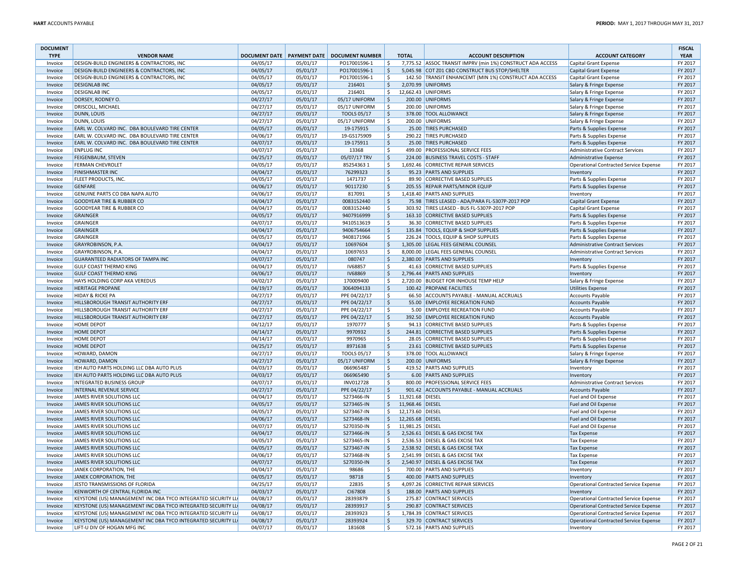| <b>DOCUMENT</b><br><b>TYPE</b> | <b>VENDOR NAME</b>                                           |          |          | DOCUMENT DATE   PAYMENT DATE   DOCUMENT NUMBER |                     | <b>TOTAL</b>     | <b>ACCOUNT DESCRIPTION</b>                                 | <b>ACCOUNT CATEGORY</b>                            | <b>FISCAL</b><br><b>YEAR</b> |
|--------------------------------|--------------------------------------------------------------|----------|----------|------------------------------------------------|---------------------|------------------|------------------------------------------------------------|----------------------------------------------------|------------------------------|
| Invoice                        | DESIGN-BUILD ENGINEERS & CONTRACTORS, INC                    | 04/05/17 | 05/01/17 | PO17001596-1                                   | \$                  |                  | 7,775.52 ASSOC TRANSIT IMPRV (min 1%) CONSTRUCT ADA ACCESS | <b>Capital Grant Expense</b>                       | FY 2017                      |
| Invoice                        | <b>DESIGN-BUILD ENGINEERS &amp; CONTRACTORS, INC.</b>        | 04/05/17 | 05/01/17 | PO17001596-1                                   | -\$                 |                  | 5,045.98 COT Z01 CBD CONSTRUCT BUS STOP/SHELTER            | Capital Grant Expense                              | FY 2017                      |
| Invoice                        | DESIGN-BUILD ENGINEERS & CONTRACTORS, INC                    | 04/05/17 | 05/01/17 | PO17001596-1                                   | -\$                 |                  | 142.50 TRANSIT ENHANCEMT (MIN 1%) CONSTRUCT ADA ACCESS     | <b>Capital Grant Expense</b>                       | FY 2017                      |
| Invoice                        | <b>DESIGNLAB INC</b>                                         | 04/05/17 | 05/01/17 | 216401                                         | $\mathsf{\hat{S}}$  |                  | 2,070.99 UNIFORMS                                          | Salary & Fringe Expense                            | FY 2017                      |
| Invoice                        | <b>DESIGNLAB INC</b>                                         | 04/05/17 | 05/01/17 | 216401                                         | Ŝ.                  |                  | 12,662.43 UNIFORMS                                         | Salary & Fringe Expense                            | FY 2017                      |
| Invoice                        | DORSEY, RODNEY O.                                            | 04/27/17 | 05/01/17 | 05/17 UNIFORM                                  | l \$                |                  | 200.00 UNIFORMS                                            | Salary & Fringe Expense                            | FY 2017                      |
| Invoice                        | DRISCOLL, MICHAEL                                            | 04/27/17 | 05/01/17 | 05/17 UNIFORM                                  | -Ś                  |                  | 200.00 UNIFORMS                                            | Salary & Fringe Expense                            | FY 2017                      |
| Invoice                        | DUNN, LOUIS                                                  | 04/27/17 | 05/01/17 | <b>TOOLS 05/17</b>                             | l \$                |                  | 378.00 TOOL ALLOWANCE                                      | Salary & Fringe Expense                            | FY 2017                      |
| Invoice                        | DUNN, LOUIS                                                  | 04/27/17 | 05/01/17 | 05/17 UNIFORM                                  | \$                  |                  | 200.00 UNIFORMS                                            | Salary & Fringe Expense                            | FY 2017                      |
| Invoice                        | EARL W. COLVARD INC. DBA BOULEVARD TIRE CENTER               | 04/05/17 | 05/01/17 | 19-175915                                      | $\mathsf{S}$        |                  | 25.00 TIRES PURCHASED                                      | Parts & Supplies Expense                           | FY 2017                      |
| Invoice                        | EARL W. COLVARD INC. DBA BOULEVARD TIRE CENTER               | 04/06/17 | 05/01/17 | 19-GS175909                                    | -Ŝ                  |                  | 290.22 TIRES PURCHASED                                     | Parts & Supplies Expense                           | FY 2017                      |
| Invoice                        | EARL W. COLVARD INC. DBA BOULEVARD TIRE CENTER               | 04/07/17 | 05/01/17 | 19-175911                                      | l\$                 |                  | 25.00 TIRES PURCHASED                                      | Parts & Supplies Expense                           | FY 2017                      |
| Invoice                        | <b>ENPLUG INC</b>                                            | 04/07/17 | 05/01/17 | 13368                                          | l \$                |                  | 499.00 PROFESSIONAL SERVICE FEES                           | Administrative Contract Services                   | FY 2017                      |
| Invoice                        | <b>FEIGENBAUM, STEVEN</b>                                    | 04/25/17 | 05/01/17 | 05/07/17 TRV                                   | $\mathsf{\hat{S}}$  |                  | 224.00 BUSINESS TRAVEL COSTS - STAFF                       | Administrative Expense                             | FY 2017                      |
| Invoice                        | <b>FERMAN CHEVROLET</b>                                      | 04/05/17 | 05/01/17 | 852543631                                      | Ŝ.                  |                  | 1,692.46 CORRECTIVE REPAIR SERVICES                        | <b>Operational Contracted Service Expense</b>      | FY 2017                      |
| Invoice                        | <b>FINISHMASTER INC</b>                                      | 04/04/17 | 05/01/17 | 76299323                                       | l\$                 |                  | 95.23 PARTS AND SUPPLIES                                   | Inventory                                          | FY 2017                      |
| Invoice                        | FLEET PRODUCTS, INC.                                         | 04/05/17 | 05/01/17 | 1471737                                        | \$                  |                  | 89.90 CORRECTIVE BASED SUPPLIES                            | Parts & Supplies Expense                           | FY 2017                      |
| Invoice                        | <b>GENFARE</b>                                               | 04/06/17 | 05/01/17 | 90117230                                       | $\mathsf{S}$        |                  | 205.55 REPAIR PARTS/MINOR EQUIP                            | Parts & Supplies Expense                           | FY 2017                      |
| Invoice                        | GENUINE PARTS CO DBA NAPA AUTO                               | 04/06/17 | 05/01/17 | 817091                                         | \$                  |                  | 1,418.40 PARTS AND SUPPLIES                                | Inventory                                          | FY 2017                      |
| Invoice                        | <b>GOODYEAR TIRE &amp; RUBBER CO</b>                         | 04/04/17 | 05/01/17 | 0083152440                                     | l\$                 |                  | 75.98 TIRES LEASED - ADA/PARA FL-5307P-2017 POP            | <b>Capital Grant Expense</b>                       | FY 2017                      |
| Invoice                        | <b>GOODYEAR TIRE &amp; RUBBER CO</b>                         | 04/04/17 | 05/01/17 | 0083152440                                     | $\zeta$             |                  | 303.92 TIRES LEASED - BUS FL-5307P-2017 POP                | Capital Grant Expense                              | FY 2017                      |
| Invoice                        | <b>GRAINGER</b>                                              | 04/05/17 | 05/01/17 | 9407916999                                     | l\$                 |                  | 163.10 CORRECTIVE BASED SUPPLIES                           | Parts & Supplies Expense                           | FY 2017                      |
| Invoice                        | <b>GRAINGER</b>                                              | 04/07/17 | 05/01/17 | 9410513619                                     | l\$                 |                  | 36.30 CORRECTIVE BASED SUPPLIES                            | Parts & Supplies Expense                           | FY 2017                      |
| Invoice                        | <b>GRAINGER</b>                                              | 04/04/17 | 05/01/17 | 9406754664                                     | $\ddot{\varsigma}$  |                  | 135.84 TOOLS, EQUIP & SHOP SUPPLIES                        | Parts & Supplies Expense                           | FY 2017                      |
| Invoice                        | <b>GRAINGER</b>                                              | 04/05/17 | 05/01/17 | 9408171966                                     | Ŝ.                  |                  | 226.24 TOOLS, EQUIP & SHOP SUPPLIES                        | Parts & Supplies Expense                           | FY 2017                      |
| Invoice                        | GRAYROBINSON, P.A.                                           | 04/04/17 | 05/01/17 | 10697604                                       | l\$                 |                  | 1.305.00 LEGAL FEES GENERAL COUNSEL                        | Administrative Contract Services                   | FY 2017                      |
| Invoice                        | GRAYROBINSON, P.A.                                           | 04/04/17 | 05/01/17 | 10697653                                       | S,                  |                  | 8,000.00 LEGAL FEES GENERAL COUNSEL                        | Administrative Contract Services                   | FY 2017                      |
| Invoice                        | GUARANTEED RADIATORS OF TAMPA INC                            | 04/07/17 | 05/01/17 | 080747                                         | -\$                 |                  | 2,380.00 PARTS AND SUPPLIES                                | Inventory                                          | FY 2017                      |
|                                | <b>GULF COAST THERMO KING</b>                                | 04/04/17 | 05/01/17 | IV68857                                        | \$                  |                  | 41.63 CORRECTIVE BASED SUPPLIES                            | Parts & Supplies Expense                           | FY 2017                      |
| Invoice<br>Invoice             | <b>GULF COAST THERMO KING</b>                                | 04/06/17 | 05/01/17 | <b>IV68869</b>                                 | $\mathsf{S}$        |                  | 2.796.44 PARTS AND SUPPLIES                                |                                                    | FY 2017                      |
| Invoice                        | HAYS HOLDING CORP AKA VEREDUS                                | 04/02/17 | 05/01/17 | 170009400                                      | $\zeta$             |                  | 2,720.00 BUDGET FOR INHOUSE TEMP HELP                      | Inventory<br>Salary & Fringe Expense               | FY 2017                      |
|                                | <b>HERITAGE PROPANE</b>                                      | 04/19/17 | 05/01/17 | 3064094133                                     | ∣\$                 |                  | 100.42 PROPANE FACILITIES                                  | <b>Utilities Expense</b>                           | FY 2017                      |
| Invoice                        | <b>HIDAY &amp; RICKE PA</b>                                  | 04/27/17 | 05/01/17 | PPE 04/22/17                                   | l \$                |                  | 66.50 ACCOUNTS PAYABLE - MANUAL ACCRUALS                   | <b>Accounts Payable</b>                            | FY 2017                      |
| Invoice                        | HILLSBOROUGH TRANSIT AUTHORITY ERF                           | 04/27/17 | 05/01/17 | PPE 04/22/17                                   | $\ddot{\varsigma}$  |                  | 55.00 EMPLOYEE RECREATION FUND                             |                                                    | FY 2017                      |
| Invoice<br>Invoice             | HILLSBOROUGH TRANSIT AUTHORITY ERF                           | 04/27/17 | 05/01/17 | PPE 04/22/17                                   | -Ŝ                  |                  | 5.00 EMPLOYEE RECREATION FUND                              | <b>Accounts Payable</b>                            | FY 2017                      |
| Invoice                        | HILLSBOROUGH TRANSIT AUTHORITY ERF                           | 04/27/17 | 05/01/17 | PPE 04/22/17                                   | l \$                |                  | 392.50 EMPLOYEE RECREATION FUND                            | <b>Accounts Payable</b><br><b>Accounts Payable</b> | FY 2017                      |
|                                | <b>HOME DEPOT</b>                                            | 04/12/17 | 05/01/17 | 1970777                                        | \$                  |                  | 94.13 CORRECTIVE BASED SUPPLIES                            |                                                    | FY 2017                      |
| Invoice                        |                                                              | 04/14/17 |          |                                                |                     |                  |                                                            | Parts & Supplies Expense                           | FY 2017                      |
| Invoice                        | <b>HOME DEPOT</b>                                            |          | 05/01/17 | 9970932                                        | $\ddot{\varsigma}$  |                  | 244.81 CORRECTIVE BASED SUPPLIES                           | Parts & Supplies Expense                           |                              |
| Invoice                        | <b>HOME DEPOT</b>                                            | 04/14/17 | 05/01/17 | 9970965                                        | \$                  |                  | 28.05 CORRECTIVE BASED SUPPLIES                            | Parts & Supplies Expense                           | FY 2017                      |
| Invoice                        | <b>HOME DEPOT</b>                                            | 04/25/17 | 05/01/17 | 8971638                                        | $\zeta$<br>S.       |                  | 23.61 CORRECTIVE BASED SUPPLIES                            | Parts & Supplies Expense                           | FY 2017<br>FY 2017           |
| Invoice                        | HOWARD, DAMON                                                | 04/27/17 | 05/01/17 | TOOLS 05/17                                    |                     |                  | 378.00 TOOL ALLOWANCE                                      | Salary & Fringe Expense                            |                              |
| Invoice                        | HOWARD, DAMON                                                | 04/27/17 | 05/01/17 | 05/17 UNIFORM                                  | l\$                 |                  | 200.00 UNIFORMS                                            | Salary & Fringe Expense                            | FY 2017                      |
| Invoice                        | IEH AUTO PARTS HOLDING LLC DBA AUTO PLUS                     | 04/03/17 | 05/01/17 | 066965487                                      | \$                  |                  | 419.52 PARTS AND SUPPLIES                                  | Inventory                                          | FY 2017                      |
| Invoice                        | IEH AUTO PARTS HOLDING LLC DBA AUTO PLUS                     | 04/03/17 | 05/01/17 | 066965490                                      | $\ddot{\varsigma}$  |                  | 6.00 PARTS AND SUPPLIES                                    | Inventory                                          | FY 2017                      |
| Invoice                        | <b>INTEGRATED BUSINESS GROUP</b>                             | 04/07/17 | 05/01/17 | INV012728                                      | -\$                 |                  | 800.00 PROFESSIONAL SERVICE FEES                           | Administrative Contract Services                   | FY 2017                      |
| Invoice                        | <b>INTERNAL REVENUE SERVICE</b>                              | 04/27/17 | 05/01/17 | PPE 04/22/17                                   | l \$                |                  | 901.42 ACCOUNTS PAYABLE - MANUAL ACCRUALS                  | <b>Accounts Payable</b>                            | FY 2017                      |
| Invoice                        | JAMES RIVER SOLUTIONS LLC                                    | 04/04/17 | 05/01/17 | S273466-IN                                     | \$                  | 11,921.68 DIESEL |                                                            | Fuel and Oil Expense                               | FY 2017                      |
| Invoice                        | JAMES RIVER SOLUTIONS LLC                                    | 04/05/17 | 05/01/17 | S273465-IN                                     | $\mathsf{S}$        | 11,968.46 DIESEL |                                                            | Fuel and Oil Expense                               | FY 2017                      |
| Invoice                        | JAMES RIVER SOLUTIONS LLC                                    | 04/05/17 | 05/01/17 | S273467-IN                                     | \$                  | 12,173.60 DIESEL |                                                            | Fuel and Oil Expense                               | FY 2017                      |
| Invoice                        | <b>JAMES RIVER SOLUTIONS LLC</b>                             | 04/06/17 | 05/01/17 | S273468-IN                                     | Ŝ.                  | 12.265.68 DIESEL |                                                            | Fuel and Oil Expense                               | FY 2017                      |
| Invoice                        | JAMES RIVER SOLUTIONS LLC                                    | 04/07/17 | 05/01/17 | S270350-IN                                     | Ŝ.                  | 11,981.25 DIESEL |                                                            | Fuel and Oil Expense                               | FY 2017                      |
| Invoice                        | JAMES RIVER SOLUTIONS LLC                                    | 04/04/17 | 05/01/17 | S273466-IN                                     | -\$                 |                  | 2,526.61 DIESEL & GAS EXCISE TAX                           | <b>Tax Expense</b>                                 | FY 2017                      |
| Invoice                        | JAMES RIVER SOLUTIONS LLC                                    | 04/05/17 | 05/01/17 | S273465-IN                                     | -\$                 |                  | 2,536.53 DIESEL & GAS EXCISE TAX                           | <b>Tax Expense</b>                                 | FY 2017                      |
| Invoice                        | <b>JAMES RIVER SOLUTIONS LLC</b>                             | 04/05/17 | 05/01/17 | S273467-IN                                     | Ś                   |                  | 2,538.92 DIESEL & GAS EXCISE TAX                           | <b>Tax Expense</b>                                 | FY 2017                      |
| Invoice                        | JAMES RIVER SOLUTIONS LLC                                    | 04/06/17 | 05/01/17 | S273468-IN                                     | -Ś                  |                  | 2,541.99 DIESEL & GAS EXCISE TAX                           | Tax Expense                                        | FY 2017                      |
| Invoice                        | JAMES RIVER SOLUTIONS LLC                                    | 04/07/17 | 05/01/17 | S270350-IN                                     | l Ş                 |                  | 2,540.97 DIESEL & GAS EXCISE TAX                           | <b>Tax Expense</b>                                 | FY 2017                      |
| Invoice                        | JANEK CORPORATION, THE                                       | 04/04/17 | 05/01/17 | 98686                                          | \$                  |                  | 700.00 PARTS AND SUPPLIES                                  | Inventory                                          | FY 2017                      |
| Invoice                        | JANEK CORPORATION, THE                                       | 04/05/17 | 05/01/17 | 98718                                          | $\mathsf{S}$        |                  | 400.00 PARTS AND SUPPLIES                                  | Inventory                                          | FY 2017                      |
| Invoice                        | JESTO TRANSMISSIONS OF FLORIDA                               | 04/25/17 | 05/01/17 | 22835                                          | -\$                 |                  | 4,097.26 CORRECTIVE REPAIR SERVICES                        | Operational Contracted Service Expense             | FY 2017                      |
| Invoice                        | KENWORTH OF CENTRAL FLORIDA INC                              | 04/03/17 | 05/01/17 | CI67808                                        | l\$                 |                  | 188.00 PARTS AND SUPPLIES                                  | Inventory                                          | FY 2017                      |
| Invoice                        | KEYSTONE (US) MANAGEMENT INC DBA TYCO INTEGRATED SECURITY LL | 04/08/17 | 05/01/17 | 28393879                                       | $\ddot{\mathsf{S}}$ |                  | 275.87 CONTRACT SERVICES                                   | Operational Contracted Service Expense             | FY 2017                      |
| Invoice                        | KEYSTONE (US) MANAGEMENT INC DBA TYCO INTEGRATED SECURITY LL | 04/08/17 | 05/01/17 | 28393917                                       | $\ddot{\varsigma}$  |                  | 290.87 CONTRACT SERVICES                                   | Operational Contracted Service Expense             | FY 2017                      |
| Invoice                        | KEYSTONE (US) MANAGEMENT INC DBA TYCO INTEGRATED SECURITY LL | 04/08/17 | 05/01/17 | 28393923                                       | $\ddot{\mathsf{S}}$ |                  | 1,784.39 CONTRACT SERVICES                                 | Operational Contracted Service Expense             | FY 2017                      |
| Invoice                        | KEYSTONE (US) MANAGEMENT INC DBA TYCO INTEGRATED SECURITY LL | 04/08/17 | 05/01/17 | 28393924                                       | $\zeta$             |                  | 329.70 CONTRACT SERVICES                                   | Operational Contracted Service Expense             | FY 2017                      |
| Invoice                        | LIFT-U DIV OF HOGAN MFG INC                                  | 04/07/17 | 05/01/17 | 181608                                         | S.                  |                  | 572.16 PARTS AND SUPPLIES                                  | Inventory                                          | FY 2017                      |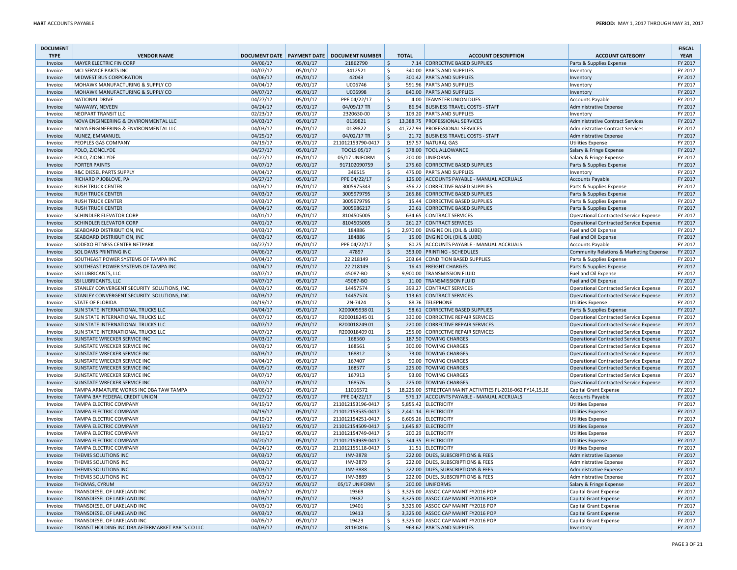| <b>DOCUMENT</b><br><b>TYPE</b> | <b>VENDOR NAME</b>                               |          |          | DOCUMENT DATE   PAYMENT DATE   DOCUMENT NUMBER |                    | <b>TOTAL</b> | <b>ACCOUNT DESCRIPTION</b>                                  | <b>ACCOUNT CATEGORY</b>                 | <b>FISCAL</b><br><b>YEAR</b> |
|--------------------------------|--------------------------------------------------|----------|----------|------------------------------------------------|--------------------|--------------|-------------------------------------------------------------|-----------------------------------------|------------------------------|
| Invoice                        | <b>MAYER ELECTRIC FIN CORP</b>                   | 04/06/17 | 05/01/17 | 21862790                                       | $\frac{1}{2}$      |              | 7.14 CORRECTIVE BASED SUPPLIES                              | Parts & Supplies Expense                | FY 2017                      |
| Invoice                        | MCI SERVICE PARTS INC                            | 04/07/17 | 05/01/17 | 3412521                                        | \$                 |              | 340.00 PARTS AND SUPPLIES                                   | Inventory                               | FY 2017                      |
| Invoice                        | MIDWEST BUS CORPORATION                          | 04/06/17 | 05/01/17 | 42043                                          | $\ddot{\varsigma}$ |              | 300.42 PARTS AND SUPPLIES                                   | Inventory                               | FY 2017                      |
| Invoice                        | MOHAWK MANUFACTURING & SUPPLY CO                 | 04/04/17 | 05/01/17 | U006746                                        | $\mathsf{S}$       |              | 591.96 PARTS AND SUPPLIES                                   | Inventory                               | FY 2017                      |
| Invoice                        | MOHAWK MANUFACTURING & SUPPLY CO                 | 04/07/17 | 05/01/17 | U006998                                        | ∣\$                |              | 840.00 PARTS AND SUPPLIES                                   | Inventory                               | FY 2017                      |
| Invoice                        | NATIONAL DRIVE                                   | 04/27/17 | 05/01/17 | PPE 04/22/17                                   | \$                 |              | 4.00 TEAMSTER UNION DUES                                    | Accounts Payable                        | FY 2017                      |
| Invoice                        | NAWAWY, NEVEEN                                   | 04/24/17 | 05/01/17 | 04/09/17 TR                                    | $\zeta$            |              | 86.94 BUSINESS TRAVEL COSTS - STAFF                         | Administrative Expense                  | FY 2017                      |
| Invoice                        | NEOPART TRANSIT LLC                              | 02/23/17 | 05/01/17 | 2320630-00                                     | Ŝ.                 |              | 109.20 PARTS AND SUPPLIES                                   | Inventory                               | FY 2017                      |
| Invoice                        | NOVA ENGINEERING & ENVIRONMENTAL LLC             | 04/03/17 | 05/01/17 | 0139821                                        | l \$               |              | 13,388.75 PROFESSIONAL SERVICES                             | <b>Administrative Contract Services</b> | FY 2017                      |
| Invoice                        | NOVA ENGINEERING & ENVIRONMENTAL LLC             | 04/03/17 | 05/01/17 | 0139822                                        | Ŝ.                 |              | 41,727.93 PROFESSIONAL SERVICES                             | Administrative Contract Services        | FY 2017                      |
| Invoice                        | NUNEZ, EMMANUEL                                  | 04/25/17 | 05/01/17 | 04/02/17 TR                                    | $\zeta$            |              | 21.72 BUSINESS TRAVEL COSTS - STAFF                         | Administrative Expense                  | FY 2017                      |
| Invoice                        | PEOPLES GAS COMPANY                              | 04/19/17 | 05/01/17 | 211012153790-0417 \$                           |                    |              | 197.57 NATURAL GAS                                          | <b>Utilities Expense</b>                | FY 2017                      |
| Invoice                        | POLO, ZJONCLYDE                                  | 04/27/17 | 05/01/17 | <b>TOOLS 05/17</b>                             | $\dot{\mathsf{S}}$ |              | 378.00 TOOL ALLOWANCE                                       | Salary & Fringe Expense                 | FY 2017                      |
| Invoice                        | POLO, ZJONCLYDE                                  | 04/27/17 | 05/01/17 | 05/17 UNIFORM                                  | Ŝ.                 |              | 200.00 UNIFORMS                                             | Salary & Fringe Expense                 | FY 2017                      |
| Invoice                        | PORTER PAINTS                                    | 04/07/17 | 05/01/17 | 917102090759                                   | $\ddot{\varsigma}$ |              | 275.60 CORRECTIVE BASED SUPPLIES                            | Parts & Supplies Expense                | FY 2017                      |
| Invoice                        | R&C DIESEL PARTS SUPPLY                          | 04/04/17 | 05/01/17 | 346515                                         | \$                 |              | 475.00 PARTS AND SUPPLIES                                   | Inventory                               | FY 2017                      |
| Invoice                        | RICHARD P JOBLOVE, PA                            | 04/27/17 | 05/01/17 | PPE 04/22/17                                   | $\zeta$            |              | 125.00 ACCOUNTS PAYABLE - MANUAL ACCRUALS                   | <b>Accounts Payable</b>                 | FY 2017                      |
| Invoice                        | <b>RUSH TRUCK CENTER</b>                         | 04/03/17 | 05/01/17 | 3005975343                                     | $\zeta$            |              | 356.22 CORRECTIVE BASED SUPPLIES                            | Parts & Supplies Expense                | FY 2017                      |
| Invoice                        | <b>RUSH TRUCK CENTER</b>                         | 04/03/17 | 05/01/17 | 3005979795                                     | l\$                |              | 265.86 CORRECTIVE BASED SUPPLIES                            | Parts & Supplies Expense                | FY 2017                      |
| Invoice                        | <b>RUSH TRUCK CENTER</b>                         | 04/03/17 | 05/01/17 | 3005979795                                     | Ŝ.                 |              | 15.44 CORRECTIVE BASED SUPPLIES                             | Parts & Supplies Expense                | FY 2017                      |
| Invoice                        | <b>RUSH TRUCK CENTER</b>                         | 04/04/17 | 05/01/17 | 3005986217                                     | $\zeta$            |              | 20.61 CORRECTIVE BASED SUPPLIES                             | Parts & Supplies Expense                | FY 2017                      |
| Invoice                        | SCHINDLER ELEVATOR CORP                          | 04/01/17 | 05/01/17 | 8104505005                                     | \$                 |              | 634.65 CONTRACT SERVICES                                    | Operational Contracted Service Expense  | FY 2017                      |
| Invoice                        | SCHINDLER ELEVATOR CORP                          | 04/01/17 | 05/01/17 | 8104505005                                     | $\ddot{\varsigma}$ |              | 261.27 CONTRACT SERVICES                                    | Operational Contracted Service Expense  | FY 2017                      |
| Invoice                        | SEABOARD DISTRIBUTION, INC                       | 04/03/17 | 05/01/17 | 184886                                         | $\mathsf{S}$       |              | 2,970.00 ENGINE OIL (OIL & LUBE)                            | Fuel and Oil Expense                    | FY 2017                      |
| Invoice                        | SEABOARD DISTRIBUTION, INC                       | 04/03/17 | 05/01/17 | 184886                                         | $\ddot{\varsigma}$ |              | 15.00 ENGINE OIL (OIL & LUBE)                               | Fuel and Oil Expense                    | FY 2017                      |
| Invoice                        | SODEXO FITNESS CENTER NETPARK                    | 04/27/17 | 05/01/17 | PPE 04/22/17                                   | -\$                |              | 80.25 ACCOUNTS PAYABLE - MANUAL ACCRUALS                    | <b>Accounts Payable</b>                 | FY 2017                      |
| Invoice                        | <b>SOL DAVIS PRINTING INC</b>                    | 04/06/17 | 05/01/17 | 47897                                          | $\zeta$            |              | 353.00 PRINTING - SCHEDULES                                 | Community Relations & Marketing Expense | FY 2017                      |
| Invoice                        | SOUTHEAST POWER SYSTEMS OF TAMPA INC             | 04/04/17 | 05/01/17 | 22 218149                                      | \$                 |              | 203.64 CONDITION BASED SUPPLIES                             | Parts & Supplies Expense                | FY 2017                      |
| Invoice                        | SOUTHEAST POWER SYSTEMS OF TAMPA INC             | 04/04/17 | 05/01/17 | 22 218149                                      | l\$                |              | 16.41 FREIGHT CHARGES                                       | Parts & Supplies Expense                | FY 2017                      |
| Invoice                        | SSI LUBRICANTS, LLC                              | 04/07/17 | 05/01/17 | 45087-BO                                       | Ŝ.                 |              | 9,900.00 TRANSMISSION FLUID                                 | Fuel and Oil Expense                    | FY 2017                      |
| Invoice                        | <b>SSI LUBRICANTS, LLC</b>                       | 04/07/17 | 05/01/17 | 45087-BO                                       | $\zeta$            |              | 11.00 TRANSMISSION FLUID                                    | Fuel and Oil Expense                    | FY 2017                      |
| Invoice                        | STANLEY CONVERGENT SECURITY SOLUTIONS, INC.      | 04/03/17 | 05/01/17 | 14457574                                       | \$                 |              | 399.27 CONTRACT SERVICES                                    | Operational Contracted Service Expense  | FY 2017                      |
| Invoice                        | STANLEY CONVERGENT SECURITY SOLUTIONS, INC.      | 04/03/17 | 05/01/17 | 14457574                                       | $\ddot{\varsigma}$ |              | 113.61 CONTRACT SERVICES                                    | Operational Contracted Service Expense  | FY 2017                      |
| Invoice                        | <b>STATE OF FLORIDA</b>                          | 04/19/17 | 05/01/17 | 2N-7424                                        | $\mathsf{S}$       |              | 88.76 TELEPHONE                                             | <b>Utilities Expense</b>                | FY 2017                      |
| Invoice                        | <b>SUN STATE INTERNATIONAL TRUCKS LLC</b>        | 04/04/17 | 05/01/17 | X20000593801                                   | l\$                |              | 58.61 CORRECTIVE BASED SUPPLIES                             | Parts & Supplies Expense                | FY 2017                      |
| Invoice                        | SUN STATE INTERNATIONAL TRUCKS LLC               | 04/07/17 | 05/01/17 | R200018245 01                                  | -\$                |              | 330.00 CORRECTIVE REPAIR SERVICES                           | Operational Contracted Service Expense  | FY 2017                      |
| Invoice                        | <b>SUN STATE INTERNATIONAL TRUCKS LLC</b>        | 04/07/17 | 05/01/17 | R20001824901                                   | $\zeta$            |              | 220.00 CORRECTIVE REPAIR SERVICES                           | Operational Contracted Service Expense  | FY 2017                      |
| Invoice                        | SUN STATE INTERNATIONAL TRUCKS LLC               | 04/07/17 | 05/01/17 | R200018409 01                                  | Ŝ.                 |              | 255.00 CORRECTIVE REPAIR SERVICES                           | Operational Contracted Service Expense  | FY 2017                      |
| Invoice                        | SUNSTATE WRECKER SERVICE INC                     | 04/03/17 | 05/01/17 | 168560                                         | l\$                |              | 187.50 TOWING CHARGES                                       | Operational Contracted Service Expense  | FY 2017                      |
| Invoice                        | SUNSTATE WRECKER SERVICE INC                     | 04/03/17 | 05/01/17 | 168561                                         | \$                 |              | 300.00 TOWING CHARGES                                       | Operational Contracted Service Expense  | FY 2017                      |
| Invoice                        | <b>SUNSTATE WRECKER SERVICE INC</b>              | 04/03/17 | 05/01/17 | 168812                                         | $\zeta$            |              | 73.00 TOWING CHARGES                                        | Operational Contracted Service Expense  | FY 2017                      |
| Invoice                        | SUNSTATE WRECKER SERVICE INC                     | 04/04/17 | 05/01/17 | 167407                                         | -\$                |              | 90.00 TOWING CHARGES                                        | Operational Contracted Service Expense  | FY 2017                      |
| Invoice                        | SUNSTATE WRECKER SERVICE INC                     | 04/05/17 | 05/01/17 | 168577                                         | $\ddot{\varsigma}$ |              | 225.00 TOWING CHARGES                                       | Operational Contracted Service Expense  | FY 2017                      |
| Invoice                        | SUNSTATE WRECKER SERVICE INC                     | 04/07/17 | 05/01/17 | 167913                                         | Ŝ.                 |              | 93.00 TOWING CHARGES                                        | Operational Contracted Service Expense  | FY 2017                      |
| Invoice                        | <b>SUNSTATE WRECKER SERVICE INC</b>              | 04/07/17 | 05/01/17 | 168576                                         | $\ddot{\varsigma}$ |              | 225.00 TOWING CHARGES                                       | Operational Contracted Service Expense  | FY 2017                      |
| Invoice                        | TAMPA ARMATURE WORKS INC DBA TAW TAMPA           | 04/06/17 | 05/01/17 | 11016572                                       | -\$                |              | 18,225.00 STREETCAR MAINT ACTIVITIES FL-2016-062 FY14,15,16 | Capital Grant Expense                   | FY 2017                      |
| Invoice                        | TAMPA BAY FEDERAL CREDIT UNION                   | 04/27/17 | 05/01/17 | PPE 04/22/17                                   | $\zeta$            |              | 576.17 ACCOUNTS PAYABLE - MANUAL ACCRUALS                   | <b>Accounts Payable</b>                 | FY 2017                      |
| Invoice                        | TAMPA ELECTRIC COMPANY                           | 04/19/17 | 05/01/17 | 211012153196-0417                              | ۱s                 |              | 5,855.42 ELECTRICITY                                        | <b>Utilities Expense</b>                | FY 2017                      |
| Invoice                        | TAMPA ELECTRIC COMPANY                           | 04/19/17 | 05/01/17 | 211012153535-0417                              | $\vert$ \$         |              | 2,441.14 ELECTRICITY                                        | <b>Utilities Expense</b>                | FY 2017                      |
| Invoice                        | TAMPA ELECTRIC COMPANY                           | 04/19/17 | 05/01/17 | 211012154251-0417                              | ΙŚ                 |              | 6,605.26 ELECTRICITY                                        | <b>Utilities Expense</b>                | FY 2017                      |
| Invoice                        | TAMPA ELECTRIC COMPANY                           | 04/19/17 | 05/01/17 | 211012154509-0417                              | l\$                |              | 1,645.87 ELECTRICITY                                        | <b>Utilities Expense</b>                | FY 2017                      |
| Invoice                        | TAMPA ELECTRIC COMPANY                           | 04/19/17 | 05/01/17 | 211012154749-0417   \$                         |                    |              | 200.29 ELECTRICITY                                          | <b>Utilities Expense</b>                | FY 2017                      |
| Invoice                        | TAMPA ELECTRIC COMPANY                           | 04/20/17 | 05/01/17 | 211012154939-0417                              | - Ś                |              | 344.35 ELECTRICITY                                          | <b>Utilities Expense</b>                | FY 2017                      |
| Invoice                        | TAMPA ELECTRIC COMPANY                           | 04/24/17 | 05/01/17 | 211012155118-0417                              | -\$                |              | 11.51 ELECTRICITY                                           | <b>Utilities Expense</b>                | FY 2017                      |
| Invoice                        | THEMIS SOLUTIONS INC                             | 04/03/17 | 05/01/17 | <b>INV-3878</b>                                | \$                 |              | 222.00 DUES, SUBSCRIPTIONS & FEES                           | Administrative Expense                  | FY 2017                      |
| Invoice                        | THEMIS SOLUTIONS INC                             | 04/03/17 | 05/01/17 | <b>INV-3879</b>                                | -\$                |              | 222.00 DUES, SUBSCRIPTIONS & FEES                           | Administrative Expense                  | FY 2017                      |
| Invoice                        | THEMIS SOLUTIONS INC                             | 04/03/17 | 05/01/17 | <b>INV-3888</b>                                | $\zeta$            |              | 222.00 DUES, SUBSCRIPTIONS & FEES                           | Administrative Expense                  | FY 2017                      |
| Invoice                        | THEMIS SOLUTIONS INC                             | 04/03/17 | 05/01/17 | <b>INV-3889</b>                                | \$                 |              | 222.00 DUES, SUBSCRIPTIONS & FEES                           | Administrative Expense                  | FY 2017                      |
| Invoice                        | THOMAS, CYRUM                                    | 04/27/17 | 05/01/17 | 05/17 UNIFORM                                  | l s                |              | 200.00 UNIFORMS                                             | Salary & Fringe Expense                 | FY 2017                      |
| Invoice                        | TRANSDIESEL OF LAKELAND INC                      | 04/03/17 | 05/01/17 | 19369                                          | S.                 |              | 3,325.00 ASSOC CAP MAINT FY2016 POP                         | Capital Grant Expense                   | FY 2017                      |
| Invoice                        | TRANSDIESEL OF LAKELAND INC                      | 04/03/17 | 05/01/17 | 19387                                          | $\zeta$            |              | 3,325.00 ASSOC CAP MAINT FY2016 POP                         | Capital Grant Expense                   | FY 2017                      |
| Invoice                        | TRANSDIESEL OF LAKELAND INC                      | 04/03/17 | 05/01/17 | 19401                                          | S.                 |              | 3,325.00 ASSOC CAP MAINT FY2016 POP                         | Capital Grant Expense                   | FY 2017                      |
| Invoice                        | TRANSDIESEL OF LAKELAND INC                      | 04/03/17 | 05/01/17 | 19413                                          | $\mathsf{\hat{S}}$ |              | 3,325.00 ASSOC CAP MAINT FY2016 POP                         | <b>Capital Grant Expense</b>            | FY 2017                      |
| Invoice                        | TRANSDIESEL OF LAKELAND INC                      | 04/05/17 | 05/01/17 | 19423                                          | \$                 |              | 3,325.00 ASSOC CAP MAINT FY2016 POP                         | Capital Grant Expense                   | FY 2017                      |
| Invoice                        | TRANSIT HOLDING INC DBA AFTERMARKET PARTS CO LLC | 04/03/17 | 05/01/17 | 81160816                                       | l\$                |              | 963.62 PARTS AND SUPPLIES                                   | Inventory                               | FY 2017                      |
|                                |                                                  |          |          |                                                |                    |              |                                                             |                                         |                              |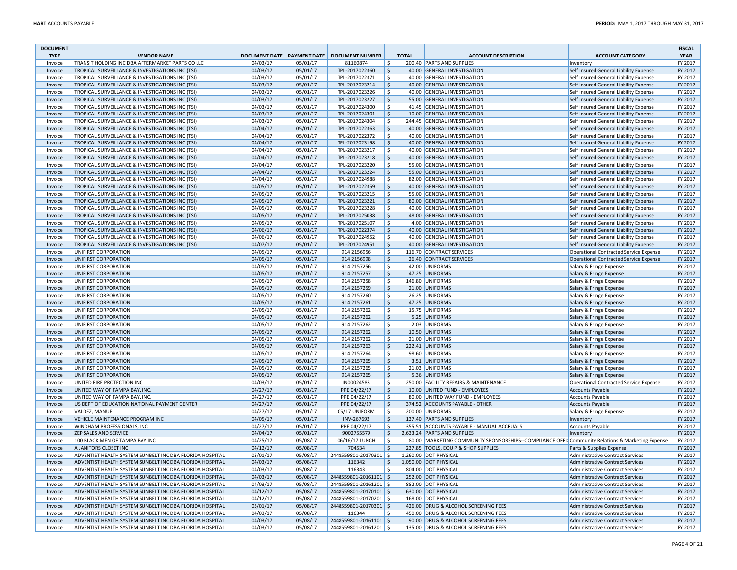| <b>DOCUMENT</b><br><b>TYPE</b> | <b>VENDOR NAME</b>                                       |          |          | DOCUMENT DATE PAYMENT DATE DOCUMENT NUMBER |                     | <b>TOTAL</b> | <b>ACCOUNT DESCRIPTION</b>                                                                       | <b>ACCOUNT CATEGORY</b>                                              | <b>FISCAL</b><br><b>YEAR</b> |
|--------------------------------|----------------------------------------------------------|----------|----------|--------------------------------------------|---------------------|--------------|--------------------------------------------------------------------------------------------------|----------------------------------------------------------------------|------------------------------|
| Invoice                        | TRANSIT HOLDING INC DBA AFTERMARKET PARTS CO LLC         | 04/03/17 | 05/01/17 | 81160874                                   | ۱\$.                |              | 200.40 PARTS AND SUPPLIES                                                                        | Inventory                                                            | FY 2017                      |
| Invoice                        | TROPICAL SURVEILLANCE & INVESTIGATIONS INC (TSI)         | 04/03/17 | 05/01/17 | TPL-2017022360                             | \$                  |              | 40.00 GENERAL INVESTIGATION                                                                      | Self Insured General Liability Expense                               | FY 2017                      |
| Invoice                        | TROPICAL SURVEILLANCE & INVESTIGATIONS INC (TSI)         | 04/03/17 | 05/01/17 | TPL-2017022371                             | Ŝ.                  |              | 40.00 GENERAL INVESTIGATION                                                                      | Self Insured General Liability Expense                               | FY 2017                      |
| Invoice                        | TROPICAL SURVEILLANCE & INVESTIGATIONS INC (TSI)         | 04/03/17 | 05/01/17 | TPL-2017023214                             | l s                 |              | 40.00 GENERAL INVESTIGATION                                                                      | Self Insured General Liability Expense                               | FY 2017                      |
| Invoice                        | TROPICAL SURVEILLANCE & INVESTIGATIONS INC (TSI)         | 04/03/17 | 05/01/17 | TPL-2017023226                             | l \$                |              | 40.00 GENERAL INVESTIGATION                                                                      | Self Insured General Liability Expense                               | FY 2017                      |
| Invoice                        | TROPICAL SURVEILLANCE & INVESTIGATIONS INC (TSI)         | 04/03/17 | 05/01/17 | TPL-2017023227                             | l \$                |              | 55.00 GENERAL INVESTIGATION                                                                      | Self Insured General Liability Expense                               | FY 2017                      |
| Invoice                        | TROPICAL SURVEILLANCE & INVESTIGATIONS INC (TSI)         | 04/03/17 | 05/01/17 | TPL-2017024300                             | \$                  |              | 41.45 GENERAL INVESTIGATION                                                                      | Self Insured General Liability Expense                               | FY 2017                      |
| Invoice                        | TROPICAL SURVEILLANCE & INVESTIGATIONS INC (TSI)         | 04/03/17 | 05/01/17 | TPL-2017024301                             | $\zeta$             |              | 10.00 GENERAL INVESTIGATION                                                                      | Self Insured General Liability Expense                               | FY 2017                      |
| Invoice                        | TROPICAL SURVEILLANCE & INVESTIGATIONS INC (TSI)         | 04/03/17 | 05/01/17 | TPL-2017024304                             | l \$                |              | 244.45 GENERAL INVESTIGATION                                                                     | Self Insured General Liability Expense                               | FY 2017                      |
| Invoice                        | TROPICAL SURVEILLANCE & INVESTIGATIONS INC (TSI)         | 04/04/17 | 05/01/17 | TPL-2017022363                             | l \$                |              | 40.00 GENERAL INVESTIGATION                                                                      | Self Insured General Liability Expense                               | FY 2017                      |
| Invoice                        | TROPICAL SURVEILLANCE & INVESTIGATIONS INC (TSI)         | 04/04/17 | 05/01/17 | TPL-2017022372                             | l\$                 |              | 40.00 GENERAL INVESTIGATION                                                                      | Self Insured General Liability Expense                               | FY 2017                      |
| Invoice                        | TROPICAL SURVEILLANCE & INVESTIGATIONS INC (TSI)         | 04/04/17 | 05/01/17 | TPL-2017023198                             | ∣\$                 |              | 40.00 GENERAL INVESTIGATION                                                                      | Self Insured General Liability Expense                               | FY 2017                      |
| Invoice                        | TROPICAL SURVEILLANCE & INVESTIGATIONS INC (TSI)         | 04/04/17 | 05/01/17 | TPL-2017023217                             | Ŝ.                  |              | 40.00 GENERAL INVESTIGATION                                                                      | Self Insured General Liability Expense                               | FY 2017                      |
| Invoice                        | TROPICAL SURVEILLANCE & INVESTIGATIONS INC (TSI)         | 04/04/17 | 05/01/17 | TPL-2017023218                             | l \$                |              | 40.00 GENERAL INVESTIGATION                                                                      | Self Insured General Liability Expense                               | FY 2017                      |
| Invoice                        | TROPICAL SURVEILLANCE & INVESTIGATIONS INC (TSI)         | 04/04/17 | 05/01/17 | TPL-2017023220                             | l \$                |              | 55.00 GENERAL INVESTIGATION                                                                      | Self Insured General Liability Expense                               | FY 2017                      |
| Invoice                        | TROPICAL SURVEILLANCE & INVESTIGATIONS INC (TSI)         | 04/04/17 | 05/01/17 | TPL-2017023224                             | l \$                |              | 55.00 GENERAL INVESTIGATION                                                                      | Self Insured General Liability Expense                               | FY 2017                      |
| Invoice                        | TROPICAL SURVEILLANCE & INVESTIGATIONS INC (TSI)         | 04/04/17 | 05/01/17 | TPL-2017024988                             | \$                  |              | 82.00 GENERAL INVESTIGATION                                                                      | Self Insured General Liability Expense                               | FY 2017                      |
| Invoice                        | TROPICAL SURVEILLANCE & INVESTIGATIONS INC (TSI)         | 04/05/17 | 05/01/17 | TPL-2017022359                             | $\zeta$             |              | 40.00 GENERAL INVESTIGATION                                                                      | Self Insured General Liability Expense                               | FY 2017                      |
| Invoice                        | TROPICAL SURVEILLANCE & INVESTIGATIONS INC (TSI)         | 04/05/17 | 05/01/17 | TPL-2017023215                             | l \$                |              | 55.00 GENERAL INVESTIGATION                                                                      | Self Insured General Liability Expense                               | FY 2017                      |
| Invoice                        | TROPICAL SURVEILLANCE & INVESTIGATIONS INC (TSI)         | 04/05/17 | 05/01/17 | TPL-2017023221                             | l \$                |              | 80.00 GENERAL INVESTIGATION                                                                      | Self Insured General Liability Expense                               | FY 2017                      |
| Invoice                        | TROPICAL SURVEILLANCE & INVESTIGATIONS INC (TSI)         | 04/05/17 | 05/01/17 | TPL-2017023228                             | ۱\$.                |              | 40.00 GENERAL INVESTIGATION                                                                      | Self Insured General Liability Expense                               | FY 2017                      |
| Invoice                        | TROPICAL SURVEILLANCE & INVESTIGATIONS INC (TSI)         | 04/05/17 | 05/01/17 | TPL-2017025038                             | ∣\$                 |              | 48.00 GENERAL INVESTIGATION                                                                      | Self Insured General Liability Expense                               | FY 2017                      |
| Invoice                        | TROPICAL SURVEILLANCE & INVESTIGATIONS INC (TSI)         | 04/05/17 | 05/01/17 | TPL-2017025107                             | Ŝ.                  |              | 4.00 GENERAL INVESTIGATION                                                                       | Self Insured General Liability Expense                               | FY 2017                      |
| Invoice                        | TROPICAL SURVEILLANCE & INVESTIGATIONS INC (TSI)         | 04/06/17 | 05/01/17 | TPL-2017022374                             | l s                 |              | 40.00 GENERAL INVESTIGATION                                                                      | Self Insured General Liability Expense                               | FY 2017                      |
| Invoice                        | TROPICAL SURVEILLANCE & INVESTIGATIONS INC (TSI)         | 04/06/17 | 05/01/17 | TPL-2017024952                             | Ŝ.                  |              | 40.00 GENERAL INVESTIGATION                                                                      | Self Insured General Liability Expense                               | FY 2017                      |
| Invoice                        | TROPICAL SURVEILLANCE & INVESTIGATIONS INC (TSI)         | 04/07/17 | 05/01/17 | TPL-2017024951                             | \$                  |              | 40.00 GENERAL INVESTIGATION                                                                      | Self Insured General Liability Expense                               | FY 2017                      |
|                                |                                                          | 04/05/17 | 05/01/17 | 914 2156956                                | \$                  |              | 116.70 CONTRACT SERVICES                                                                         | Operational Contracted Service Expense                               | FY 2017                      |
| Invoice                        | UNIFIRST CORPORATION                                     |          |          |                                            | $\zeta$             |              |                                                                                                  |                                                                      | FY 2017                      |
| Invoice                        | UNIFIRST CORPORATION                                     | 04/05/17 | 05/01/17 | 914 2156998                                |                     |              | 26.40 CONTRACT SERVICES                                                                          | Operational Contracted Service Expense                               |                              |
| Invoice                        | UNIFIRST CORPORATION                                     | 04/05/17 | 05/01/17 | 914 2157256                                | l \$                |              | 42.00 UNIFORMS                                                                                   | Salary & Fringe Expense                                              | FY 2017                      |
| Invoice                        | UNIFIRST CORPORATION                                     | 04/05/17 | 05/01/17 | 914 2157257                                | l \$                |              | 47.25 UNIFORMS                                                                                   | Salary & Fringe Expense                                              | FY 2017                      |
| Invoice                        | UNIFIRST CORPORATION                                     | 04/05/17 | 05/01/17 | 914 2157258                                | ۱\$.                |              | 146.80 UNIFORMS                                                                                  | Salary & Fringe Expense                                              | FY 2017                      |
| Invoice                        | UNIFIRST CORPORATION                                     | 04/05/17 | 05/01/17 | 914 2157259                                | ∣\$                 |              | 21.00 UNIFORMS                                                                                   | Salary & Fringe Expense                                              | FY 2017                      |
| Invoice                        | UNIFIRST CORPORATION                                     | 04/05/17 | 05/01/17 | 914 2157260                                | $\mathsf{S}$        |              | 26.25 UNIFORMS                                                                                   | Salary & Fringe Expense                                              | FY 2017                      |
| Invoice                        | UNIFIRST CORPORATION                                     | 04/05/17 | 05/01/17 | 914 2157261                                | l \$                |              | 47.25 UNIFORMS                                                                                   | Salary & Fringe Expense                                              | FY 2017                      |
| Invoice                        | UNIFIRST CORPORATION                                     | 04/05/17 | 05/01/17 | 914 2157262                                | Ŝ.                  |              | 15.75 UNIFORMS                                                                                   | Salary & Fringe Expense                                              | FY 2017                      |
| Invoice                        | UNIFIRST CORPORATION                                     | 04/05/17 | 05/01/17 | 914 2157262                                | \$                  |              | 5.25 UNIFORMS                                                                                    | Salary & Fringe Expense                                              | FY 2017                      |
| Invoice                        | UNIFIRST CORPORATION                                     | 04/05/17 | 05/01/17 | 914 2157262                                | $\ddot{\mathsf{S}}$ |              | 2.03 UNIFORMS                                                                                    | Salary & Fringe Expense                                              | FY 2017                      |
| Invoice                        | UNIFIRST CORPORATION                                     | 04/05/17 | 05/01/17 | 914 2157262                                | ∣\$                 |              | 10.50 UNIFORMS                                                                                   | Salary & Fringe Expense                                              | FY 2017                      |
| Invoice                        | UNIFIRST CORPORATION                                     | 04/05/17 | 05/01/17 | 914 2157262                                | l \$                |              | 21.00 UNIFORMS                                                                                   | Salary & Fringe Expense                                              | FY 2017                      |
| Invoice                        | UNIFIRST CORPORATION                                     | 04/05/17 | 05/01/17 | 914 2157263                                | l \$                |              | 222.41 UNIFORMS                                                                                  | Salary & Fringe Expense                                              | FY 2017                      |
| Invoice                        | UNIFIRST CORPORATION                                     | 04/05/17 | 05/01/17 | 914 2157264                                | ۱\$.                |              | 98.60 UNIFORMS                                                                                   | Salary & Fringe Expense                                              | FY 2017                      |
| Invoice                        | UNIFIRST CORPORATION                                     | 04/05/17 | 05/01/17 | 914 2157265                                | \$                  |              | 3.51 UNIFORMS                                                                                    | Salary & Fringe Expense                                              | FY 2017                      |
| Invoice                        | UNIFIRST CORPORATION                                     | 04/05/17 | 05/01/17 | 914 2157265                                | l \$                |              | 21.03 UNIFORMS                                                                                   | Salary & Fringe Expense                                              | FY 2017                      |
| Invoice                        | UNIFIRST CORPORATION                                     | 04/05/17 | 05/01/17 | 914 2157265                                | l \$                |              | 5.36 UNIFORMS                                                                                    | Salary & Fringe Expense                                              | FY 2017                      |
| Invoice                        | UNITED FIRE PROTECTION INC                               | 04/03/17 | 05/01/17 | IN00024583                                 | Ŝ.                  |              | 250.00 FACILITY REPAIRS & MAINTENANCE                                                            | Operational Contracted Service Expense                               | FY 2017                      |
| Invoice                        | UNITED WAY OF TAMPA BAY, INC.                            | 04/27/17 | 05/01/17 | PPE 04/22/17                               | l \$                |              | 10.00 UNITED FUND - EMPLOYEES                                                                    | Accounts Payable                                                     | FY 2017                      |
| Invoice                        | UNITED WAY OF TAMPA BAY, INC.                            | 04/27/17 | 05/01/17 | PPE 04/22/17                               | \$                  |              | 80.00 UNITED WAY FUND - EMPLOYEES                                                                | Accounts Payable                                                     | FY 2017                      |
| Invoice                        | US DEPT OF EDUCATION NATIONAL PAYMENT CENTER             | 04/27/17 | 05/01/17 | PPE 04/22/17                               | ∣\$                 |              | 374.52 ACCOUNTS PAYABLE - OTHER                                                                  | <b>Accounts Payable</b>                                              | FY 2017                      |
| Invoice                        | <b>VALDEZ, MANUEL</b>                                    | 04/27/17 | 05/01/17 | 05/17 UNIFORM                              | l s                 |              | 200.00 UNIFORMS                                                                                  | Salary & Fringe Expense                                              | FY 2017                      |
| Invoice                        | VEHICLE MAINTENANCE PROGRAM INC                          | 04/05/17 | 05/01/17 | INV-267692                                 | $\mathsf{S}$        |              | 137.40 PARTS AND SUPPLIES                                                                        | Inventory                                                            | FY 2017                      |
| Invoice                        | WINDHAM PROFESSIONALS, INC                               | 04/27/17 | 05/01/17 | PPE 04/22/17                               | ۱\$.                |              | 355.51 ACCOUNTS PAYABLE - MANUAL ACCRUALS                                                        | Accounts Payable                                                     | FY 2017                      |
| Invoice                        | ZEP SALES AND SERVICE                                    | 04/04/17 | 05/01/17 | 9002755579                                 | \$                  |              | 2,633.24 PARTS AND SUPPLIES                                                                      | Inventory                                                            | FY 2017                      |
| Invoice                        | 100 BLACK MEN OF TAMPA BAY INC                           | 04/25/17 | 05/08/17 | 06/16/17 LUNCH                             | Ŝ.                  |              | 80.00 MARKETING COMMUNITY SPONSORSHIPS--COMPLIANCE OFFI( Community Relations & Marketing Expense |                                                                      | FY 2017                      |
| Invoice                        | A JANITORS CLOSET INC                                    | 04/12/17 | 05/08/17 | 704534                                     | l \$                |              | 237.85 TOOLS, EQUIP & SHOP SUPPLIES                                                              | Parts & Supplies Expense                                             | FY 2017                      |
| Invoice                        | ADVENTIST HEALTH SYSTEM SUNBELT INC DBA FLORIDA HOSPITAL | 03/01/17 | 05/08/17 | 2448559801-20170301 \$                     |                     |              | 1,260.00 DOT PHYSICAL                                                                            | Administrative Contract Services                                     | FY 2017                      |
| Invoice                        | ADVENTIST HEALTH SYSTEM SUNBELT INC DBA FLORIDA HOSPITAL | 04/03/17 | 05/08/17 | 116342                                     | ۱\$.                |              | 1,050.00 DOT PHYSICAL                                                                            | Administrative Contract Services                                     | FY 2017                      |
| Invoice                        | ADVENTIST HEALTH SYSTEM SUNBELT INC DBA FLORIDA HOSPITAL | 04/03/17 | 05/08/17 | 116343                                     | \$                  |              | 804.00 DOT PHYSICAL                                                                              | Administrative Contract Services                                     | FY 2017                      |
| Invoice                        | ADVENTIST HEALTH SYSTEM SUNBELT INC DBA FLORIDA HOSPITAL | 04/03/17 | 05/08/17 | 2448559801-20161101 \$                     |                     |              | 252.00 DOT PHYSICAL                                                                              | Administrative Contract Services                                     | FY 2017                      |
| Invoice                        | ADVENTIST HEALTH SYSTEM SUNBELT INC DBA FLORIDA HOSPITAL | 04/03/17 | 05/08/17 | 2448559801-20161201 \$                     |                     |              | 882.00 DOT PHYSICAL                                                                              | Administrative Contract Services                                     | FY 2017                      |
| Invoice                        | ADVENTIST HEALTH SYSTEM SUNBELT INC DBA FLORIDA HOSPITAL | 04/12/17 | 05/08/17 | 2448559801-20170101 \$                     |                     |              | 630.00 DOT PHYSICAL                                                                              | Administrative Contract Services                                     | FY 2017                      |
|                                | ADVENTIST HEALTH SYSTEM SUNBELT INC DBA FLORIDA HOSPITAL | 04/12/17 | 05/08/17 | 2448559801-20170201 \$                     |                     |              | 168.00 DOT PHYSICAL                                                                              |                                                                      | FY 2017                      |
| Invoice                        |                                                          |          |          |                                            |                     |              |                                                                                                  | Administrative Contract Services<br>Administrative Contract Services |                              |
| Invoice                        | ADVENTIST HEALTH SYSTEM SUNBELT INC DBA FLORIDA HOSPITAL | 03/01/17 | 05/08/17 | 2448559801-20170301 \$                     |                     |              | 426.00 DRUG & ALCOHOL SCREENING FEES                                                             |                                                                      | FY 2017                      |
| Invoice                        | ADVENTIST HEALTH SYSTEM SUNBELT INC DBA FLORIDA HOSPITAL | 04/03/17 | 05/08/17 | 116344                                     | ۱\$.                |              | 450.00 DRUG & ALCOHOL SCREENING FEES                                                             | Administrative Contract Services                                     | FY 2017                      |
| Invoice                        | ADVENTIST HEALTH SYSTEM SUNBELT INC DBA FLORIDA HOSPITAL | 04/03/17 | 05/08/17 | 2448559801-20161101 \$                     |                     |              | 90.00 DRUG & ALCOHOL SCREENING FEES                                                              | Administrative Contract Services                                     | FY 2017                      |
| Invoice                        | ADVENTIST HEALTH SYSTEM SUNBELT INC DBA FLORIDA HOSPITAL | 04/03/17 | 05/08/17 | 2448559801-20161201 \$                     |                     |              | 135.00 DRUG & ALCOHOL SCREENING FEES                                                             | Administrative Contract Services                                     | FY 2017                      |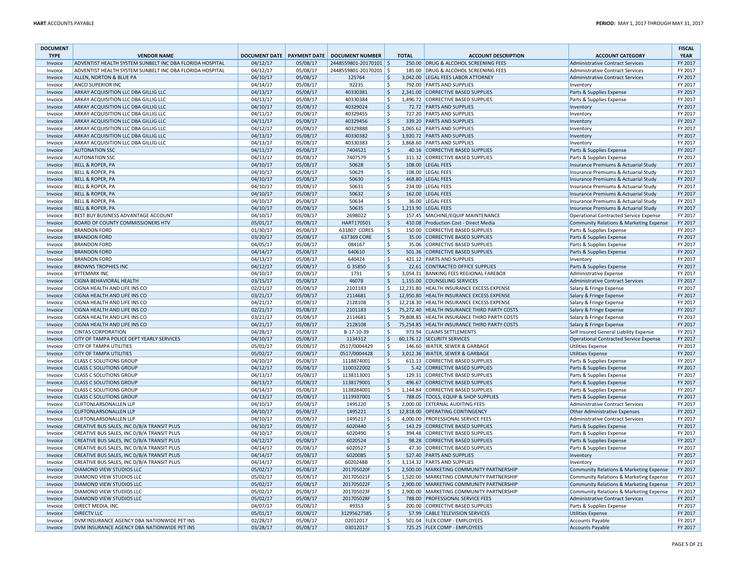| <b>DOCUMENT</b><br><b>TYPE</b> | <b>VENDOR NAME</b>                                                              |                      |                      | DOCUMENT DATE   PAYMENT DATE   DOCUMENT NUMBER |                     | <b>TOTAL</b> | <b>ACCOUNT DESCRIPTION</b>                                                | <b>ACCOUNT CATEGORY</b>                                                           | <b>FISCAL</b><br><b>YEAR</b> |
|--------------------------------|---------------------------------------------------------------------------------|----------------------|----------------------|------------------------------------------------|---------------------|--------------|---------------------------------------------------------------------------|-----------------------------------------------------------------------------------|------------------------------|
| Invoice                        | ADVENTIST HEALTH SYSTEM SUNBELT INC DBA FLORIDA HOSPITAL                        | 04/12/17             | 05/08/17             | 2448559801-20170101 \$                         |                     |              | 250.00 DRUG & ALCOHOL SCREENING FEES                                      | <b>Administrative Contract Services</b>                                           | FY 2017                      |
| Invoice                        | ADVENTIST HEALTH SYSTEM SUNBELT INC DBA FLORIDA HOSPITAL                        | 04/12/17             | 05/08/17             | 2448559801-20170201 \$                         |                     |              | 185.00 DRUG & ALCOHOL SCREENING FEES                                      | <b>Administrative Contract Services</b>                                           | FY 2017                      |
| Invoice                        | ALLEN, NORTON & BLUE PA                                                         | 04/10/17             | 05/08/17             | 125764                                         | Ŝ.                  |              | 3,042.00 LEGAL FEES LABOR ATTORNEY                                        | Administrative Contract Services                                                  | FY 2017                      |
| Invoice                        | ANCO SUPERIOR INC                                                               | 04/14/17             | 05/08/17             | 92235                                          | \$                  |              | 792.00 PARTS AND SUPPLIES                                                 | Inventory                                                                         | FY 2017                      |
| Invoice                        | ARKAY ACQUISITION LLC DBA GILLIG LLC                                            | 04/13/17             | 05/08/17             | 40330381                                       | $\zeta$             |              | 2.341.00 CORRECTIVE BASED SUPPLIES                                        | Parts & Supplies Expense                                                          | FY 2017                      |
| Invoice                        | ARKAY ACQUISITION LLC DBA GILLIG LLC                                            | 04/13/17             | 05/08/17             | 40330384                                       | -\$                 |              | 1,496.72 CORRECTIVE BASED SUPPLIES                                        | Parts & Supplies Expense                                                          | FY 2017                      |
| Invoice                        | ARKAY ACQUISITION LLC DBA GILLIG LLC                                            | 04/10/17             | 05/08/17             | 40329024                                       | ∣\$                 |              | 72.72 PARTS AND SUPPLIES                                                  | Inventory                                                                         | FY 2017                      |
| Invoice                        | ARKAY ACQUISITION LLC DBA GILLIG LLC                                            | 04/11/17             | 05/08/17             | 40329455                                       | $\mathsf{S}$        |              | 727.20 PARTS AND SUPPLIES                                                 | Inventory                                                                         | FY 2017                      |
| Invoice                        | ARKAY ACQUISITION LLC DBA GILLIG LLC                                            | 04/11/17             | 05/08/17             | 40329456                                       | l \$                |              | 339.20 PARTS AND SUPPLIES                                                 | Inventory                                                                         | FY 2017                      |
| Invoice                        | ARKAY ACQUISITION LLC DBA GILLIG LLC                                            | 04/12/17             | 05/08/17             | 40329888                                       | -\$                 |              | 1,065.62 PARTS AND SUPPLIES                                               | Inventory                                                                         | FY 2017                      |
| Invoice                        | ARKAY ACQUISITION LLC DBA GILLIG LLC                                            | 04/13/17             | 05/08/17             | 40330382                                       | $\zeta$             |              | 3,920.72 PARTS AND SUPPLIES                                               | Inventory                                                                         | FY 2017                      |
| Invoice                        | ARKAY ACQUISITION LLC DBA GILLIG LLC                                            | 04/13/17             | 05/08/17             | 40330383                                       | l \$                |              | 3,868.60 PARTS AND SUPPLIES                                               | Inventory                                                                         | FY 2017                      |
| Invoice                        | <b>AUTONATION SSC</b>                                                           | 04/11/17             | 05/08/17             | 7404521                                        | ∣\$                 |              | 40.16 CORRECTIVE BASED SUPPLIES                                           | Parts & Supplies Expense                                                          | FY 2017                      |
| Invoice                        | <b>AUTONATION SSC</b>                                                           | 04/13/17             | 05/08/17             | 7407579                                        | S.                  |              | 311.32 CORRECTIVE BASED SUPPLIES                                          | Parts & Supplies Expense                                                          | FY 2017                      |
| Invoice                        | <b>BELL &amp; ROPER, PA</b>                                                     | 04/10/17             | 05/08/17             | 50628                                          | $\zeta$             |              | 108.00 LEGAL FEES                                                         | Insurance Premiums & Actuarial Study                                              | FY 2017                      |
| Invoice                        | <b>BELL &amp; ROPER, PA</b>                                                     | 04/10/17             | 05/08/17             | 50629                                          | l \$                |              | 108.00 LEGAL FEES                                                         | Insurance Premiums & Actuarial Study                                              | FY 2017                      |
| Invoice                        | <b>BELL &amp; ROPER, PA</b>                                                     | 04/10/17             | 05/08/17             | 50630                                          | l \$                |              | 468.80 LEGAL FEES                                                         | Insurance Premiums & Actuarial Study                                              | FY 2017                      |
| Invoice                        | BELL & ROPER, PA                                                                | 04/10/17             | 05/08/17             | 50631                                          | -\$                 |              | 234.00 LEGAL FEES                                                         | Insurance Premiums & Actuarial Study                                              | FY 2017                      |
| Invoice                        | <b>BELL &amp; ROPER, PA</b>                                                     | 04/10/17             | 05/08/17             | 50632                                          | l \$                |              | 162.00 LEGAL FEES                                                         | Insurance Premiums & Actuarial Study                                              | FY 2017                      |
| Invoice                        | <b>BELL &amp; ROPER, PA</b>                                                     | 04/10/17             | 05/08/17             | 50634                                          | \$                  |              | 36.00 LEGAL FEES                                                          | Insurance Premiums & Actuarial Study                                              | FY 2017                      |
| Invoice                        | <b>BELL &amp; ROPER, PA</b>                                                     | 04/10/17<br>04/10/17 | 05/08/17             | 50635<br>2698022                               | ∣\$<br>l \$         |              | 1,213.90 LEGAL FEES                                                       | Insurance Premiums & Actuarial Study                                              | FY 2017<br>FY 2017           |
| Invoice                        | BEST BUY BUSINESS ADVANTAGE ACCOUNT<br><b>BOARD OF COUNTY COMMISSIONERS HTV</b> | 05/01/17             | 05/08/17             | HART170501                                     | ∣\$                 |              | 157.45 MACHINE/EQUIP MAINTENANCE<br>410.08 Production Cost - Direct Media | Operational Contracted Service Expense<br>Community Relations & Marketing Expense | FY 2017                      |
| Invoice                        | <b>BRANDON FORD</b>                                                             | 01/30/17             | 05/08/17<br>05/08/17 | 631807 CORES                                   | -\$                 |              | 150.00 CORRECTIVE BASED SUPPLIES                                          | Parts & Supplies Expense                                                          | FY 2017                      |
| Invoice<br>Invoice             | <b>BRANDON FORD</b>                                                             | 03/20/17             | 05/08/17             | 637369 CORE                                    | ∣\$                 |              | 35.00 CORRECTIVE BASED SUPPLIES                                           | Parts & Supplies Expense                                                          | FY 2017                      |
| Invoice                        | <b>BRANDON FORD</b>                                                             | 04/05/17             | 05/08/17             | 084167                                         | l \$                |              | 35.06 CORRECTIVE BASED SUPPLIES                                           | Parts & Supplies Expense                                                          | FY 2017                      |
| Invoice                        | <b>BRANDON FORD</b>                                                             | 04/14/17             | 05/08/17             | 640610                                         | ∣\$                 |              | 501.36 CORRECTIVE BASED SUPPLIES                                          | Parts & Supplies Expense                                                          | FY 2017                      |
| Invoice                        | <b>BRANDON FORD</b>                                                             | 04/13/17             | 05/08/17             | 640424                                         | \$                  |              | 421.12 PARTS AND SUPPLIES                                                 | Inventory                                                                         | FY 2017                      |
| Invoice                        | <b>BROWNS TROPHIES INC</b>                                                      | 04/12/17             | 05/08/17             | G 35850                                        | ∣\$                 |              | 22.61 CONTRACTED OFFICE SUPPLIES                                          | Parts & Supplies Expense                                                          | FY 2017                      |
| Invoice                        | <b>BYTEMARK INC</b>                                                             | 04/10/17             | 05/08/17             | 1731                                           | <sub>S</sub>        |              | 3,054.31 BANKING FEES REGIONAL FAREBOX                                    | Administrative Expense                                                            | FY 2017                      |
| Invoice                        | <b>CIGNA BEHAVIORAL HEALTH</b>                                                  | 03/15/17             | 05/08/17             | 46078                                          | <sub>S</sub>        |              | 1,155.00 COUNSELING SERVICES                                              | Administrative Contract Services                                                  | FY 2017                      |
| Invoice                        | CIGNA HEALTH AND LIFE INS CO                                                    | 02/21/17             | 05/08/17             | 2101183                                        | Ŝ.                  |              | 12,231.80 HEALTH INSURANCE EXCESS EXPENSE                                 | Salary & Fringe Expense                                                           | FY 2017                      |
| Invoice                        | CIGNA HEALTH AND LIFE INS CO                                                    | 03/21/17             | 05/08/17             | 2114681                                        | $\zeta$             |              | 12,950.80 HEALTH INSURANCE EXCESS EXPENSE                                 | Salary & Fringe Expense                                                           | FY 2017                      |
| Invoice                        | CIGNA HEALTH AND LIFE INS CO                                                    | 04/21/17             | 05/08/17             | 2128108                                        | \$                  |              | 12,218.30 HEALTH INSURANCE EXCESS EXPENSE                                 | Salary & Fringe Expense                                                           | FY 2017                      |
| Invoice                        | CIGNA HEALTH AND LIFE INS CO                                                    | 02/21/17             | 05/08/17             | 2101183                                        | \$                  |              | 75,272.40 HEALTH INSURANCE THIRD PARTY COSTS                              | Salary & Fringe Expense                                                           | FY 2017                      |
| Invoice                        | CIGNA HEALTH AND LIFE INS CO                                                    | 03/21/17             | 05/08/17             | 2114681                                        | $\mathsf{S}$        |              | 79,808.85 HEALTH INSURANCE THIRD PARTY COSTS                              | Salary & Fringe Expense                                                           | FY 2017                      |
| Invoice                        | CIGNA HEALTH AND LIFE INS CO                                                    | 04/21/17             | 05/08/17             | 2128108                                        | $\mathsf{S}$        |              | 75,254.85 HEALTH INSURANCE THIRD PARTY COSTS                              | Salary & Fringe Expense                                                           | FY 2017                      |
| Invoice                        | <b>CINTAS CORPORATION</b>                                                       | 04/28/17             | 05/08/17             | B-17-10-39                                     | Ŝ.                  |              | 973.94 CLAIMS SETTLEMENTS                                                 | Self Insured General Liability Expense                                            | FY 2017                      |
| Invoice                        | CITY OF TAMPA POLICE DEPT YEARLY SERVICES                                       | 04/10/17             | 05/08/17             | 1134312                                        | S,                  |              | 60,176.12 SECURITY SERVICES                                               | Operational Contracted Service Expense                                            | FY 2017                      |
| Invoice                        | <b>CITY OF TAMPA UTILITIES</b>                                                  | 05/01/17             | 05/08/17             | 0517/0004429                                   | \$                  |              | 146.60 WATER, SEWER & GARBAGE                                             | Utilities Expense                                                                 | FY 2017                      |
| Invoice                        | <b>CITY OF TAMPA UTILITIES</b>                                                  | 05/02/17             | 05/08/17             | 0517/0004428                                   | ∣\$                 |              | 3,012.36 WATER, SEWER & GARBAGE                                           | Utilities Expense                                                                 | FY 2017                      |
| Invoice                        | <b>CLASS C SOLUTIONS GROUP</b>                                                  | 04/10/17             | 05/08/17             | 1118874001                                     | l \$                |              | 611.13 CORRECTIVE BASED SUPPLIES                                          | Parts & Supplies Expense                                                          | FY 2017                      |
| Invoice                        | <b>CLASS C SOLUTIONS GROUP</b>                                                  | 04/12/17             | 05/08/17             | 1100322002                                     | ∣\$                 |              | 5.42 CORRECTIVE BASED SUPPLIES                                            | Parts & Supplies Expense                                                          | FY 2017                      |
| Invoice                        | <b>CLASS C SOLUTIONS GROUP</b>                                                  | 04/13/17             | 05/08/17             | 1138113001                                     | S.                  |              | 129.31 CORRECTIVE BASED SUPPLIES                                          | Parts & Supplies Expense                                                          | FY 2017                      |
| Invoice                        | <b>CLASS C SOLUTIONS GROUP</b>                                                  | 04/13/17             | 05/08/17             | 1138179001                                     | $\ddot{\mathsf{S}}$ |              | 496.67 CORRECTIVE BASED SUPPLIES                                          | Parts & Supplies Expense                                                          | FY 2017                      |
| Invoice                        | <b>CLASS C SOLUTIONS GROUP</b>                                                  | 04/14/17<br>04/13/17 | 05/08/17             | 1138284001                                     | Ŝ.<br>l \$          |              | 1,144.84 CORRECTIVE BASED SUPPLIES                                        | Parts & Supplies Expense                                                          | FY 2017<br>FY 2017           |
| Invoice                        | <b>CLASS C SOLUTIONS GROUP</b><br><b>CLIFTONLARSONALLEN LLP</b>                 |                      | 05/08/17             | 1119937001                                     | -Ś                  |              | 788.05 TOOLS, EQUIP & SHOP SUPPLIES<br>2,000.00 EXTERNAL AUDITING FEES    | Parts & Supplies Expense                                                          | FY 2017                      |
| Invoice                        | <b>CLIFTONLARSONALLEN LLP</b>                                                   | 04/10/17<br>04/10/17 | 05/08/17<br>05/08/17 | 1495220<br>1495221                             | \$                  |              | 12,818.00 OPERATING CONTINGENCY                                           | Administrative Contract Services<br>Other Administrative Expenses                 | FY 2017                      |
| Invoice                        | <b>CLIFTONLARSONALLEN LLP</b>                                                   | 04/10/17             | 05/08/17             | 1495217                                        | \$                  |              | 4,000.00 PROFESSIONAL SERVICE FEES                                        | Administrative Contract Services                                                  | FY 2017                      |
| Invoice<br>Invoice             | CREATIVE BUS SALES, INC D/B/A TRANSIT PLUS                                      | 04/10/17             | 05/08/17             | 6020440                                        | $\zeta$             |              | 143.29 CORRECTIVE BASED SUPPLIES                                          | Parts & Supplies Expense                                                          | FY 2017                      |
| Invoice                        | CREATIVE BUS SALES, INC D/B/A TRANSIT PLUS                                      | 04/10/17             | 05/08/17             | 6020490                                        | l \$                |              | 394.48 CORRECTIVE BASED SUPPLIES                                          | Parts & Supplies Expense                                                          | FY 2017                      |
| Invoice                        | CREATIVE BUS SALES, INC D/B/A TRANSIT PLUS                                      | 04/12/17             | 05/08/17             | 6020524                                        | $\zeta$             |              | 98.28 CORRECTIVE BASED SUPPLIES                                           | Parts & Supplies Expense                                                          | FY 2017                      |
| Invoice                        | CREATIVE BUS SALES, INC D/B/A TRANSIT PLUS                                      | 04/14/17             | 05/08/17             | 6020527                                        | \$                  |              | 47.30 CORRECTIVE BASED SUPPLIES                                           | Parts & Supplies Expense                                                          | FY 2017                      |
| Invoice                        | CREATIVE BUS SALES, INC D/B/A TRANSIT PLUS                                      | 04/14/17             | 05/08/17             | 6020085                                        | Ŝ.                  |              | 527.40 PARTS AND SUPPLIES                                                 | Inventory                                                                         | FY 2017                      |
| Invoice                        | CREATIVE BUS SALES, INC D/B/A TRANSIT PLUS                                      | 04/14/17             | 05/08/17             | 6020248B                                       | -S                  |              | 3,114.32 PARTS AND SUPPLIES                                               | Inventory                                                                         | FY 2017                      |
| Invoice                        | <b>DIAMOND VIEW STUDIOS LLC</b>                                                 | 05/02/17             | 05/08/17             | 201705020F                                     | \$                  |              | 2,500.00 MARKETING COMMUNITY PARTNERSHIP                                  | Community Relations & Marketing Expense                                           | FY 2017                      |
| Invoice                        | <b>DIAMOND VIEW STUDIOS LLC</b>                                                 | 05/02/17             | 05/08/17             | 201705021F                                     | -Ś                  |              | 1,520.00 MARKETING COMMUNITY PARTNERSHIP                                  | Community Relations & Marketing Expense                                           | FY 2017                      |
| Invoice                        | <b>DIAMOND VIEW STUDIOS LLC</b>                                                 | 05/02/17             | 05/08/17             | 201705022F                                     | \$                  |              | 2,900.00 MARKETING COMMUNITY PARTNERSHIP                                  | Community Relations & Marketing Expense                                           | FY 2017                      |
| Invoice                        | <b>DIAMOND VIEW STUDIOS LLC</b>                                                 | 05/02/17             | 05/08/17             | 201705023F                                     | l \$                |              | 2,900.00 MARKETING COMMUNITY PARTNERSHIP                                  | Community Relations & Marketing Expense                                           | FY 2017                      |
| Invoice                        | <b>DIAMOND VIEW STUDIOS LLC</b>                                                 | 05/02/17             | 05/08/17             | 201705028F                                     | \$                  |              | 788.00 PROFESSIONAL SERVICE FEES                                          | Administrative Contract Services                                                  | FY 2017                      |
| Invoice                        | DIRECT MEDIA, INC.                                                              | 04/07/17             | 05/08/17             | 49353                                          | ۱\$.                |              | 200.00 CORRECTIVE BASED SUPPLIES                                          | Parts & Supplies Expense                                                          | FY 2017                      |
| Invoice                        | <b>DIRECTV LLC</b>                                                              | 05/01/17             | 05/08/17             | 31295627585                                    | \$                  |              | 57.99 CABLE TELEVISION SERVICES                                           | Utilities Expense                                                                 | FY 2017                      |
| Invoice                        | DVM INSURANCE AGENCY DBA NATIONWIDE PET INS                                     | 02/28/17             | 05/08/17             | 02012017                                       | -\$                 |              | 501.04 FLEX COMP - EMPLOYEES                                              | Accounts Payable                                                                  | FY 2017                      |
| Invoice                        | DVM INSURANCE AGENCY DBA NATIONWIDE PET INS                                     | 03/28/17             | 05/08/17             | 03012017                                       | l \$                |              | 725.25 FLEX COMP - EMPLOYEES                                              | Accounts Payable                                                                  | FY 2017                      |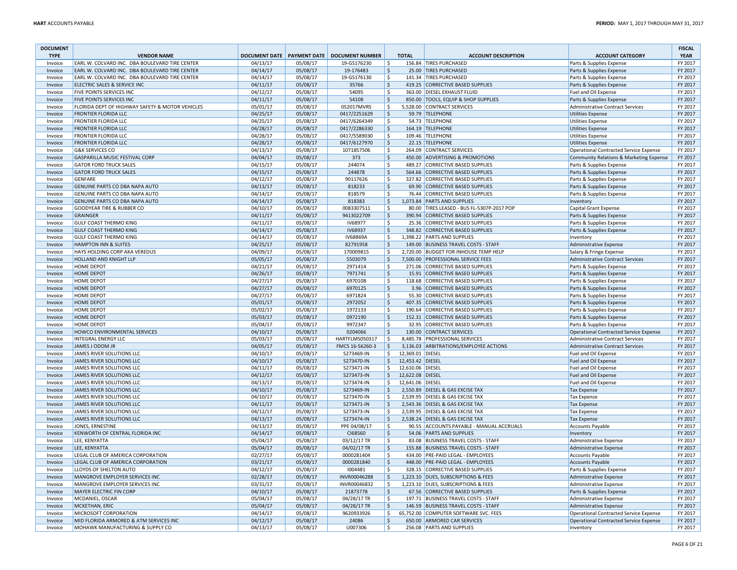| <b>DOCUMENT</b><br><b>TYPE</b> | <b>VENDOR NAME</b>                              |          |          | DOCUMENT DATE   PAYMENT DATE   DOCUMENT NUMBER |                    | <b>TOTAL</b>     | <b>ACCOUNT DESCRIPTION</b>                 | <b>ACCOUNT CATEGORY</b>                       | <b>FISCAL</b><br><b>YEAR</b> |
|--------------------------------|-------------------------------------------------|----------|----------|------------------------------------------------|--------------------|------------------|--------------------------------------------|-----------------------------------------------|------------------------------|
| Invoice                        | EARL W. COLVARD INC. DBA BOULEVARD TIRE CENTER  | 04/13/17 | 05/08/17 | 19-GS176230                                    | Ŝ.                 |                  | 156.84 TIRES PURCHASED                     | Parts & Supplies Expense                      | FY 2017                      |
| Invoice                        | EARL W. COLVARD INC. DBA BOULEVARD TIRE CENTER  | 04/14/17 | 05/08/17 | 19-176483                                      | \$                 |                  | 25.00 TIRES PURCHASED                      | Parts & Supplies Expense                      | FY 2017                      |
| Invoice                        | EARL W. COLVARD INC. DBA BOULEVARD TIRE CENTER  | 04/14/17 | 05/08/17 | 19-GS176130                                    | $\zeta$            |                  | 141.34 TIRES PURCHASED                     | Parts & Supplies Expense                      | FY 2017                      |
| Invoice                        | ELECTRIC SALES & SERVICE INC                    | 04/11/17 | 05/08/17 | 35766                                          | l \$               |                  | 419.25 CORRECTIVE BASED SUPPLIES           | Parts & Supplies Expense                      | FY 2017                      |
| Invoice                        | FIVE POINTS SERVICES INC                        | 04/12/17 | 05/08/17 | 54095                                          | -\$                |                  | 363.00 DIESEL EXHAUST FLUID                | Fuel and Oil Expense                          | FY 2017                      |
| Invoice                        | <b>FIVE POINTS SERVICES INC</b>                 | 04/11/17 | 05/08/17 | 54108                                          | ∣\$                |                  | 850.00 TOOLS, EQUIP & SHOP SUPPLIES        | Parts & Supplies Expense                      | FY 2017                      |
| Invoice                        | FLORIDA DEPT OF HIGHWAY SAFETY & MOTOR VEHICLES | 05/01/17 | 05/08/17 | 052017MVRS                                     | ۱Ś                 |                  | 5,528.00 CONTRACT SERVICES                 | <b>Administrative Contract Services</b>       | FY 2017                      |
| Invoice                        | <b>FRONTIER FLORIDA LLC</b>                     | 04/25/17 | 05/08/17 | 0417/2251629                                   | \$                 |                  | 59.79 TELEPHONE                            | <b>Utilities Expense</b>                      | FY 2017                      |
| Invoice                        | <b>FRONTIER FLORIDA LLC</b>                     | 04/25/17 | 05/08/17 | 0417/6264349                                   | \$                 |                  | 54.73 TELEPHONE                            | <b>Utilities Expense</b>                      | FY 2017                      |
| Invoice                        | <b>FRONTIER FLORIDA LLC</b>                     | 04/28/17 | 05/08/17 | 0417/2286330                                   | $\mathsf{S}$       |                  | 164.19 TELEPHONE                           | <b>Utilities Expense</b>                      | FY 2017                      |
| Invoice                        | <b>FRONTIER FLORIDA LLC</b>                     | 04/28/17 | 05/08/17 | 0417/5589030                                   | l \$               |                  | 109.46 TELEPHONE                           | <b>Utilities Expense</b>                      | FY 2017                      |
| Invoice                        | <b>FRONTIER FLORIDA LLC</b>                     | 04/28/17 | 05/08/17 | 0417/6127970                                   | \$                 |                  | 22.15 TELEPHONE                            | <b>Utilities Expense</b>                      | FY 2017                      |
| Invoice                        | <b>G&amp;K SERVICES CO</b>                      | 04/13/17 | 05/08/17 | 1071857506                                     | Ŝ.                 |                  | 264.09 CONTRACT SERVICES                   | <b>Operational Contracted Service Expense</b> | FY 2017                      |
| Invoice                        | GASPARILLA MUSIC FESTIVAL CORP                  | 04/04/17 | 05/08/17 | 373                                            | S.                 |                  | 450.00 ADVERTISING & PROMOTIONS            | Community Relations & Marketing Expense       | FY 2017                      |
| Invoice                        | <b>GATOR FORD TRUCK SALES</b>                   | 04/15/17 | 05/08/17 | 244074                                         | \$                 |                  | 489.27 CORRECTIVE BASED SUPPLIES           | Parts & Supplies Expense                      | FY 2017                      |
| Invoice                        | <b>GATOR FORD TRUCK SALES</b>                   | 04/15/17 | 05/08/17 | 244878                                         | ∣\$                |                  | 564.66 CORRECTIVE BASED SUPPLIES           | Parts & Supplies Expense                      | FY 2017                      |
| Invoice                        | <b>GENFARE</b>                                  | 04/12/17 | 05/08/17 | 90117626                                       | -\$                |                  | 327.82 CORRECTIVE BASED SUPPLIES           | Parts & Supplies Expense                      | FY 2017                      |
| Invoice                        | GENUINE PARTS CO DBA NAPA AUTO                  | 04/13/17 | 05/08/17 | 818233                                         | ∣\$                |                  | 69.90 CORRECTIVE BASED SUPPLIES            | Parts & Supplies Expense                      | FY 2017                      |
| Invoice                        | GENUINE PARTS CO DBA NAPA AUTO                  | 04/14/17 | 05/08/17 | 818579                                         | l \$               |                  | 76.44 CORRECTIVE BASED SUPPLIES            | Parts & Supplies Expense                      | FY 2017                      |
| Invoice                        | GENUINE PARTS CO DBA NAPA AUTO                  | 04/14/17 | 05/08/17 | 818383                                         | $\ddot{\varsigma}$ |                  | 1,073.84 PARTS AND SUPPLIES                | Inventory                                     | FY 2017                      |
| Invoice                        | <b>GOODYEAR TIRE &amp; RUBBER CO</b>            | 04/10/17 | 05/08/17 | 0083307511                                     | ۱Ś                 |                  | 80.00 TIRES LEASED - BUS FL-5307P-2017 POP | Capital Grant Expense                         | FY 2017                      |
| Invoice                        | <b>GRAINGER</b>                                 | 04/11/17 | 05/08/17 | 9413022709                                     | \$                 |                  | 390.94 CORRECTIVE BASED SUPPLIES           | Parts & Supplies Expense                      | FY 2017                      |
| Invoice                        | <b>GULF COAST THERMO KING</b>                   | 04/11/17 | 05/08/17 | IV68977                                        | $\zeta$            |                  | 25.36 CORRECTIVE BASED SUPPLIES            | Parts & Supplies Expense                      | FY 2017                      |
| Invoice                        | <b>GULF COAST THERMO KING</b>                   | 04/14/17 | 05/08/17 | IV68937                                        | S.                 |                  | 348.82 CORRECTIVE BASED SUPPLIES           | Parts & Supplies Expense                      | FY 2017                      |
| Invoice                        | <b>GULF COAST THERMO KING</b>                   | 04/14/17 | 05/08/17 | <b>IV68869A</b>                                | $\zeta$            |                  | 1.398.22 PARTS AND SUPPLIES                | Inventory                                     | FY 2017                      |
| Invoice                        | <b>HAMPTON INN &amp; SUITES</b>                 | 04/25/17 | 05/08/17 | 82791958                                       | ۱\$                |                  | 149.00 BUSINESS TRAVEL COSTS - STAFF       | Administrative Expense                        | FY 2017                      |
| Invoice                        | HAYS HOLDING CORP AKA VEREDUS                   | 04/09/17 | 05/08/17 | 170009815                                      | ۱Ś                 |                  | 2,720.00 BUDGET FOR INHOUSE TEMP HELP      | Salary & Fringe Expense                       | FY 2017                      |
| Invoice                        | HOLLAND AND KNIGHT LLP                          | 05/05/17 | 05/08/17 | 5503079                                        | ∣\$                |                  | 7,500.00 PROFESSIONAL SERVICE FEES         | <b>Administrative Contract Services</b>       | FY 2017                      |
| Invoice                        | <b>HOME DEPOT</b>                               | 04/21/17 | 05/08/17 | 2971414                                        | l \$               |                  | 271.06 CORRECTIVE BASED SUPPLIES           | Parts & Supplies Expense                      | FY 2017                      |
| Invoice                        | <b>HOME DEPOT</b>                               | 04/26/17 | 05/08/17 | 7971741                                        | $\ddot{\varsigma}$ |                  | 15.91 CORRECTIVE BASED SUPPLIES            | Parts & Supplies Expense                      | FY 2017                      |
| Invoice                        | <b>HOME DEPOT</b>                               | 04/27/17 | 05/08/17 | 6970108                                        | l \$               |                  | 118.68 CORRECTIVE BASED SUPPLIES           | Parts & Supplies Expense                      | FY 2017                      |
| Invoice                        | <b>HOME DEPOT</b>                               | 04/27/17 | 05/08/17 | 6970125                                        | \$                 |                  | 3.96 CORRECTIVE BASED SUPPLIES             | Parts & Supplies Expense                      | FY 2017                      |
| Invoice                        | <b>HOME DEPOT</b>                               | 04/27/17 | 05/08/17 | 6971824                                        | $\zeta$            |                  | 55.30 CORRECTIVE BASED SUPPLIES            | Parts & Supplies Expense                      | FY 2017                      |
| Invoice                        | <b>HOME DEPOT</b>                               | 05/01/17 | 05/08/17 | 2972052                                        | l \$               |                  | 407.35 CORRECTIVE BASED SUPPLIES           | Parts & Supplies Expense                      | FY 2017                      |
| Invoice                        | <b>HOME DEPOT</b>                               | 05/02/17 | 05/08/17 | 1972133                                        | l \$               |                  | 190.64 CORRECTIVE BASED SUPPLIES           | Parts & Supplies Expense                      | FY 2017                      |
| Invoice                        | <b>HOME DEPOT</b>                               | 05/03/17 | 05/08/17 | 0972190                                        | ∣\$                |                  | 152.31 CORRECTIVE BASED SUPPLIES           | Parts & Supplies Expense                      | FY 2017                      |
| Invoice                        | <b>HOME DEPOT</b>                               | 05/04/17 | 05/08/17 | 9972347                                        | -\$                |                  | 32.95 CORRECTIVE BASED SUPPLIES            | Parts & Supplies Expense                      | FY 2017                      |
| Invoice                        | HOWCO ENVIRONMENTAL SERVICES                    | 04/10/17 | 05/08/17 | 0204066                                        | ∣\$                |                  | 130.00 CONTRACT SERVICES                   | <b>Operational Contracted Service Expense</b> | FY 2017                      |
| Invoice                        | <b>INTEGRAL ENERGY LLC</b>                      | 05/03/17 | 05/08/17 | HARTFLMS050317                                 | ۱s                 |                  | 8,485.78 PROFESSIONAL SERVICES             | <b>Administrative Contract Services</b>       | FY 2017                      |
| Invoice                        | JAMES J ODOM JR                                 | 04/05/17 | 05/08/17 | FMCS 16-56260-3                                | \$                 |                  | 3,136.03 ARBITRATIONS/EMPLOYEE ACTIONS     | <b>Administrative Contract Services</b>       | FY 2017                      |
| Invoice                        | JAMES RIVER SOLUTIONS LLC                       | 04/10/17 | 05/08/17 | S273469-IN                                     | Ŝ.                 | 12,369.01 DIESEL |                                            | Fuel and Oil Expense                          | FY 2017                      |
| Invoice                        | JAMES RIVER SOLUTIONS LLC                       | 04/10/17 | 05/08/17 | S273470-IN                                     | S,                 | 12,453.42 DIESEL |                                            | Fuel and Oil Expense                          | FY 2017                      |
| Invoice                        | JAMES RIVER SOLUTIONS LLC                       | 04/11/17 | 05/08/17 | S273471-IN                                     | \$                 | 12,610.06 DIESEL |                                            | Fuel and Oil Expense                          | FY 2017                      |
| Invoice                        | JAMES RIVER SOLUTIONS LLC                       | 04/12/17 | 05/08/17 | S273473-IN                                     | S.                 | 12,622.08 DIESEL |                                            | Fuel and Oil Expense                          | FY 2017                      |
| Invoice                        | JAMES RIVER SOLUTIONS LLC                       | 04/13/17 | 05/08/17 | S273474-IN                                     | Ŝ.                 | 12,641.06 DIESEL |                                            | Fuel and Oil Expense                          | FY 2017                      |
| Invoice                        | JAMES RIVER SOLUTIONS LLC                       | 04/10/17 | 05/08/17 | S273469-IN                                     | S.                 |                  | 2,550.89 DIESEL & GAS EXCISE TAX           | <b>Tax Expense</b>                            | FY 2017                      |
| Invoice                        | JAMES RIVER SOLUTIONS LLC                       | 04/10/17 | 05/08/17 | S273470-IN                                     | -\$                |                  | 2,539.95 DIESEL & GAS EXCISE TAX           | <b>Tax Expense</b>                            | FY 2017                      |
| Invoice                        | JAMES RIVER SOLUTIONS LLC                       | 04/11/17 | 05/08/17 | S273471-IN                                     | S.                 |                  | 2,543.36 DIESEL & GAS EXCISE TAX           | <b>Tax Expense</b>                            | FY 2017                      |
| Invoice                        | JAMES RIVER SOLUTIONS LLC                       | 04/12/17 | 05/08/17 | S273473-IN                                     | \$                 |                  | 2,539.95 DIESEL & GAS EXCISE TAX           | <b>Tax Expense</b>                            | FY 2017                      |
| Invoice                        | JAMES RIVER SOLUTIONS LLC                       | 04/13/17 | 05/08/17 | S273474-IN                                     | ∣\$                |                  | 2,538.24 DIESEL & GAS EXCISE TAX           | <b>Tax Expense</b>                            | FY 2017                      |
| Invoice                        | JONES, ERNESTINE                                | 04/13/17 | 05/08/17 | PPE 04/08/17                                   | l \$               |                  | 90.55 ACCOUNTS PAYABLE - MANUAL ACCRUALS   | <b>Accounts Payable</b>                       | FY 2017                      |
| Invoice                        | KENWORTH OF CENTRAL FLORIDA INC                 | 04/14/17 | 05/08/17 | CI68560                                        | \$                 |                  | 54.06 PARTS AND SUPPLIES                   | Inventory                                     | FY 2017                      |
| Invoice                        | LEE, KENYATTA                                   | 05/04/17 | 05/08/17 | 03/12/17 TR                                    | -\$                |                  | 83.08 BUSINESS TRAVEL COSTS - STAFF        | Administrative Expense                        | FY 2017                      |
| Invoice                        | LEE, KENYATTA                                   | 05/04/17 | 05/08/17 | 04/02/17 TR                                    | S.                 |                  | 155.88 BUSINESS TRAVEL COSTS - STAFF       | Administrative Expense                        | FY 2017                      |
| Invoice                        | LEGAL CLUB OF AMERICA CORPORATION               | 02/27/17 | 05/08/17 | 0000281404                                     | -\$                |                  | 434.00 PRE-PAID LEGAL - EMPLOYEES          | <b>Accounts Payable</b>                       | FY 2017                      |
| Invoice                        | LEGAL CLUB OF AMERICA CORPORATION               | 03/21/17 | 05/08/17 | 0000281840                                     | -S                 |                  | 448.00 PRE-PAID LEGAL - EMPLOYEES          | <b>Accounts Payable</b>                       | FY 2017                      |
| Invoice                        | LLOYDS OF SHELTON AUTO                          | 04/12/17 | 05/08/17 | 1004481                                        | $\zeta$            |                  | 328.15 CORRECTIVE BASED SUPPLIES           | Parts & Supplies Expense                      | FY 2017                      |
| Invoice                        | MANGROVE EMPLOYER SERVICES INC                  | 02/28/17 | 05/08/17 | INVR00046288                                   | l \$               |                  | 1,223.10 DUES, SUBSCRIPTIONS & FEES        | Administrative Expense                        | FY 2017                      |
| Invoice                        | MANGROVE EMPLOYER SERVICES INC                  | 03/31/17 | 05/08/17 | INVR00046832                                   | ۱\$                |                  | 1,223.10 DUES, SUBSCRIPTIONS & FEES        | Administrative Expense                        | FY 2017                      |
| Invoice                        | MAYER ELECTRIC FIN CORP                         | 04/10/17 | 05/08/17 | 21873778                                       | $\zeta$            |                  | 67.56 CORRECTIVE BASED SUPPLIES            | Parts & Supplies Expense                      | FY 2017                      |
| Invoice                        | MCDANIEL, OSCAR                                 | 05/04/17 | 05/08/17 | 04/28/17 TR                                    | l \$               |                  | 197.71 BUSINESS TRAVEL COSTS - STAFF       | Administrative Expense                        | FY 2017                      |
| Invoice                        | MCKETHAN, ERIC                                  | 05/04/17 | 05/08/17 | 04/28/17 TR                                    | \$                 |                  | 146.59 BUSINESS TRAVEL COSTS - STAFF       | Administrative Expense                        | FY 2017                      |
| Invoice                        | MICROSOFT CORPORATION                           | 04/14/17 | 05/08/17 | 9620933926                                     | \$                 |                  | 65,752.00 COMPUTER SOFTWARE SVC. FEES      | <b>Operational Contracted Service Expense</b> | FY 2017                      |
| Invoice                        | MID FLORIDA ARMORED & ATM SERVICES INC          | 04/12/17 | 05/08/17 | 24086                                          | $\ddot{\varsigma}$ |                  | 650.00 ARMORED CAR SERVICES                | Operational Contracted Service Expense        | FY 2017                      |
| Invoice                        | MOHAWK MANUFACTURING & SUPPLY CO                | 04/13/17 | 05/08/17 | U007306                                        | -Ŝ                 |                  | 256.08 PARTS AND SUPPLIES                  | Inventory                                     | FY 2017                      |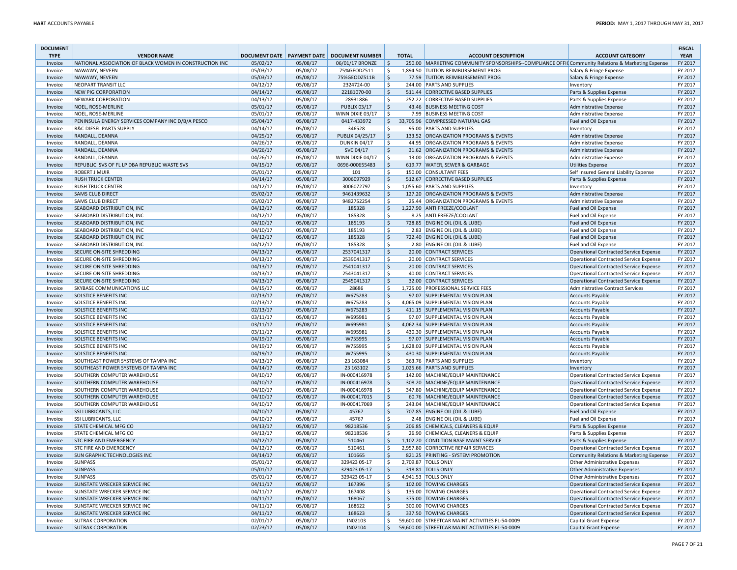| <b>DOCUMENT</b><br><b>TYPE</b> | <b>VENDOR NAME</b>                                      |          |          | DOCUMENT DATE   PAYMENT DATE   DOCUMENT NUMBER |                     | <b>TOTAL</b> | <b>ACCOUNT DESCRIPTION</b>                                                                        | <b>ACCOUNT CATEGORY</b>                 | <b>FISCAL</b><br><b>YEAR</b> |
|--------------------------------|---------------------------------------------------------|----------|----------|------------------------------------------------|---------------------|--------------|---------------------------------------------------------------------------------------------------|-----------------------------------------|------------------------------|
| Invoice                        | NATIONAL ASSOCIATION OF BLACK WOMEN IN CONSTRUCTION INC | 05/02/17 | 05/08/17 | 06/01/17 BRONZE                                | $\ddot{\varsigma}$  |              | 250.00 MARKETING COMMUNITY SPONSORSHIPS--COMPLIANCE OFFI( Community Relations & Marketing Expense |                                         | FY 2017                      |
| Invoice                        | NAWAWY, NEVEEN                                          | 05/03/17 | 05/08/17 | 75%GEODZ511                                    | S.                  |              | 1,894.50 TUITION REIMBURSEMENT PROG                                                               | Salary & Fringe Expense                 | FY 2017                      |
| Invoice                        | NAWAWY, NEVEEN                                          | 05/03/17 | 05/08/17 | 75%GEODZ511B                                   | $\ddot{\varsigma}$  |              | 77.59 TUITION REIMBURSEMENT PROG                                                                  | Salary & Fringe Expense                 | FY 2017                      |
| Invoice                        | <b>NEOPART TRANSIT LLC</b>                              | 04/12/17 | 05/08/17 | 2324724-00                                     | \$                  |              | 244.00 PARTS AND SUPPLIES                                                                         | Inventory                               | FY 2017                      |
| Invoice                        | <b>NEW PIG CORPORATION</b>                              | 04/14/17 | 05/08/17 | 22181070-00                                    | ۱\$                 |              | 511.44 CORRECTIVE BASED SUPPLIES                                                                  | Parts & Supplies Expense                | FY 2017                      |
| Invoice                        | <b>NEWARK CORPORATION</b>                               | 04/13/17 | 05/08/17 | 28931886                                       | $\zeta$             |              | 252.22 CORRECTIVE BASED SUPPLIES                                                                  | Parts & Supplies Expense                | FY 2017                      |
| Invoice                        | NOEL, ROSE-MERLINE                                      | 05/01/17 | 05/08/17 | <b>PUBLIX 03/17</b>                            | l \$                |              | 43.46 BUSINESS MEETING COST                                                                       | Administrative Expense                  | FY 2017                      |
| Invoice                        | NOEL, ROSE-MERLINE                                      | 05/01/17 | 05/08/17 | WINN DIXIE 03/17                               | l\$                 |              | 7.99 BUSINESS MEETING COST                                                                        | <b>Administrative Expense</b>           | FY 2017                      |
| Invoice                        | PENINSULA ENERGY SERVICES COMPANY INC D/B/A PESCO       | 05/04/17 | 05/08/17 | 0417-433972                                    | $\frac{1}{2}$       |              | 33,705.96 COMPRESSED NATURAL GAS                                                                  | Fuel and Oil Expense                    | FY 2017                      |
| Invoice                        | <b>R&amp;C DIESEL PARTS SUPPLY</b>                      | 04/14/17 | 05/08/17 | 346528                                         | $\mathsf{S}$        |              | 95.00 PARTS AND SUPPLIES                                                                          | Inventory                               | FY 2017                      |
| Invoice                        | RANDALL, DEANNA                                         | 04/25/17 | 05/08/17 | PUBLIX 04/25/17                                | l\$                 |              | 133.52 ORGANIZATION PROGRAMS & EVENTS                                                             | <b>Administrative Expense</b>           | FY 2017                      |
| Invoice                        | RANDALL, DEANNA                                         | 04/26/17 | 05/08/17 | <b>DUNKIN 04/17</b>                            | l s                 |              | 44.95 ORGANIZATION PROGRAMS & EVENTS                                                              | Administrative Expense                  | FY 2017                      |
| Invoice                        | RANDALL, DEANNA                                         | 04/26/17 | 05/08/17 | SVC 04/17                                      | l \$                |              | 31.62 ORGANIZATION PROGRAMS & EVENTS                                                              | Administrative Expense                  | FY 2017                      |
| Invoice                        | RANDALL, DEANNA                                         | 04/26/17 | 05/08/17 | WINN DIXIE 04/17                               | l\$                 |              | 13.00 ORGANIZATION PROGRAMS & EVENTS                                                              | Administrative Expense                  | FY 2017                      |
| Invoice                        | REPUBLIC SVS OF FL LP DBA REPUBLIC WASTE SVS            | 04/15/17 | 05/08/17 | 0696-000655483                                 | $\ddot{\mathsf{S}}$ |              | 619.77 WATER, SEWER & GARBAGE                                                                     | <b>Utilities Expense</b>                | FY 2017                      |
| Invoice                        | <b>ROBERT J MUIR</b>                                    | 05/01/17 | 05/08/17 | 101                                            | $\zeta$             |              | 150.00 CONSULTANT FEES                                                                            | Self Insured General Liability Expense  | FY 2017                      |
| Invoice                        | <b>RUSH TRUCK CENTER</b>                                | 04/14/17 | 05/08/17 | 3006097929                                     | l\$                 |              | 512.67 CORRECTIVE BASED SUPPLIES                                                                  | Parts & Supplies Expense                | FY 2017                      |
| Invoice                        | <b>RUSH TRUCK CENTER</b>                                | 04/12/17 | 05/08/17 | 3006072797                                     | \$                  |              | 1,055.60 PARTS AND SUPPLIES                                                                       | Inventory                               | FY 2017                      |
| Invoice                        | <b>SAMS CLUB DIRECT</b>                                 | 05/02/17 | 05/08/17 | 9461439632                                     | l\$                 |              | 127.20 ORGANIZATION PROGRAMS & EVENTS                                                             | Administrative Expense                  | FY 2017                      |
| Invoice                        | <b>SAMS CLUB DIRECT</b>                                 | 05/02/17 | 05/08/17 | 9482752254                                     | $\mathsf{S}$        |              | 25.44 ORGANIZATION PROGRAMS & EVENTS                                                              | Administrative Expense                  | FY 2017                      |
| Invoice                        | SEABOARD DISTRIBUTION, INC                              | 04/12/17 | 05/08/17 | 185328                                         | $\ddot{\varsigma}$  |              | 1,227.90 ANTI FREEZE/COOLANT                                                                      | Fuel and Oil Expense                    | FY 2017                      |
| Invoice                        | SEABOARD DISTRIBUTION, INC                              | 04/12/17 | 05/08/17 | 185328                                         | $\zeta$             |              | 8.25 ANTI FREEZE/COOLANT                                                                          | Fuel and Oil Expense                    | FY 2017                      |
| Invoice                        | SEABOARD DISTRIBUTION. INC                              | 04/10/17 | 05/08/17 | 185193                                         | $\ddot{\varsigma}$  |              | 728.85 ENGINE OIL (OIL & LUBE)                                                                    | Fuel and Oil Expense                    | FY 2017                      |
| Invoice                        | SEABOARD DISTRIBUTION, INC                              | 04/10/17 | 05/08/17 | 185193                                         | \$                  |              | 2.83 ENGINE OIL (OIL & LUBE)                                                                      | Fuel and Oil Expense                    | FY 2017                      |
| Invoice                        | SEABOARD DISTRIBUTION, INC                              | 04/12/17 | 05/08/17 | 185328                                         | $\ddot{\varsigma}$  |              | 722.40 ENGINE OIL (OIL & LUBE)                                                                    | Fuel and Oil Expense                    | FY 2017                      |
| Invoice                        | SEABOARD DISTRIBUTION, INC                              | 04/12/17 | 05/08/17 | 185328                                         | \$                  |              | 2.80 ENGINE OIL (OIL & LUBE)                                                                      | Fuel and Oil Expense                    | FY 2017                      |
| Invoice                        | <b>SECURE ON-SITE SHREDDING</b>                         | 04/13/17 | 05/08/17 | 2537041317                                     | l \$                |              | 20.00 CONTRACT SERVICES                                                                           | Operational Contracted Service Expense  | FY 2017                      |
| Invoice                        | SECURE ON-SITE SHREDDING                                | 04/13/17 | 05/08/17 | 2539041317                                     | \$                  |              | 20.00 CONTRACT SERVICES                                                                           | Operational Contracted Service Expense  | FY 2017                      |
| Invoice                        | SECURE ON-SITE SHREDDING                                | 04/13/17 | 05/08/17 | 2541041317                                     | l \$                |              | 20.00 CONTRACT SERVICES                                                                           | Operational Contracted Service Expense  | FY 2017                      |
| Invoice                        | SECURE ON-SITE SHREDDING                                | 04/13/17 | 05/08/17 | 2543041317                                     | $\mathsf{S}$        |              | 40.00 CONTRACT SERVICES                                                                           | Operational Contracted Service Expense  | FY 2017                      |
| Invoice                        | SECURE ON-SITE SHREDDING                                | 04/13/17 | 05/08/17 | 2545041317                                     | $\ddot{\varsigma}$  |              | 32.00 CONTRACT SERVICES                                                                           | Operational Contracted Service Expense  | FY 2017                      |
| Invoice                        | SKYBASE COMMUNICATIONS LLC                              | 04/15/17 | 05/08/17 | 28686                                          | \$                  |              | 1,725.00 PROFESSIONAL SERVICE FEES                                                                | <b>Administrative Contract Services</b> | FY 2017                      |
| Invoice                        | <b>SOLSTICE BENEFITS INC</b>                            | 02/13/17 | 05/08/17 | W675283                                        | $\ddot{\varsigma}$  |              | 97.07 SUPPLEMENTAL VISION PLAN                                                                    | <b>Accounts Payable</b>                 | FY 2017                      |
| Invoice                        | SOLSTICE BENEFITS INC                                   | 02/13/17 | 05/08/17 | W675283                                        | $\ddot{\mathsf{S}}$ |              | 4,065.09 SUPPLEMENTAL VISION PLAN                                                                 | <b>Accounts Payable</b>                 | FY 2017                      |
| Invoice                        | <b>SOLSTICE BENEFITS INC</b>                            | 02/13/17 | 05/08/17 | W675283                                        | $\ddot{\varsigma}$  |              | 411.15 SUPPLEMENTAL VISION PLAN                                                                   | <b>Accounts Payable</b>                 | FY 2017                      |
| Invoice                        | SOLSTICE BENEFITS INC                                   | 03/11/17 | 05/08/17 | W695981                                        | $\zeta$             |              | 97.07 SUPPLEMENTAL VISION PLAN                                                                    | <b>Accounts Payable</b>                 | FY 2017                      |
| Invoice                        | <b>SOLSTICE BENEFITS INC</b>                            | 03/11/17 | 05/08/17 | W695981                                        | l \$                |              | 4,062.34 SUPPLEMENTAL VISION PLAN                                                                 | <b>Accounts Payable</b>                 | FY 2017                      |
| Invoice                        | SOLSTICE BENEFITS INC                                   | 03/11/17 | 05/08/17 | W695981                                        | -\$                 |              | 430.30 SUPPLEMENTAL VISION PLAN                                                                   | <b>Accounts Payable</b>                 | FY 2017                      |
| Invoice                        | <b>SOLSTICE BENEFITS INC</b>                            | 04/19/17 | 05/08/17 | W755995                                        | l\$                 |              | 97.07 SUPPLEMENTAL VISION PLAN                                                                    | <b>Accounts Payable</b>                 | FY 2017                      |
| Invoice                        | SOLSTICE BENEFITS INC                                   | 04/19/17 | 05/08/17 | W755995                                        | S,                  |              | 1,628.03 SUPPLEMENTAL VISION PLAN                                                                 | <b>Accounts Payable</b>                 | FY 2017                      |
| Invoice                        | <b>SOLSTICE BENEFITS INC</b>                            | 04/19/17 | 05/08/17 | W755995                                        | $\ddot{\varsigma}$  |              | 430.30 SUPPLEMENTAL VISION PLAN                                                                   | <b>Accounts Payable</b>                 | FY 2017                      |
| Invoice                        | SOUTHEAST POWER SYSTEMS OF TAMPA INC                    | 04/13/17 | 05/08/17 | 23 163084                                      | l \$                |              | 363.76 PARTS AND SUPPLIES                                                                         | Inventory                               | FY 2017                      |
| Invoice                        | SOUTHEAST POWER SYSTEMS OF TAMPA INC                    | 04/14/17 | 05/08/17 | 23 16 310 2                                    | $\ddot{\varsigma}$  |              | 1,025.66 PARTS AND SUPPLIES                                                                       | Inventory                               | FY 2017                      |
| Invoice                        | SOUTHERN COMPUTER WAREHOUSE                             | 04/10/17 | 05/08/17 | IN-000416978                                   | $\ddot{\mathsf{S}}$ |              | 142.00 MACHINE/EQUIP MAINTENANCE                                                                  | Operational Contracted Service Expense  | FY 2017                      |
| Invoice                        | SOUTHERN COMPUTER WAREHOUSE                             | 04/10/17 | 05/08/17 | IN-000416978                                   | ۱\$                 |              | 308.20 MACHINE/EQUIP MAINTENANCE                                                                  | Operational Contracted Service Expense  | FY 2017                      |
| Invoice                        | SOUTHERN COMPUTER WAREHOUSE                             | 04/10/17 | 05/08/17 | IN-000416978                                   | $\zeta$             |              | 347.80 MACHINE/EQUIP MAINTENANCE                                                                  | Operational Contracted Service Expense  | FY 2017                      |
| Invoice                        | SOUTHERN COMPUTER WAREHOUSE                             | 04/10/17 | 05/08/17 | IN-000417015                                   | l s                 |              | 60.76 MACHINE/EQUIP MAINTENANCE                                                                   | Operational Contracted Service Expense  | FY 2017                      |
| Invoice                        | SOUTHERN COMPUTER WAREHOUSE                             | 04/10/17 | 05/08/17 | IN-000417069                                   | \$                  |              | 243.04 MACHINE/EQUIP MAINTENANCE                                                                  | Operational Contracted Service Expense  | FY 2017                      |
| Invoice                        | <b>SSI LUBRICANTS, LLC</b>                              | 04/10/17 | 05/08/17 | 45767                                          | l\$                 |              | 707.85 ENGINE OIL (OIL & LUBE)                                                                    | Fuel and Oil Expense                    | FY 2017                      |
| Invoice                        | <b>SSI LUBRICANTS, LLC</b>                              | 04/10/17 | 05/08/17 | 45767                                          | $\mathsf{S}$        |              | 2.48 ENGINE OIL (OIL & LUBE)                                                                      | Fuel and Oil Expense                    | FY 2017                      |
| Invoice                        | STATE CHEMICAL MFG CO                                   | 04/13/17 | 05/08/17 | 98218536                                       | $\ddot{\varsigma}$  |              | 206.85 CHEMICALS, CLEANERS & EQUIP                                                                | Parts & Supplies Expense                | FY 2017                      |
| Invoice                        | STATE CHEMICAL MFG CO                                   | 04/13/17 | 05/08/17 | 98218536                                       | $\zeta$             |              | 26.90 CHEMICALS, CLEANERS & EQUIP                                                                 | Parts & Supplies Expense                | FY 2017                      |
| Invoice                        | <b>STC FIRE AND EMERGENCY</b>                           | 04/12/17 | 05/08/17 | 510461                                         | $\ddot{\mathsf{S}}$ |              | 1,102.20 CONDITION BASE MAINT SERVICE                                                             | Parts & Supplies Expense                | FY 2017                      |
| Invoice                        | STC FIRE AND EMERGENCY                                  | 04/12/17 | 05/08/17 | 510461                                         | S.                  |              | 2,957.80 CORRECTIVE REPAIR SERVICES                                                               | Operational Contracted Service Expense  | FY 2017                      |
| Invoice                        | SUN GRAPHIC TECHNOLOGIES INC                            | 04/14/17 | 05/08/17 | 101665                                         | $\mathsf{\hat{S}}$  |              | 821.25 PRINTING - SYSTEM PROMOTION                                                                | Community Relations & Marketing Expense | FY 2017                      |
| Invoice                        | <b>SUNPASS</b>                                          | 05/01/17 | 05/08/17 | 329423 05-17                                   | -S                  |              | 2,709.87 TOLLS ONLY                                                                               | <b>Other Administrative Expenses</b>    | FY 2017                      |
| Invoice                        | <b>SUNPASS</b>                                          | 05/01/17 | 05/08/17 | 329423 05-17                                   | l\$                 |              | 318.81 TOLLS ONLY                                                                                 | Other Administrative Expenses           | FY 2017                      |
| Invoice                        | <b>SUNPASS</b>                                          | 05/01/17 | 05/08/17 | 329423 05-17                                   | -\$                 |              | 4,941.53 TOLLS ONLY                                                                               | Other Administrative Expenses           | FY 2017                      |
| Invoice                        | SUNSTATE WRECKER SERVICE INC                            | 04/11/17 | 05/08/17 | 167396                                         | l\$                 |              | 102.00 TOWING CHARGES                                                                             | Operational Contracted Service Expense  | FY 2017                      |
| Invoice                        | SUNSTATE WRECKER SERVICE INC                            | 04/11/17 | 05/08/17 | 167408                                         | $\zeta$             |              | 135.00 TOWING CHARGES                                                                             | Operational Contracted Service Expense  | FY 2017                      |
| Invoice                        | SUNSTATE WRECKER SERVICE INC                            | 04/11/17 | 05/08/17 | 168067                                         | $\ddot{\varsigma}$  |              | 375.00 TOWING CHARGES                                                                             | Operational Contracted Service Expense  | FY 2017                      |
| Invoice                        | SUNSTATE WRECKER SERVICE INC                            | 04/11/17 | 05/08/17 | 168622                                         | \$                  |              | 300.00 TOWING CHARGES                                                                             | Operational Contracted Service Expense  | FY 2017                      |
| Invoice                        | SUNSTATE WRECKER SERVICE INC                            | 04/11/17 | 05/08/17 | 168623                                         | $\zeta$             |              | 337.50 TOWING CHARGES                                                                             | Operational Contracted Service Expense  | FY 2017                      |
| Invoice                        | <b>SUTRAK CORPORATION</b>                               | 02/01/17 | 05/08/17 | IN02103                                        | \$                  |              | 59,600.00 STREETCAR MAINT ACTIVITIES FL-54-0009                                                   | Capital Grant Expense                   | FY 2017                      |
| Invoice                        | <b>SUTRAK CORPORATION</b>                               | 02/23/17 | 05/08/17 | IN02104                                        | l \$                |              | 59,600.00 STREETCAR MAINT ACTIVITIES FL-54-0009                                                   | Capital Grant Expense                   | FY 2017                      |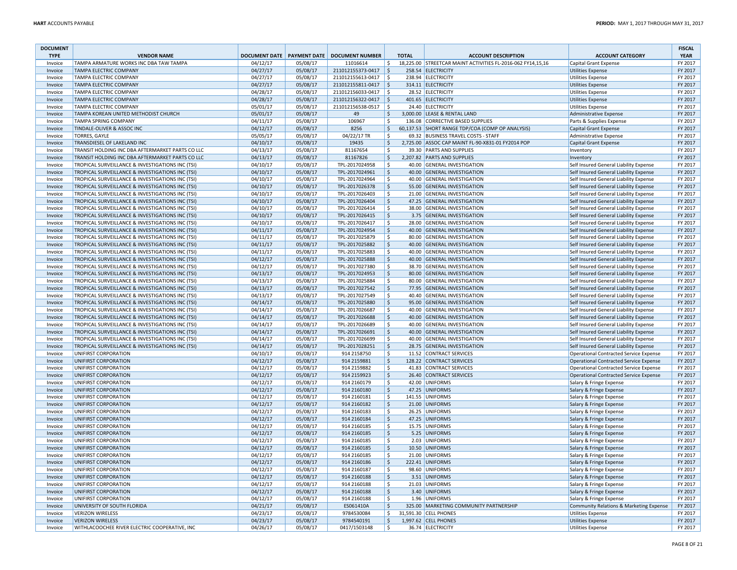| <b>DOCUMENT</b><br><b>TYPE</b> | <b>VENDOR NAME</b>                               |                      |                      | DOCUMENT DATE   PAYMENT DATE   DOCUMENT NUMBER |                     | <b>TOTAL</b> | <b>ACCOUNT DESCRIPTION</b>                                  | <b>ACCOUNT CATEGORY</b>                            | <b>FISCAL</b><br><b>YEAR</b> |
|--------------------------------|--------------------------------------------------|----------------------|----------------------|------------------------------------------------|---------------------|--------------|-------------------------------------------------------------|----------------------------------------------------|------------------------------|
| Invoice                        | TAMPA ARMATURE WORKS INC DBA TAW TAMPA           | 04/12/17             | 05/08/17             | 11016614                                       | l \$                |              | 18,225.00 STREETCAR MAINT ACTIVITIES FL-2016-062 FY14,15,16 | <b>Capital Grant Expense</b>                       | FY 2017                      |
| Invoice                        | <b>TAMPA ELECTRIC COMPANY</b>                    | 04/27/17             | 05/08/17             | 211012155373-0417 \$                           |                     |              | 258.54 ELECTRICITY                                          | <b>Utilities Expense</b>                           | FY 2017                      |
| Invoice                        | <b>TAMPA ELECTRIC COMPANY</b>                    | 04/27/17             | 05/08/17             | 211012155613-0417                              | $\vert$ \$          |              | 238.94 ELECTRICITY                                          | <b>Utilities Expense</b>                           | FY 2017                      |
| Invoice                        | <b>TAMPA ELECTRIC COMPANY</b>                    | 04/27/17             | 05/08/17             | 211012155811-0417 \$                           |                     |              | 314.11 ELECTRICITY                                          | <b>Utilities Expense</b>                           | FY 2017                      |
| Invoice                        | <b>TAMPA ELECTRIC COMPANY</b>                    | 04/28/17             | 05/08/17             | 211012156033-0417                              | l S                 |              | 28.52 ELECTRICITY                                           | <b>Utilities Expense</b>                           | FY 2017                      |
| Invoice                        | <b>TAMPA ELECTRIC COMPANY</b>                    | 04/28/17             | 05/08/17             | 211012156322-0417 \$                           |                     |              | 401.65 ELECTRICITY                                          | <b>Utilities Expense</b>                           | FY 2017                      |
| Invoice                        | <b>TAMPA ELECTRIC COMPANY</b>                    | 05/01/17             | 05/08/17             | 211012156538-0517   \$                         |                     |              | 24.40 ELECTRICITY                                           | Utilities Expense                                  | FY 2017                      |
| Invoice                        | TAMPA KOREAN UNITED METHODIST CHURCH             | 05/01/17             | 05/08/17             | 49                                             | S.                  |              | 3,000.00 LEASE & RENTAL LAND                                | Administrative Expense                             | FY 2017                      |
| Invoice                        | <b>TAMPA SPRING COMPANY</b>                      | 04/11/17             | 05/08/17             | 106967                                         | \$                  |              | 136.08 CORRECTIVE BASED SUPPLIES                            | Parts & Supplies Expense                           | FY 2017                      |
| Invoice                        | TINDALE-OLIVER & ASSOC INC                       | 04/12/17             | 05/08/17             | 8256                                           | $\mathsf{S}$        |              | 60,137.53 SHORT RANGE TDP/COA (COMP OP ANALYSIS)            | <b>Capital Grant Expense</b>                       | FY 2017                      |
| Invoice                        | <b>TORRES, GAYLE</b>                             | 05/05/17             | 05/08/17             | 04/22/17 TR                                    | \$                  |              | 69.32 BUSINESS TRAVEL COSTS - STAFF                         | Administrative Expense                             | FY 2017                      |
| Invoice                        | TRANSDIESEL OF LAKELAND INC                      | 04/10/17             | 05/08/17             | 19435                                          | $\ddot{\varsigma}$  |              | 2,725.00 ASSOC CAP MAINT FL-90-X831-01 FY2014 POP           | <b>Capital Grant Expense</b>                       | FY 2017                      |
| Invoice                        | TRANSIT HOLDING INC DBA AFTERMARKET PARTS CO LLC | 04/13/17             | 05/08/17             | 81167654                                       | \$                  |              | 39.30 PARTS AND SUPPLIES                                    | Inventory                                          | FY 2017                      |
| Invoice                        | TRANSIT HOLDING INC DBA AFTERMARKET PARTS CO LLC | 04/13/17             | 05/08/17             | 81167826                                       | $\ddot{\varsigma}$  |              | 2,207.82 PARTS AND SUPPLIES                                 | Inventory                                          | FY 2017                      |
| Invoice                        | TROPICAL SURVEILLANCE & INVESTIGATIONS INC (TSI) | 04/10/17             | 05/08/17             | TPL-2017024958                                 | -Ŝ                  |              | 40.00 GENERAL INVESTIGATION                                 | Self Insured General Liability Expense             | FY 2017                      |
| Invoice                        | TROPICAL SURVEILLANCE & INVESTIGATIONS INC (TSI) | 04/10/17             | 05/08/17             | TPL-2017024961                                 | l s                 |              | 40.00 GENERAL INVESTIGATION                                 | Self Insured General Liability Expense             | FY 2017                      |
| Invoice                        | TROPICAL SURVEILLANCE & INVESTIGATIONS INC (TSI) | 04/10/17             | 05/08/17             | TPL-2017024964                                 | Ŝ.                  |              | 40.00 GENERAL INVESTIGATION                                 | Self Insured General Liability Expense             | FY 2017                      |
| Invoice                        | TROPICAL SURVEILLANCE & INVESTIGATIONS INC (TSI) | 04/10/17             | 05/08/17             | TPL-2017026378                                 | l \$                |              | 55.00 GENERAL INVESTIGATION                                 | Self Insured General Liability Expense             | FY 2017                      |
| Invoice                        | TROPICAL SURVEILLANCE & INVESTIGATIONS INC (TSI) | 04/10/17             | 05/08/17             | TPL-2017026403                                 | $\zeta$             |              | 21.00 GENERAL INVESTIGATION                                 | Self Insured General Liability Expense             | FY 2017                      |
| Invoice                        | TROPICAL SURVEILLANCE & INVESTIGATIONS INC (TSI) | 04/10/17             | 05/08/17             | TPL-2017026404                                 | \$                  |              | 47.25 GENERAL INVESTIGATION                                 | Self Insured General Liability Expense             | FY 2017                      |
| Invoice                        | TROPICAL SURVEILLANCE & INVESTIGATIONS INC (TSI) | 04/10/17             | 05/08/17             | TPL-2017026414                                 | ۱\$                 |              | 38.00 GENERAL INVESTIGATION                                 | Self Insured General Liability Expense             | FY 2017                      |
| Invoice                        | TROPICAL SURVEILLANCE & INVESTIGATIONS INC (TSI) | 04/10/17             | 05/08/17             | TPL-2017026415                                 | ∣\$                 |              | 3.75 GENERAL INVESTIGATION                                  | Self Insured General Liability Expense             | FY 2017                      |
| Invoice                        | TROPICAL SURVEILLANCE & INVESTIGATIONS INC (TSI) | 04/10/17             | 05/08/17             | TPL-2017026417                                 | \$                  |              | 28.00 GENERAL INVESTIGATION                                 | Self Insured General Liability Expense             | FY 2017                      |
| Invoice                        | TROPICAL SURVEILLANCE & INVESTIGATIONS INC (TSI) | 04/11/17             | 05/08/17             | TPL-2017024954                                 | $\ddot{\varsigma}$  |              | 40.00 GENERAL INVESTIGATION                                 | Self Insured General Liability Expense             | FY 2017                      |
| Invoice                        | TROPICAL SURVEILLANCE & INVESTIGATIONS INC (TSI) | 04/11/17             | 05/08/17             | TPL-2017025879                                 | -Ŝ                  |              | 80.00 GENERAL INVESTIGATION                                 | Self Insured General Liability Expense             | FY 2017                      |
| Invoice                        | TROPICAL SURVEILLANCE & INVESTIGATIONS INC (TSI) | 04/11/17             | 05/08/17             | TPL-2017025882                                 | l s                 |              | 40.00 GENERAL INVESTIGATION                                 | Self Insured General Liability Expense             | FY 2017                      |
| Invoice                        | TROPICAL SURVEILLANCE & INVESTIGATIONS INC (TSI) | 04/11/17             | 05/08/17             | TPL-2017025883                                 | Ŝ.                  |              | 40.00 GENERAL INVESTIGATION                                 | Self Insured General Liability Expense             | FY 2017                      |
| Invoice                        | TROPICAL SURVEILLANCE & INVESTIGATIONS INC (TSI) | 04/12/17             | 05/08/17             | TPL-2017025888                                 | S,                  |              | 40.00 GENERAL INVESTIGATION                                 | Self Insured General Liability Expense             | FY 2017                      |
| Invoice                        | TROPICAL SURVEILLANCE & INVESTIGATIONS INC (TSI) | 04/12/17             | 05/08/17             | TPL-2017027380                                 | $\zeta$             |              | 38.70 GENERAL INVESTIGATION                                 | Self Insured General Liability Expense             | FY 2017                      |
| Invoice                        | TROPICAL SURVEILLANCE & INVESTIGATIONS INC (TSI) | 04/13/17             | 05/08/17             | TPL-2017024953                                 | \$                  |              | 80.00 GENERAL INVESTIGATION                                 | Self Insured General Liability Expense             | FY 2017                      |
| Invoice                        | TROPICAL SURVEILLANCE & INVESTIGATIONS INC (TSI) | 04/13/17             | 05/08/17             | TPL-2017025884                                 | ۱\$                 |              | 80.00 GENERAL INVESTIGATION                                 | Self Insured General Liability Expense             | FY 2017                      |
| Invoice                        | TROPICAL SURVEILLANCE & INVESTIGATIONS INC (TSI) | 04/13/17             | 05/08/17             | TPL-2017027542                                 | ∣\$                 |              | 77.95 GENERAL INVESTIGATION                                 | Self Insured General Liability Expense             | FY 2017                      |
| Invoice                        | TROPICAL SURVEILLANCE & INVESTIGATIONS INC (TSI) | 04/13/17             | 05/08/17             | TPL-2017027549                                 | \$                  |              | 40.40 GENERAL INVESTIGATION                                 | Self Insured General Liability Expense             | FY 2017                      |
| Invoice                        | TROPICAL SURVEILLANCE & INVESTIGATIONS INC (TSI) | 04/14/17             | 05/08/17             | TPL-2017025880                                 | $\ddot{\varsigma}$  |              | 95.00 GENERAL INVESTIGATION                                 | Self Insured General Liability Expense             | FY 2017                      |
| Invoice                        | TROPICAL SURVEILLANCE & INVESTIGATIONS INC (TSI) | 04/14/17             | 05/08/17             | TPL-2017026687                                 | Ŝ.                  |              | 40.00 GENERAL INVESTIGATION                                 | Self Insured General Liability Expense             | FY 2017                      |
| Invoice                        | TROPICAL SURVEILLANCE & INVESTIGATIONS INC (TSI) | 04/14/17             | 05/08/17             | TPL-2017026688                                 | \$                  |              | 40.00 GENERAL INVESTIGATION                                 | Self Insured General Liability Expense             | FY 2017                      |
| Invoice                        | TROPICAL SURVEILLANCE & INVESTIGATIONS INC (TSI) | 04/14/17             | 05/08/17             | TPL-2017026689                                 | Ŝ.                  |              | 40.00 GENERAL INVESTIGATION                                 | Self Insured General Liability Expense             | FY 2017                      |
| Invoice                        | TROPICAL SURVEILLANCE & INVESTIGATIONS INC (TSI) | 04/14/17             | 05/08/17             | TPL-2017026691                                 | l \$                |              | 40.00 GENERAL INVESTIGATION                                 | Self Insured General Liability Expense             | FY 2017                      |
| Invoice                        | TROPICAL SURVEILLANCE & INVESTIGATIONS INC (TSI) | 04/14/17             | 05/08/17             | TPL-2017026699                                 | $\zeta$             |              | 40.00 GENERAL INVESTIGATION                                 | Self Insured General Liability Expense             | FY 2017                      |
| Invoice                        | TROPICAL SURVEILLANCE & INVESTIGATIONS INC (TSI) | 04/14/17             | 05/08/17             | TPL-2017028251                                 | \$                  |              | 28.75 GENERAL INVESTIGATION                                 | Self Insured General Liability Expense             | FY 2017                      |
| Invoice                        | UNIFIRST CORPORATION                             | 04/10/17             | 05/08/17             | 914 2158750                                    | \$                  |              | 11.52 CONTRACT SERVICES                                     | <b>Operational Contracted Service Expense</b>      | FY 2017                      |
| Invoice                        | UNIFIRST CORPORATION                             | 04/12/17             | 05/08/17             | 914 2159881                                    | ∣\$                 |              | 128.22 CONTRACT SERVICES                                    | <b>Operational Contracted Service Expense</b>      | FY 2017                      |
| Invoice                        | UNIFIRST CORPORATION                             | 04/12/17             | 05/08/17             | 914 2159882                                    | ۱\$                 |              | 41.83 CONTRACT SERVICES                                     | <b>Operational Contracted Service Expense</b>      | FY 2017                      |
| Invoice                        | UNIFIRST CORPORATION                             | 04/12/17             | 05/08/17             | 914 2159923                                    | ∣\$                 |              | 26.40 CONTRACT SERVICES                                     | <b>Operational Contracted Service Expense</b>      | FY 2017                      |
| Invoice                        | UNIFIRST CORPORATION                             | 04/12/17             | 05/08/17             | 914 2160179                                    | -Ŝ                  |              | 42.00 UNIFORMS                                              | Salary & Fringe Expense                            | FY 2017                      |
| Invoice                        | UNIFIRST CORPORATION                             | 04/12/17             | 05/08/17             | 914 2160180                                    | \$                  |              | 47.25 UNIFORMS                                              | Salary & Fringe Expense                            | FY 2017                      |
| Invoice                        | UNIFIRST CORPORATION                             | 04/12/17             | 05/08/17             | 914 2160181                                    | -Ŝ                  |              | 141.55 UNIFORMS                                             | Salary & Fringe Expense                            | FY 2017                      |
| Invoice                        | UNIFIRST CORPORATION                             | 04/12/17             | 05/08/17             | 914 2160182                                    | ∣\$                 |              | 21.00 UNIFORMS                                              | Salary & Fringe Expense                            | FY 2017                      |
| Invoice                        | UNIFIRST CORPORATION                             | 04/12/17             | 05/08/17             | 914 2160183                                    | $\zeta$             |              | 26.25 UNIFORMS                                              | Salary & Fringe Expense                            | FY 2017                      |
| Invoice                        | <b>UNIFIRST CORPORATION</b>                      | 04/12/17             | 05/08/17             | 914 2160184                                    | l \$                |              | 47.25 UNIFORMS                                              | Salary & Fringe Expense                            | FY 2017                      |
| Invoice                        | UNIFIRST CORPORATION                             | 04/12/17             | 05/08/17             | 914 2160185                                    | ۱\$                 |              | 15.75 UNIFORMS                                              | Salary & Fringe Expense                            | FY 2017                      |
| Invoice                        | UNIFIRST CORPORATION                             | 04/12/17             | 05/08/17             | 914 2160185                                    | ∣\$                 |              | 5.25 UNIFORMS                                               | Salary & Fringe Expense                            | FY 2017                      |
| Invoice                        | UNIFIRST CORPORATION                             | 04/12/17             | 05/08/17             | 914 2160185                                    | \$                  |              | 2.03 UNIFORMS                                               | Salary & Fringe Expense                            | FY 2017                      |
| Invoice                        | UNIFIRST CORPORATION                             | 04/12/17             | 05/08/17             | 914 2160185                                    | $\ddot{\varsigma}$  |              | 10.50 UNIFORMS                                              | Salary & Fringe Expense                            | FY 2017                      |
| Invoice                        | UNIFIRST CORPORATION                             | 04/12/17             | 05/08/17             | 914 2160185                                    | Ŝ.                  |              | 21.00 UNIFORMS                                              | Salary & Fringe Expense                            | FY 2017                      |
| Invoice                        | UNIFIRST CORPORATION<br>UNIFIRST CORPORATION     | 04/12/17<br>04/12/17 | 05/08/17             | 914 2160186<br>914 2160187                     | ١ş<br>۱\$           |              | 222.41 UNIFORMS<br>98.60 UNIFORMS                           | Salary & Fringe Expense<br>Salary & Fringe Expense | FY 2017<br>FY 2017           |
| Invoice<br>Invoice             | UNIFIRST CORPORATION                             | 04/12/17             | 05/08/17<br>05/08/17 | 914 2160188                                    | l \$                |              | 3.51 UNIFORMS                                               | Salary & Fringe Expense                            | FY 2017                      |
| Invoice                        | UNIFIRST CORPORATION                             | 04/12/17             | 05/08/17             | 914 2160188                                    | l \$                |              | 21.03 UNIFORMS                                              | Salary & Fringe Expense                            | FY 2017                      |
| Invoice                        | UNIFIRST CORPORATION                             | 04/12/17             | 05/08/17             | 914 2160188                                    | \$                  |              | 3.40 UNIFORMS                                               | Salary & Fringe Expense                            | FY 2017                      |
| Invoice                        | UNIFIRST CORPORATION                             | 04/12/17             | 05/08/17             | 914 2160188                                    | l \$                |              | 1.96 UNIFORMS                                               | Salary & Fringe Expense                            | FY 2017                      |
| Invoice                        | UNIVERSITY OF SOUTH FLORIDA                      | 04/21/17             | 05/08/17             | ES061410A                                      | $\ddot{\varsigma}$  |              | 325.00 MARKETING COMMUNITY PARTNERSHIP                      | Community Relations & Marketing Expense            | FY 2017                      |
| Invoice                        | <b>VERIZON WIRELESS</b>                          | 04/23/17             | 05/08/17             | 9784530084                                     | $\ddot{\mathsf{S}}$ |              | 31,591.30 CELL PHONES                                       | <b>Utilities Expense</b>                           | FY 2017                      |
| Invoice                        | <b>VERIZON WIRELESS</b>                          | 04/23/17             | 05/08/17             | 9784540191                                     | \$                  |              | 1,997.62 CELL PHONES                                        | <b>Utilities Expense</b>                           | FY 2017                      |
| Invoice                        | WITHLACOOCHEE RIVER ELECTRIC COOPERATIVE, INC    | 04/26/17             | 05/08/17             | 0417/1503148                                   | -Ŝ                  |              | 36.74 ELECTRICITY                                           | Utilities Expense                                  | FY 2017                      |
|                                |                                                  |                      |                      |                                                |                     |              |                                                             |                                                    |                              |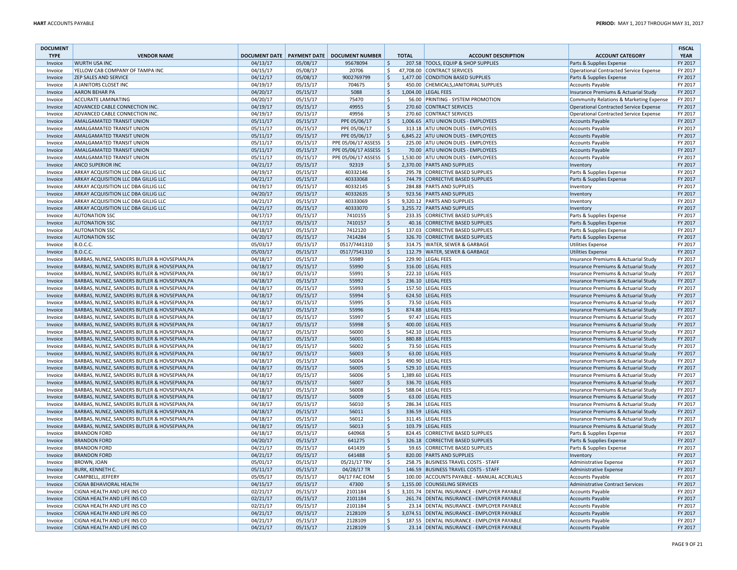| <b>DOCUMENT</b><br><b>TYPE</b> | <b>VENDOR NAME</b>                                                                             |                      |                      | DOCUMENT DATE   PAYMENT DATE   DOCUMENT NUMBER |              | <b>TOTAL</b> | <b>ACCOUNT DESCRIPTION</b>                                           | <b>ACCOUNT CATEGORY</b>                                                      | <b>FISCAL</b><br><b>YEAR</b> |
|--------------------------------|------------------------------------------------------------------------------------------------|----------------------|----------------------|------------------------------------------------|--------------|--------------|----------------------------------------------------------------------|------------------------------------------------------------------------------|------------------------------|
| Invoice                        | <b>WURTH USA INC</b>                                                                           | 04/13/17             | 05/08/17             | 95678094                                       | l \$         |              | 207.58 TOOLS, EQUIP & SHOP SUPPLIES                                  | Parts & Supplies Expense                                                     | FY 2017                      |
| Invoice                        | YELLOW CAB COMPANY OF TAMPA INC                                                                | 04/15/17             | 05/08/17             | 20706                                          | \$           |              | 47,708.00 CONTRACT SERVICES                                          | Operational Contracted Service Expense                                       | FY 2017                      |
| Invoice                        | ZEP SALES AND SERVICE                                                                          | 04/12/17             | 05/08/17             | 9002769799                                     | ۱\$          |              | 1,477.00 CONDITION BASED SUPPLIES                                    | Parts & Supplies Expense                                                     | FY 2017                      |
| Invoice                        | A JANITORS CLOSET INC                                                                          | 04/19/17             | 05/15/17             | 704675                                         | \$           |              | 450.00 CHEMICALS, JANITORIAL SUPPLIES                                | Accounts Payable                                                             | FY 2017                      |
| Invoice                        | <b>AARON BEHAR PA</b>                                                                          | 04/20/17             | 05/15/17             | 5088                                           | \$           |              | 1,004.00 LEGAL FEES                                                  | Insurance Premiums & Actuarial Study                                         | FY 2017                      |
| Invoice                        | <b>ACCURATE LAMINATING</b>                                                                     | 04/20/17             | 05/15/17             | 75470                                          | l \$         |              | 56.00 PRINTING - SYSTEM PROMOTION                                    | Community Relations & Marketing Expense                                      | FY 2017                      |
| Invoice                        | ADVANCED CABLE CONNECTION INC.                                                                 | 04/19/17             | 05/15/17             | 49955                                          | ∣\$          |              | 270.60 CONTRACT SERVICES                                             | Operational Contracted Service Expense                                       | FY 2017                      |
| Invoice                        | ADVANCED CABLE CONNECTION INC.                                                                 | 04/19/17             | 05/15/17             | 49956                                          | \$           |              | 270.60 CONTRACT SERVICES                                             | Operational Contracted Service Expense                                       | FY 2017                      |
| Invoice                        | <b>AMALGAMATED TRANSIT UNION</b>                                                               | 05/11/17             | 05/15/17             | PPE 05/06/17                                   | ۱\$          |              | 1,006.65 ATU UNION DUES - EMPLOYEES                                  | <b>Accounts Payable</b>                                                      | FY 2017                      |
| Invoice                        | <b>AMALGAMATED TRANSIT UNION</b>                                                               | 05/11/17             | 05/15/17             | PPE 05/06/17                                   | Ŝ.           |              | 313.18 ATU UNION DUES - EMPLOYEES                                    | <b>Accounts Payable</b>                                                      | FY 2017                      |
| Invoice                        | <b>AMALGAMATED TRANSIT UNION</b>                                                               | 05/11/17             | 05/15/17             | PPE 05/06/17                                   | l\$          |              | 6,845.22 ATU UNION DUES - EMPLOYEES                                  | <b>Accounts Payable</b>                                                      | FY 2017                      |
| Invoice                        | <b>AMALGAMATED TRANSIT UNION</b>                                                               | 05/11/17             | 05/15/17             | PPE 05/06/17 ASSESS   \$                       |              |              | 225.00 ATU UNION DUES - EMPLOYEES                                    | <b>Accounts Payable</b>                                                      | FY 2017                      |
| Invoice                        | AMALGAMATED TRANSIT UNION                                                                      | 05/11/17             | 05/15/17             | PPE 05/06/17 ASSESS   \$                       |              |              | 70.00 ATU UNION DUES - EMPLOYEES                                     | <b>Accounts Payable</b>                                                      | FY 2017                      |
| Invoice                        | AMALGAMATED TRANSIT UNION                                                                      | 05/11/17             | 05/15/17             | PPE 05/06/17 ASSESS                            | ۱s           |              | 1,530.00 ATU UNION DUES - EMPLOYEES                                  | <b>Accounts Payable</b>                                                      | FY 2017                      |
| Invoice                        | <b>ANCO SUPERIOR INC</b>                                                                       | 04/21/17             | 05/15/17             | 92319                                          | <sub>S</sub> |              | 2.370.00 PARTS AND SUPPLIES                                          | Inventory                                                                    | FY 2017                      |
| Invoice                        | ARKAY ACQUISITION LLC DBA GILLIG LLC<br>ARKAY ACQUISITION LLC DBA GILLIG LLC                   | 04/19/17             | 05/15/17             | 40332146                                       | ۱\$<br>∣\$   |              | 295.78 CORRECTIVE BASED SUPPLIES<br>744.79 CORRECTIVE BASED SUPPLIES | Parts & Supplies Expense                                                     | FY 2017                      |
| Invoice<br>Invoice             | ARKAY ACQUISITION LLC DBA GILLIG LLC                                                           | 04/21/17<br>04/19/17 | 05/15/17<br>05/15/17 | 40333068<br>40332145                           | S.           |              | 284.88 PARTS AND SUPPLIES                                            | Parts & Supplies Expense                                                     | FY 2017<br>FY 2017           |
| Invoice                        | ARKAY ACQUISITION LLC DBA GILLIG LLC                                                           | 04/20/17             | 05/15/17             | 40332635                                       | ۱\$          |              | 923.56 PARTS AND SUPPLIES                                            | Inventory<br>Inventory                                                       | FY 2017                      |
| Invoice                        | ARKAY ACQUISITION LLC DBA GILLIG LLC                                                           | 04/21/17             | 05/15/17             | 40333069                                       | Ŝ.           |              | 9,320.12 PARTS AND SUPPLIES                                          | Inventory                                                                    | FY 2017                      |
| Invoice                        | ARKAY ACQUISITION LLC DBA GILLIG LLC                                                           | 04/21/17             | 05/15/17             | 40333070                                       | l\$          |              | 3,255.72 PARTS AND SUPPLIES                                          | Inventory                                                                    | FY 2017                      |
| Invoice                        | <b>AUTONATION SSC</b>                                                                          | 04/17/17             | 05/15/17             | 7410155                                        | \$           |              | 233.35 CORRECTIVE BASED SUPPLIES                                     | Parts & Supplies Expense                                                     | FY 2017                      |
| Invoice                        | <b>AUTONATION SSC</b>                                                                          | 04/17/17             | 05/15/17             | 7410157                                        | l\$          |              | 40.16 CORRECTIVE BASED SUPPLIES                                      | Parts & Supplies Expense                                                     | FY 2017                      |
| Invoice                        | <b>AUTONATION SSC</b>                                                                          | 04/18/17             | 05/15/17             | 7412120                                        | \$           |              | 137.03 CORRECTIVE BASED SUPPLIES                                     | Parts & Supplies Expense                                                     | FY 2017                      |
| Invoice                        | <b>AUTONATION SSC</b>                                                                          | 04/20/17             | 05/15/17             | 7414284                                        | l \$         |              | 326.70 CORRECTIVE BASED SUPPLIES                                     | Parts & Supplies Expense                                                     | FY 2017                      |
| Invoice                        | <b>B.O.C.C.</b>                                                                                | 05/03/17             | 05/15/17             | 0517/7441310                                   | ۱s           |              | 314.75 WATER, SEWER & GARBAGE                                        | <b>Utilities Expense</b>                                                     | FY 2017                      |
| Invoice                        | <b>B.O.C.C.</b>                                                                                | 05/03/17             | 05/15/17             | 0517/7541310                                   | ۱\$          |              | 112.79 WATER, SEWER & GARBAGE                                        | <b>Utilities Expense</b>                                                     | FY 2017                      |
| Invoice                        | BARBAS, NUNEZ, SANDERS BUTLER & HOVSEPIAN, PA                                                  | 04/18/17             | 05/15/17             | 55989                                          | S.           |              | 229.90 LEGAL FEES                                                    | Insurance Premiums & Actuarial Study                                         | FY 2017                      |
| Invoice                        | BARBAS, NUNEZ, SANDERS BUTLER & HOVSEPIAN, PA                                                  | 04/18/17             | 05/15/17             | 55990                                          | $\zeta$      |              | 316.00 LEGAL FEES                                                    | Insurance Premiums & Actuarial Study                                         | FY 2017                      |
| Invoice                        | BARBAS, NUNEZ, SANDERS BUTLER & HOVSEPIAN.PA                                                   | 04/18/17             | 05/15/17             | 55991                                          | Ŝ.           |              | 222.10 LEGAL FEES                                                    | Insurance Premiums & Actuarial Study                                         | FY 2017                      |
| Invoice                        | BARBAS, NUNEZ, SANDERS BUTLER & HOVSEPIAN, PA                                                  | 04/18/17             | 05/15/17             | 55992                                          | l \$         |              | 236.10 LEGAL FEES                                                    | Insurance Premiums & Actuarial Study                                         | FY 2017                      |
| Invoice                        | BARBAS, NUNEZ, SANDERS BUTLER & HOVSEPIAN, PA                                                  | 04/18/17             | 05/15/17             | 55993                                          | -\$          |              | 157.50 LEGAL FEES                                                    | Insurance Premiums & Actuarial Study                                         | FY 2017                      |
| Invoice                        | BARBAS, NUNEZ, SANDERS BUTLER & HOVSEPIAN, PA                                                  | 04/18/17             | 05/15/17             | 55994                                          | ۱\$          |              | 624.50 LEGAL FEES                                                    | Insurance Premiums & Actuarial Study                                         | FY 2017                      |
| Invoice                        | BARBAS, NUNEZ, SANDERS BUTLER & HOVSEPIAN, PA                                                  | 04/18/17             | 05/15/17             | 55995                                          | \$           |              | 73.50 LEGAL FEES                                                     | Insurance Premiums & Actuarial Study                                         | FY 2017                      |
| Invoice                        | BARBAS, NUNEZ, SANDERS BUTLER & HOVSEPIAN.PA                                                   | 04/18/17             | 05/15/17             | 55996                                          | l \$         |              | 874.88 LEGAL FEES                                                    | Insurance Premiums & Actuarial Study                                         | FY 2017                      |
| Invoice                        | BARBAS, NUNEZ, SANDERS BUTLER & HOVSEPIAN, PA                                                  | 04/18/17             | 05/15/17             | 55997                                          | l \$         |              | 97.47 LEGAL FEES                                                     | Insurance Premiums & Actuarial Study                                         | FY 2017                      |
| Invoice                        | BARBAS, NUNEZ, SANDERS BUTLER & HOVSEPIAN, PA                                                  | 04/18/17             | 05/15/17             | 55998                                          | ∣\$          |              | 400.00 LEGAL FEES                                                    | Insurance Premiums & Actuarial Study                                         | FY 2017                      |
| Invoice                        | BARBAS, NUNEZ, SANDERS BUTLER & HOVSEPIAN, PA                                                  | 04/18/17             | 05/15/17             | 56000                                          | S.           |              | 542.10 LEGAL FEES                                                    | Insurance Premiums & Actuarial Study                                         | FY 2017                      |
| Invoice                        | BARBAS, NUNEZ, SANDERS BUTLER & HOVSEPIAN, PA                                                  | 04/18/17             | 05/15/17             | 56001                                          | $\zeta$      |              | 880.88 LEGAL FEES                                                    | Insurance Premiums & Actuarial Study                                         | FY 2017                      |
| Invoice                        | BARBAS, NUNEZ, SANDERS BUTLER & HOVSEPIAN, PA                                                  | 04/18/17             | 05/15/17             | 56002                                          | l \$         |              | 73.50 LEGAL FEES                                                     | Insurance Premiums & Actuarial Study                                         | FY 2017                      |
| Invoice                        | BARBAS, NUNEZ, SANDERS BUTLER & HOVSEPIAN, PA                                                  | 04/18/17             | 05/15/17             | 56003                                          | l \$         |              | 63.00 LEGAL FEES                                                     | Insurance Premiums & Actuarial Study                                         | FY 2017                      |
| Invoice                        | BARBAS, NUNEZ, SANDERS BUTLER & HOVSEPIAN, PA                                                  | 04/18/17             | 05/15/17             | 56004                                          | -\$          |              | 490.90 LEGAL FEES                                                    | Insurance Premiums & Actuarial Study                                         | FY 2017                      |
| Invoice                        | BARBAS, NUNEZ, SANDERS BUTLER & HOVSEPIAN, PA                                                  | 04/18/17             | 05/15/17             | 56005                                          | ∣\$<br>\$    |              | 529.10 LEGAL FEES<br>1,389.60 LEGAL FEES                             | Insurance Premiums & Actuarial Study                                         | FY 2017                      |
| Invoice<br>Invoice             | BARBAS, NUNEZ, SANDERS BUTLER & HOVSEPIAN, PA<br>BARBAS, NUNEZ, SANDERS BUTLER & HOVSEPIAN, PA | 04/18/17<br>04/18/17 | 05/15/17<br>05/15/17 | 56006<br>56007                                 | l \$         |              | 336.70 LEGAL FEES                                                    | Insurance Premiums & Actuarial Study<br>Insurance Premiums & Actuarial Study | FY 2017<br>FY 2017           |
| Invoice                        | BARBAS, NUNEZ, SANDERS BUTLER & HOVSEPIAN, PA                                                  | 04/18/17             | 05/15/17             | 56008                                          | l \$         |              | 588.04 LEGAL FEES                                                    | Insurance Premiums & Actuarial Study                                         | FY 2017                      |
| Invoice                        | BARBAS, NUNEZ, SANDERS BUTLER & HOVSEPIAN, PA                                                  | 04/18/17             | 05/15/17             | 56009                                          | ∣\$          |              | 63.00 LEGAL FEES                                                     | Insurance Premiums & Actuarial Study                                         | FY 2017                      |
| Invoice                        | BARBAS, NUNEZ, SANDERS BUTLER & HOVSEPIAN, PA                                                  | 04/18/17             | 05/15/17             | 56010                                          | S.           |              | 286.34 LEGAL FEES                                                    | Insurance Premiums & Actuarial Study                                         | FY 2017                      |
| Invoice                        | BARBAS, NUNEZ, SANDERS BUTLER & HOVSEPIAN, PA                                                  | 04/18/17             | 05/15/17             | 56011                                          | $\zeta$      |              | 336.59 LEGAL FEES                                                    | Insurance Premiums & Actuarial Study                                         | FY 2017                      |
| Invoice                        | BARBAS, NUNEZ, SANDERS BUTLER & HOVSEPIAN, PA                                                  | 04/18/17             | 05/15/17             | 56012                                          | ۱s           |              | 311.45 LEGAL FEES                                                    | Insurance Premiums & Actuarial Study                                         | FY 2017                      |
| Invoice                        | BARBAS, NUNEZ, SANDERS BUTLER & HOVSEPIAN, PA                                                  | 04/18/17             | 05/15/17             | 56013                                          | l\$          |              | 103.79 LEGAL FEES                                                    | Insurance Premiums & Actuarial Study                                         | FY 2017                      |
| Invoice                        | <b>BRANDON FORD</b>                                                                            | 04/18/17             | 05/15/17             | 640968                                         | -\$          |              | 824.45 CORRECTIVE BASED SUPPLIES                                     | Parts & Supplies Expense                                                     | FY 2017                      |
| Invoice                        | <b>BRANDON FORD</b>                                                                            | 04/20/17             | 05/15/17             | 641275                                         | ۱\$          |              | 326.18 CORRECTIVE BASED SUPPLIES                                     | Parts & Supplies Expense                                                     | FY 2017                      |
| Invoice                        | <b>BRANDON FORD</b>                                                                            | 04/21/17             | 05/15/17             | 641439                                         | \$           |              | 59.65 CORRECTIVE BASED SUPPLIES                                      | Parts & Supplies Expense                                                     | FY 2017                      |
| Invoice                        | <b>BRANDON FORD</b>                                                                            | 04/21/17             | 05/15/17             | 641488                                         | l \$         |              | 820.00 PARTS AND SUPPLIES                                            | Inventory                                                                    | FY 2017                      |
| Invoice                        | <b>BROWN, JOAN</b>                                                                             | 05/01/17             | 05/15/17             | 05/21/17 TRV                                   | ١ş           |              | 258.75 BUSINESS TRAVEL COSTS - STAFF                                 | Administrative Expense                                                       | FY 2017                      |
| Invoice                        | <b>BURK, KENNETH C.</b>                                                                        | 05/11/17             | 05/15/17             | 04/28/17 TR                                    | \$           |              | 146.59 BUSINESS TRAVEL COSTS - STAFF                                 | Administrative Expense                                                       | FY 2017                      |
| Invoice                        | CAMPBELL, JEFFERY                                                                              | 05/05/17             | 05/15/17             | 04/17 FAC EOM                                  | S.           |              | 100.00 ACCOUNTS PAYABLE - MANUAL ACCRUALS                            | Accounts Payable                                                             | FY 2017                      |
| Invoice                        | <b>CIGNA BEHAVIORAL HEALTH</b>                                                                 | 04/15/17             | 05/15/17             | 47300                                          | \$           |              | 1,155.00 COUNSELING SERVICES                                         | Administrative Contract Services                                             | FY 2017                      |
| Invoice                        | CIGNA HEALTH AND LIFE INS CO                                                                   | 02/21/17             | 05/15/17             | 2101184                                        | ۱s           |              | 3,101.74 DENTAL INSURANCE - EMPLOYER PAYABLE                         | <b>Accounts Payable</b>                                                      | FY 2017                      |
| Invoice                        | CIGNA HEALTH AND LIFE INS CO                                                                   | 02/21/17             | 05/15/17             | 2101184                                        | l \$         |              | 261.74 DENTAL INSURANCE - EMPLOYER PAYABLE                           | <b>Accounts Payable</b>                                                      | FY 2017                      |
| Invoice                        | CIGNA HEALTH AND LIFE INS CO                                                                   | 02/21/17             | 05/15/17             | 2101184                                        | \$           |              | 23.14 DENTAL INSURANCE - EMPLOYER PAYABLE                            | Accounts Payable                                                             | FY 2017                      |
| Invoice                        | CIGNA HEALTH AND LIFE INS CO                                                                   | 04/21/17             | 05/15/17             | 2128109                                        | \$           |              | 3,074.51 DENTAL INSURANCE - EMPLOYER PAYABLE                         | <b>Accounts Payable</b>                                                      | FY 2017                      |
| Invoice                        | CIGNA HEALTH AND LIFE INS CO                                                                   | 04/21/17             | 05/15/17             | 2128109                                        | l \$         |              | 187.55 DENTAL INSURANCE - EMPLOYER PAYABLE                           | <b>Accounts Payable</b>                                                      | FY 2017                      |
| Invoice                        | CIGNA HEALTH AND LIFE INS CO                                                                   | 04/21/17             | 05/15/17             | 2128109                                        | l s          |              | 23.14 DENTAL INSURANCE - EMPLOYER PAYABLE                            | <b>Accounts Payable</b>                                                      | FY 2017                      |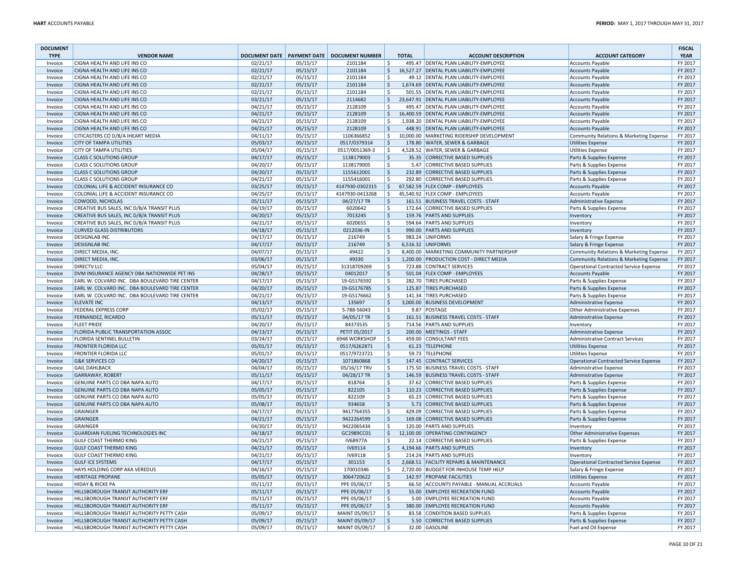| <b>DOCUMENT</b><br><b>TYPE</b> | <b>VENDOR NAME</b>                                                                            |                      |                      | DOCUMENT DATE   PAYMENT DATE   DOCUMENT NUMBER |                    | <b>TOTAL</b> | <b>ACCOUNT DESCRIPTION</b>                | <b>ACCOUNT CATEGORY</b>                            | <b>FISCAL</b><br><b>YEAR</b> |
|--------------------------------|-----------------------------------------------------------------------------------------------|----------------------|----------------------|------------------------------------------------|--------------------|--------------|-------------------------------------------|----------------------------------------------------|------------------------------|
| Invoice                        | CIGNA HEALTH AND LIFE INS CO                                                                  | 02/21/17             | 05/15/17             | 2101184                                        | \$                 |              | 495.47 DENTAL PLAN LIABILITY-EMPLOYEE     | <b>Accounts Payable</b>                            | FY 2017                      |
| Invoice                        | CIGNA HEALTH AND LIFE INS CO                                                                  | 02/21/17             | 05/15/17             | 2101184                                        | $\zeta$            |              | 16,527.27 DENTAL PLAN LIABILITY-EMPLOYEE  | <b>Accounts Payable</b>                            | FY 2017                      |
| Invoice                        | CIGNA HEALTH AND LIFE INS CO                                                                  | 02/21/17             | 05/15/17             | 2101184                                        | -\$                |              | 49.12 DENTAL PLAN LIABILITY-EMPLOYEE      | <b>Accounts Payable</b>                            | FY 2017                      |
| Invoice                        | CIGNA HEALTH AND LIFE INS CO                                                                  | 02/21/17             | 05/15/17             | 2101184                                        | $\zeta$            |              | 1,674.69 DENTAL PLAN LIABILITY-EMPLOYEE   | <b>Accounts Payable</b>                            | FY 2017                      |
| Invoice                        | CIGNA HEALTH AND LIFE INS CO                                                                  | 02/21/17             | 05/15/17             | 2101184                                        | -Ś                 |              | 501.55 DENTAL PLAN LIABILITY-EMPLOYEE     | <b>Accounts Payable</b>                            | FY 2017                      |
| Invoice                        | CIGNA HEALTH AND LIFE INS CO                                                                  | 03/21/17             | 05/15/17             | 2114682                                        | ∣\$                |              | 23,647.91 DENTAL PLAN LIABILITY-EMPLOYEE  | <b>Accounts Payable</b>                            | FY 2017                      |
| Invoice                        | CIGNA HEALTH AND LIFE INS CO                                                                  | 04/21/17             | 05/15/17             | 2128109                                        | Ŝ.                 |              | 495.47 DENTAL PLAN LIABILITY-EMPLOYEE     | <b>Accounts Payable</b>                            | FY 2017                      |
| Invoice                        | CIGNA HEALTH AND LIFE INS CO                                                                  | 04/21/17             | 05/15/17             | 2128109                                        | $\mathsf{S}$       |              | 16,400.59 DENTAL PLAN LIABILITY-EMPLOYEE  | <b>Accounts Payable</b>                            | FY 2017                      |
| Invoice                        | CIGNA HEALTH AND LIFE INS CO                                                                  | 04/21/17             | 05/15/17             | 2128109                                        | -S                 |              | 1,938.20 DENTAL PLAN LIABILITY-EMPLOYEE   | <b>Accounts Payable</b>                            | FY 2017                      |
| Invoice                        | CIGNA HEALTH AND LIFE INS CO                                                                  | 04/21/17             | 05/15/17             | 2128109                                        | $\mathsf{S}$       |              | 448.91 DENTAL PLAN LIABILITY-EMPLOYEE     | <b>Accounts Payable</b>                            | FY 2017                      |
| Invoice                        | CITICASTERS CO D/B/A IHEART MEDIA                                                             | 04/11/17             | 05/15/17             | 1106366852                                     | \$                 |              | 10,000.00 MARKETING RIDERSHIP DEVELOPMENT | Community Relations & Marketing Expense            | FY 2017                      |
| Invoice                        | <b>CITY OF TAMPA UTILITIES</b>                                                                | 05/03/17             | 05/15/17             | 0517/0379314                                   | ۱\$                |              | 178.80 WATER, SEWER & GARBAGE             | <b>Utilities Expense</b>                           | FY 2017                      |
| Invoice                        | CITY OF TAMPA UTILITIES                                                                       | 05/04/17             | 05/15/17             | 0517/0051369-3                                 | -\$                |              | 4,528.52 WATER, SEWER & GARBAGE           | <b>Utilities Expense</b>                           | FY 2017                      |
| Invoice                        | <b>CLASS C SOLUTIONS GROUP</b>                                                                | 04/17/17             | 05/15/17             | 1138179003                                     | ۱\$                |              | 35.35 CORRECTIVE BASED SUPPLIES           | Parts & Supplies Expense                           | FY 2017                      |
| Invoice                        | <b>CLASS C SOLUTIONS GROUP</b>                                                                | 04/20/17             | 05/15/17             | 1138179005                                     | -Ś                 |              | 5.47 CORRECTIVE BASED SUPPLIES            | Parts & Supplies Expense                           | FY 2017                      |
| Invoice                        | <b>CLASS C SOLUTIONS GROUP</b>                                                                | 04/20/17             | 05/15/17             | 1155612001                                     | ∣\$                |              | 232.89 CORRECTIVE BASED SUPPLIES          | Parts & Supplies Expense                           | FY 2017                      |
| Invoice                        | <b>CLASS C SOLUTIONS GROUP</b>                                                                | 04/21/17             | 05/15/17             | 1155416001                                     | Ŝ.                 |              | 292.80 CORRECTIVE BASED SUPPLIES          | Parts & Supplies Expense                           | FY 2017                      |
| Invoice                        | COLONIAL LIFE & ACCIDENT INSURANCE CO                                                         | 03/25/17             | 05/15/17             | 4147930-0302315                                | \$                 |              | 67,582.59 FLEX COMP - EMPLOYEES           | <b>Accounts Payable</b>                            | FY 2017                      |
| Invoice                        | COLONIAL LIFE & ACCIDENT INSURANCE CO                                                         | 04/25/17             | 05/15/17             | 4147930-0413268                                | ۱\$                |              | 45,540.92 FLEX COMP - EMPLOYEES           | <b>Accounts Payable</b>                            | FY 2017                      |
| Invoice                        | COWOOD, NICHOLAS                                                                              | 05/11/17             | 05/15/17             | 04/27/17 TR                                    | \$                 |              | 161.51 BUSINESS TRAVEL COSTS - STAFF      | Administrative Expense                             | FY 2017                      |
| Invoice                        | CREATIVE BUS SALES, INC D/B/A TRANSIT PLUS                                                    | 04/19/17             | 05/15/17             | 6020642                                        | ۱\$                |              | 172.64 CORRECTIVE BASED SUPPLIES          | Parts & Supplies Expense                           | FY 2017                      |
| Invoice                        | CREATIVE BUS SALES, INC D/B/A TRANSIT PLUS                                                    | 04/20/17             | 05/15/17             | 7013245                                        | \$                 |              | 159.76 PARTS AND SUPPLIES                 | Inventory                                          | FY 2017                      |
|                                | CREATIVE BUS SALES, INC D/B/A TRANSIT PLUS                                                    | 04/21/17             | 05/15/17             | 6020655                                        | ۱\$                |              | 594.64 PARTS AND SUPPLIES                 |                                                    | FY 2017                      |
| Invoice                        | <b>CURVED GLASS DISTRIBUTORS</b>                                                              | 04/18/17             | 05/15/17             | 0212036-IN                                     | ۱\$                |              | 990.00 PARTS AND SUPPLIES                 | Inventory                                          | FY 2017                      |
| Invoice                        | <b>DESIGNLAB INC</b>                                                                          |                      |                      | 216749                                         | <sub>S</sub>       |              | 983.24 UNIFORMS                           | Inventory                                          | FY 2017                      |
| Invoice<br>Invoice             | <b>DESIGNLAB INC</b>                                                                          | 04/17/17<br>04/17/17 | 05/15/17<br>05/15/17 | 216749                                         | ۱\$                |              | 6,516.32 UNIFORMS                         | Salary & Fringe Expense<br>Salary & Fringe Expense | FY 2017                      |
|                                | DIRECT MEDIA, INC.                                                                            |                      |                      | 49422                                          | .S                 |              | 8.400.00 MARKETING COMMUNITY PARTNERSHIP  |                                                    |                              |
| Invoice                        |                                                                                               | 04/07/17<br>03/06/17 | 05/15/17             | 49330                                          | S,                 |              | 1,200.00 PRODUCTION COST - DIRECT MEDIA   | Community Relations & Marketing Expense            | FY 2017<br>FY 2017           |
| Invoice                        | DIRECT MEDIA, INC.                                                                            |                      | 05/15/17             |                                                |                    |              |                                           | Community Relations & Marketing Expense            |                              |
| Invoice                        | <b>DIRECTV LLC</b>                                                                            | 05/04/17             | 05/15/17             | 31318709269                                    | ۱\$                |              | 723.88 CONTRACT SERVICES                  | Operational Contracted Service Expense             | FY 2017                      |
| Invoice                        | DVM INSURANCE AGENCY DBA NATIONWIDE PET INS<br>EARL W. COLVARD INC. DBA BOULEVARD TIRE CENTER | 04/28/17             | 05/15/17             | 04012017                                       | l \$               |              | 501.04 FLEX COMP - EMPLOYEES              | <b>Accounts Payable</b>                            | FY 2017<br>FY 2017           |
| Invoice                        |                                                                                               | 04/17/17             | 05/15/17             | 19-GS176592                                    | ۱\$.               |              | 282.70 TIRES PURCHASED                    | Parts & Supplies Expense                           |                              |
| Invoice                        | EARL W. COLVARD INC. DBA BOULEVARD TIRE CENTER                                                | 04/20/17             | 05/15/17             | 19-GS176785                                    | ۱\$                |              | 125.87 TIRES PURCHASED                    | Parts & Supplies Expense                           | FY 2017                      |
| Invoice                        | EARL W. COLVARD INC. DBA BOULEVARD TIRE CENTER                                                | 04/21/17             | 05/15/17             | 19-GS176662                                    | ۱\$                |              | 141.34 TIRES PURCHASED                    | Parts & Supplies Expense                           | FY 2017                      |
| Invoice                        | <b>ELEVATE INC</b>                                                                            | 04/13/17             | 05/15/17             | 135697                                         | \$                 |              | 3,000.00 BUSINESS DEVELOPMENT             | Administrative Expense                             | FY 2017                      |
| Invoice                        | <b>FEDERAL EXPRESS CORP</b>                                                                   | 05/02/17             | 05/15/17             | 5-788-56043                                    | -S                 |              | 9.87 POSTAGE                              | Other Administrative Expenses                      | FY 2017                      |
| Invoice                        | FERNANDEZ, RICARDO                                                                            | 05/11/17             | 05/15/17             | 04/05/17 TR                                    | ۱\$                |              | 161.51 BUSINESS TRAVEL COSTS - STAFF      | Administrative Expense                             | FY 2017                      |
| Invoice                        | <b>FLEET PRIDE</b>                                                                            | 04/20/17             | 05/15/17             | 84373535                                       | Ŝ.                 |              | 714.56 PARTS AND SUPPLIES                 | Inventory                                          | FY 2017                      |
| Invoice                        | FLORIDA PUBLIC TRANSPORTATION ASSOC                                                           | 04/13/17             | 05/15/17             | PETIT 05/2017                                  | \$                 |              | 200.00 MEETINGS - STAFF                   | Administrative Expense                             | FY 2017                      |
| Invoice                        | FLORIDA SENTINEL BULLETIN                                                                     | 03/24/17             | 05/15/17             | 6948 WORKSHOP                                  | ۱\$                |              | 459.00 CONSULTANT FEES                    | Administrative Contract Services                   | FY 2017                      |
| Invoice                        | <b>FRONTIER FLORIDA LLC</b>                                                                   | 05/01/17             | 05/15/17             | 0517/6262871                                   | $\mathsf{S}$       |              | 61.23 TELEPHONE                           | <b>Utilities Expense</b>                           | FY 2017                      |
| Invoice                        | FRONTIER FLORIDA LLC                                                                          | 05/01/17             | 05/15/17             | 0517/9723721                                   | ۱\$.               |              | 59.73 TELEPHONE                           | <b>Utilities Expense</b>                           | FY 2017                      |
| Invoice                        | <b>G&amp;K SERVICES CO</b>                                                                    | 04/20/17             | 05/15/17             | 1071860868                                     | \$                 |              | 147.45 CONTRACT SERVICES                  | Operational Contracted Service Expense             | FY 2017                      |
| Invoice                        | <b>GAIL DAHLBACK</b>                                                                          | 04/04/17             | 05/15/17             | 05/16/17 TRV                                   | ۱\$                |              | 175.50 BUSINESS TRAVEL COSTS - STAFF      | Administrative Expense                             | FY 2017                      |
| Invoice                        | <b>GARRAWAY, ROBERT</b>                                                                       | 05/11/17             | 05/15/17             | 04/28/17 TR                                    | ۱\$                |              | 146.59 BUSINESS TRAVEL COSTS - STAFF      | Administrative Expense                             | FY 2017                      |
| Invoice                        | GENUINE PARTS CO DBA NAPA AUTO                                                                | 04/17/17             | 05/15/17             | 818764                                         | <sub>S</sub>       |              | 37.62 CORRECTIVE BASED SUPPLIES           | Parts & Supplies Expense                           | FY 2017                      |
| Invoice                        | GENUINE PARTS CO DBA NAPA AUTO                                                                | 05/05/17             | 05/15/17             | 822105                                         | ۱\$                |              | 110.23 CORRECTIVE BASED SUPPLIES          | Parts & Supplies Expense                           | FY 2017                      |
| Invoice                        | GENUINE PARTS CO DBA NAPA AUTO                                                                | 05/05/17             | 05/15/17             | 822109                                         | \$                 |              | 65.23 CORRECTIVE BASED SUPPLIES           | Parts & Supplies Expense                           | FY 2017                      |
| Invoice                        | GENUINE PARTS CO DBA NAPA AUTO                                                                | 05/08/17             | 05/15/17             | 934658                                         | ∣\$                |              | 5.73 CORRECTIVE BASED SUPPLIES            | Parts & Supplies Expense                           | FY 2017                      |
| Invoice                        | <b>GRAINGER</b>                                                                               | 04/17/17             | 05/15/17             | 9417764355                                     | ۱\$                |              | 429.09 CORRECTIVE BASED SUPPLIES          | Parts & Supplies Expense                           | FY 2017                      |
| Invoice                        | <b>GRAINGER</b>                                                                               | 04/21/17             | 05/15/17             | 9422264599                                     | \$                 |              | 169.08 CORRECTIVE BASED SUPPLIES          | Parts & Supplies Expense                           | FY 2017                      |
| Invoice                        | <b>GRAINGER</b>                                                                               | 04/20/17             | 05/15/17             | 9422065434                                     | \$                 |              | 120.00 PARTS AND SUPPLIES                 | Inventory                                          | FY 2017                      |
| Invoice                        | GUARDIAN FUELING TECHNOLOGIES INC                                                             | 04/18/17             | 05/15/17             | GC2989CC01                                     | S,                 |              | 12,100.00 OPERATING CONTINGENCY           | Other Administrative Expenses                      | FY 2017                      |
| Invoice                        | <b>GULF COAST THERMO KING</b>                                                                 | 04/21/17             | 05/15/17             | IV68977A                                       | -S                 |              | 22.14 CORRECTIVE BASED SUPPLIES           | Parts & Supplies Expense                           | FY 2017                      |
| Invoice                        | <b>GULF COAST THERMO KING</b>                                                                 | 04/21/17             | 05/15/17             | IV69114                                        | $\ddot{\varsigma}$ |              | 4,194.66 PARTS AND SUPPLIES               | Inventory                                          | FY 2017                      |
| Invoice                        | <b>GULF COAST THERMO KING</b>                                                                 | 04/21/17             | 05/15/17             | IV69118                                        | <sub>S</sub>       |              | 214.24 PARTS AND SUPPLIES                 | Inventory                                          | FY 2017                      |
| Invoice                        | <b>GULF ICE SYSTEMS</b>                                                                       | 04/17/17             | 05/15/17             | 301153                                         | ۱Ş                 |              | 2,668.51 FACILITY REPAIRS & MAINTENANCE   | Operational Contracted Service Expense             | FY 2017                      |
| Invoice                        | HAYS HOLDING CORP AKA VEREDUS                                                                 | 04/16/17             | 05/15/17             | 170010346                                      | \$                 |              | 2,720.00 BUDGET FOR INHOUSE TEMP HELP     | Salary & Fringe Expense                            | FY 2017                      |
| Invoice                        | <b>HERITAGE PROPANE</b>                                                                       | 05/05/17             | 05/15/17             | 3064720622                                     | l \$               |              | 142.97 PROPANE FACILITIES                 | Utilities Expense                                  | FY 2017                      |
| Invoice                        | <b>HIDAY &amp; RICKE PA</b>                                                                   | 05/11/17             | 05/15/17             | PPE 05/06/17                                   | -\$                |              | 66.50 ACCOUNTS PAYABLE - MANUAL ACCRUALS  | <b>Accounts Payable</b>                            | FY 2017                      |
| Invoice                        | HILLSBOROUGH TRANSIT AUTHORITY ERF                                                            | 05/11/17             | 05/15/17             | PPE 05/06/17                                   | \$                 |              | 55.00 EMPLOYEE RECREATION FUND            | <b>Accounts Payable</b>                            | FY 2017                      |
| Invoice                        | HILLSBOROUGH TRANSIT AUTHORITY ERF                                                            | 05/11/17             | 05/15/17             | PPE 05/06/17                                   | \$                 |              | 5.00 EMPLOYEE RECREATION FUND             | Accounts Payable                                   | FY 2017                      |
| Invoice                        | HILLSBOROUGH TRANSIT AUTHORITY ERF                                                            | 05/11/17             | 05/15/17             | PPE 05/06/17                                   | S,                 |              | 380.00 EMPLOYEE RECREATION FUND           | Accounts Payable                                   | FY 2017                      |
| Invoice                        | HILLSBOROUGH TRANSIT AUTHORITY PETTY CASH                                                     | 05/09/17             | 05/15/17             | MAINT 05/09/17                                 | ۱\$.               |              | 83.58 CONDITION BASED SUPPLIES            | Parts & Supplies Expense                           | FY 2017                      |
| Invoice                        | HILLSBOROUGH TRANSIT AUTHORITY PETTY CASH                                                     | 05/09/17             | 05/15/17             | MAINT 05/09/17                                 | S,                 |              | 5.50 CORRECTIVE BASED SUPPLIES            | Parts & Supplies Expense                           | FY 2017                      |
| Invoice                        | HILLSBOROUGH TRANSIT AUTHORITY PETTY CASH                                                     | 05/09/17             | 05/15/17             | MAINT 05/09/17                                 | l\$                |              | 32.00 GASOLINE                            | Fuel and Oil Expense                               | FY 2017                      |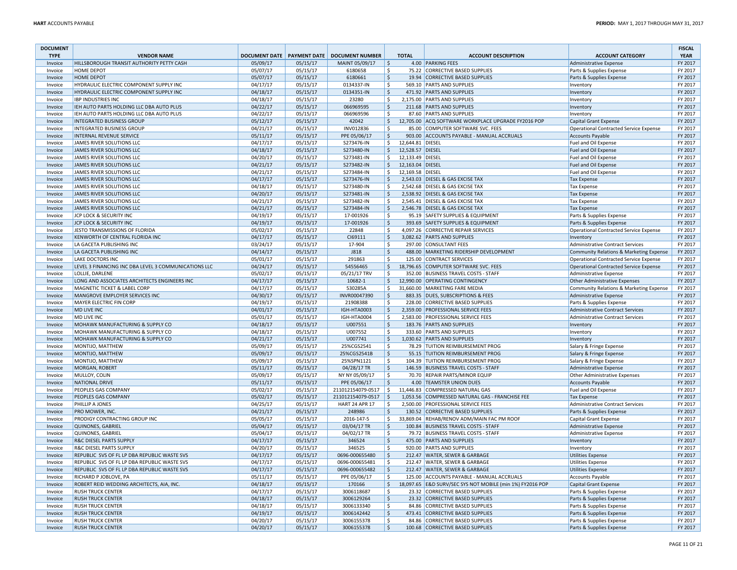| <b>DOCUMENT</b><br><b>TYPE</b> | <b>VENDOR NAME</b>                                          |                      |                      | DOCUMENT DATE   PAYMENT DATE   DOCUMENT NUMBER |                    | <b>TOTAL</b>     | <b>ACCOUNT DESCRIPTION</b>                                                                   | <b>ACCOUNT CATEGORY</b>                                                           | <b>FISCAL</b><br><b>YEAR</b> |
|--------------------------------|-------------------------------------------------------------|----------------------|----------------------|------------------------------------------------|--------------------|------------------|----------------------------------------------------------------------------------------------|-----------------------------------------------------------------------------------|------------------------------|
| Invoice                        | HILLSBOROUGH TRANSIT AUTHORITY PETTY CASH                   | 05/09/17             | 05/15/17             | MAINT 05/09/17                                 | l \$               |                  | 4.00 PARKING FEES                                                                            | Administrative Expense                                                            | FY 2017                      |
| Invoice                        | <b>HOME DEPOT</b>                                           | 05/07/17             | 05/15/17             | 6180658                                        | -\$                |                  | 75.22 CORRECTIVE BASED SUPPLIES                                                              | Parts & Supplies Expense                                                          | FY 2017                      |
| Invoice                        | HOME DEPOT                                                  | 05/07/17             | 05/15/17             | 6180661                                        | ∣\$                |                  | 19.94 CORRECTIVE BASED SUPPLIES                                                              | Parts & Supplies Expense                                                          | FY 2017                      |
| Invoice                        | HYDRAULIC ELECTRIC COMPONENT SUPPLY INC                     | 04/17/17             | 05/15/17             | 0134337-IN                                     | \$                 |                  | 569.10 PARTS AND SUPPLIES                                                                    | Inventory                                                                         | FY 2017                      |
| Invoice                        | HYDRAULIC ELECTRIC COMPONENT SUPPLY INC                     | 04/18/17             | 05/15/17             | 0134351-IN                                     | S.                 |                  | 471.92 PARTS AND SUPPLIES                                                                    | Inventory                                                                         | FY 2017                      |
| Invoice                        | <b>IBP INDUSTRIES INC</b>                                   | 04/18/17             | 05/15/17             | 23280                                          | l \$               |                  | 2,175.00 PARTS AND SUPPLIES                                                                  | Inventory                                                                         | FY 2017                      |
| Invoice                        | IEH AUTO PARTS HOLDING LLC DBA AUTO PLUS                    | 04/22/17             | 05/15/17             | 066969595                                      | $\ddot{\varsigma}$ |                  | 211.68 PARTS AND SUPPLIES                                                                    | Inventory                                                                         | FY 2017                      |
| Invoice                        | IEH AUTO PARTS HOLDING LLC DBA AUTO PLUS                    | 04/22/17             | 05/15/17             | 066969596                                      | \$                 |                  | 87.60 PARTS AND SUPPLIES                                                                     | Inventory                                                                         | FY 2017                      |
| Invoice                        | INTEGRATED BUSINESS GROUP                                   | 05/12/17             | 05/15/17             | 42042                                          | ∣\$                |                  | 12,705.00 ACQ SOFTWARE WORKPLACE UPGRADE FY2016 POP                                          | Capital Grant Expense                                                             | FY 2017                      |
| Invoice                        | <b>INTEGRATED BUSINESS GROUP</b>                            | 04/21/17             | 05/15/17             | INV012836                                      | Ŝ.                 |                  | 85.00 COMPUTER SOFTWARE SVC. FEES                                                            | Operational Contracted Service Expense                                            | FY 2017                      |
| Invoice                        | <b>INTERNAL REVENUE SERVICE</b>                             | 05/11/17             | 05/15/17             | PPE 05/06/17                                   | \$                 |                  | 903.00 ACCOUNTS PAYABLE - MANUAL ACCRUALS                                                    | <b>Accounts Payable</b>                                                           | FY 2017                      |
| Invoice                        | JAMES RIVER SOLUTIONS LLC                                   | 04/17/17             | 05/15/17             | S273476-IN                                     | \$                 | 12,644.81 DIESEL |                                                                                              | Fuel and Oil Expense                                                              | FY 2017                      |
| Invoice                        | JAMES RIVER SOLUTIONS LLC                                   | 04/18/17             | 05/15/17             | S273480-IN                                     | l \$               | 12,528.57 DIESEL |                                                                                              | Fuel and Oil Expense                                                              | FY 2017                      |
| Invoice                        | JAMES RIVER SOLUTIONS LLC                                   | 04/20/17             | 05/15/17             | S273481-IN                                     | \$                 | 12,133.49 DIESEL |                                                                                              | Fuel and Oil Expense                                                              | FY 2017                      |
| Invoice                        | JAMES RIVER SOLUTIONS LLC                                   | 04/21/17             | 05/15/17             | S273482-IN                                     | $\mathsf{S}$       | 12,163.04 DIESEL |                                                                                              | Fuel and Oil Expense                                                              | FY 2017                      |
| Invoice                        | JAMES RIVER SOLUTIONS LLC                                   | 04/21/17             | 05/15/17             | S273484-IN                                     | \$                 | 12,169.58 DIESEL |                                                                                              | Fuel and Oil Expense                                                              | FY 2017                      |
| Invoice                        | JAMES RIVER SOLUTIONS LLC                                   | 04/17/17             | 05/15/17             | S273476-IN                                     | \$                 |                  | 2,543.03 DIESEL & GAS EXCISE TAX                                                             | <b>Tax Expense</b>                                                                | FY 2017                      |
| Invoice                        | JAMES RIVER SOLUTIONS LLC                                   | 04/18/17             | 05/15/17             | S273480-IN                                     | -Ś                 |                  | 2,542.68 DIESEL & GAS EXCISE TAX                                                             | <b>Tax Expense</b>                                                                | FY 2017                      |
| Invoice                        | JAMES RIVER SOLUTIONS LLC                                   | 04/20/17             | 05/15/17             | S273481-IN                                     | S,                 |                  | 2,538.92 DIESEL & GAS EXCISE TAX                                                             | <b>Tax Expense</b>                                                                | FY 2017                      |
| Invoice                        | JAMES RIVER SOLUTIONS LLC                                   | 04/21/17             | 05/15/17             | S273482-IN                                     | <sub>S</sub>       |                  | 2,545.41 DIESEL & GAS EXCISE TAX                                                             | <b>Tax Expense</b>                                                                | FY 2017                      |
| Invoice                        | JAMES RIVER SOLUTIONS LLC                                   | 04/21/17             | 05/15/17             | S273484-IN                                     | \$                 |                  | 2,546.78 DIESEL & GAS EXCISE TAX                                                             | <b>Tax Expense</b>                                                                | FY 2017                      |
| Invoice                        | JCP LOCK & SECURITY INC                                     | 04/19/17             | 05/15/17             | 17-001926                                      | -\$                |                  | 95.19 SAFETY SUPPLIES & EQUIPMENT                                                            |                                                                                   | FY 2017                      |
|                                | JCP LOCK & SECURITY INC                                     | 04/19/17             | 05/15/17             | 17-001926                                      | ۱\$                |                  | 393.69 SAFETY SUPPLIES & EQUIPMENT                                                           | Parts & Supplies Expense                                                          | FY 2017                      |
| Invoice                        | JESTO TRANSMISSIONS OF FLORIDA                              |                      |                      | 22848                                          | <sub>S</sub>       |                  |                                                                                              | Parts & Supplies Expense                                                          |                              |
| Invoice                        |                                                             | 05/02/17             | 05/15/17             | CI69111                                        | S.                 |                  | 4,097.26 CORRECTIVE REPAIR SERVICES<br>3,082.62 PARTS AND SUPPLIES                           | Operational Contracted Service Expense                                            | FY 2017<br>FY 2017           |
| Invoice<br>Invoice             | KENWORTH OF CENTRAL FLORIDA INC<br>LA GACETA PUBLISHING INC | 04/17/17<br>03/24/17 | 05/15/17<br>05/15/17 | 17-904                                         | ۱\$                |                  | 297.00 CONSULTANT FEES                                                                       | Inventory<br>Administrative Contract Services                                     | FY 2017                      |
| Invoice                        | LA GACETA PUBLISHING INC                                    | 04/14/17             | 05/15/17             | <b>J818</b>                                    | ۱\$                |                  | 488.00 MARKETING RIDERSHIP DEVELOPMENT                                                       |                                                                                   | FY 2017                      |
|                                | LAKE DOCTORS INC                                            | 05/01/17             | 05/15/17             | 291863                                         | -\$                |                  | 125.00 CONTRACT SERVICES                                                                     | Community Relations & Marketing Expense<br>Operational Contracted Service Expense | FY 2017                      |
| Invoice                        | LEVEL 3 FINANCING INC DBA LEVEL 3 COMMUNICATIONS LLC        | 04/24/17             | 05/15/17             | 54556465                                       | ∣\$                |                  | 18,796.65 COMPUTER SOFTWARE SVC. FEES                                                        | Operational Contracted Service Expense                                            | FY 2017                      |
| Invoice<br>Invoice             | LOLLIE, DARLENE                                             | 05/02/17             | 05/15/17             | 05/21/17 TRV                                   | <sub>S</sub>       |                  | 352.00 BUSINESS TRAVEL COSTS - STAFF                                                         | Administrative Expense                                                            | FY 2017                      |
| Invoice                        | LONG AND ASSOCIATES ARCHITECTS ENGINEERS INC                | 04/17/17             | 05/15/17             | 10682-1                                        | \$                 |                  | 12,990.00 OPERATING CONTINGENCY                                                              | Other Administrative Expenses                                                     | FY 2017                      |
|                                | MAGNETIC TICKET & LABEL CORP                                |                      |                      | 530285A                                        |                    |                  | 31,660.00 MARKETING FARE MEDIA                                                               |                                                                                   | FY 2017                      |
| Invoice                        |                                                             | 04/17/17<br>04/30/17 | 05/15/17             |                                                | -\$                |                  |                                                                                              | Community Relations & Marketing Expense                                           | FY 2017                      |
| Invoice                        | MANGROVE EMPLOYER SERVICES INC                              | 04/19/17             | 05/15/17             | INVR00047390                                   | ۱\$<br>\$          |                  | 883.35 DUES, SUBSCRIPTIONS & FEES<br>228.00 CORRECTIVE BASED SUPPLIES                        | Administrative Expense                                                            |                              |
| Invoice                        | MAYER ELECTRIC FIN CORP<br><b>MD LIVE INC</b>               | 04/01/17             | 05/15/17             | 21908388<br>IGH-HTA0003                        | S.                 |                  | 2,359.00 PROFESSIONAL SERVICE FEES                                                           | Parts & Supplies Expense                                                          | FY 2017<br>FY 2017           |
| Invoice<br>Invoice             | MD LIVE INC                                                 | 05/01/17             | 05/15/17<br>05/15/17 | IGH-HTA0004                                    | ۱\$                |                  | 2,583.00 PROFESSIONAL SERVICE FEES                                                           | <b>Administrative Contract Services</b><br>Administrative Contract Services       | FY 2017                      |
| Invoice                        | MOHAWK MANUFACTURING & SUPPLY CO                            | 04/18/17             | 05/15/17             | U007551                                        | ∣\$                |                  | 183.76 PARTS AND SUPPLIES                                                                    | Inventory                                                                         | FY 2017                      |
|                                | MOHAWK MANUFACTURING & SUPPLY CO                            | 04/18/17             | 05/15/17             | U007552                                        | -\$                |                  | 333.60 PARTS AND SUPPLIES                                                                    |                                                                                   | FY 2017                      |
| Invoice                        | MOHAWK MANUFACTURING & SUPPLY CO                            | 04/21/17             | 05/15/17             | U007741                                        | ۱\$                |                  | 1,030.62 PARTS AND SUPPLIES                                                                  | Inventory<br>Inventory                                                            | FY 2017                      |
| Invoice<br>Invoice             | MONTIJO, MATTHEW                                            | 05/09/17             | 05/15/17             | 25%CGS2541                                     | Ŝ.                 |                  | 78.29 TUITION REIMBURSEMENT PROG                                                             | Salary & Fringe Expense                                                           | FY 2017                      |
| Invoice                        | MONTIJO, MATTHEW                                            | 05/09/17             | 05/15/17             | 25%CGS2541B                                    | ∣\$                |                  | 55.15 TUITION REIMBURSEMENT PROG                                                             | Salary & Fringe Expense                                                           | FY 2017                      |
| Invoice                        | MONTIJO, MATTHEW                                            | 05/09/17             | 05/15/17             | 25%SPN1121                                     | -\$                |                  | 104.39 TUITION REIMBURSEMENT PROG                                                            | Salary & Fringe Expense                                                           | FY 2017                      |
| Invoice                        | MORGAN, ROBERT                                              | 05/11/17             | 05/15/17             | 04/28/17 TR                                    | ۱\$                |                  | 146.59 BUSINESS TRAVEL COSTS - STAFF                                                         | Administrative Expense                                                            | FY 2017                      |
|                                |                                                             | 05/09/17             | 05/15/17             | NY NY 05/09/17                                 | \$                 |                  | 70.70 REPAIR PARTS/MINOR EQUIP                                                               |                                                                                   | FY 2017                      |
| Invoice<br>Invoice             | MULLOY, COLIN<br><b>NATIONAL DRIVE</b>                      | 05/11/17             | 05/15/17             | PPE 05/06/17                                   | $\zeta$            |                  | 4.00 TEAMSTER UNION DUES                                                                     | Other Administrative Expenses                                                     | FY 2017                      |
| Invoice                        | PEOPLES GAS COMPANY                                         | 05/02/17             | 05/15/17             | 211012154079-0517                              | l \$               |                  | 11,446.83 COMPRESSED NATURAL GAS                                                             | <b>Accounts Payable</b>                                                           | FY 2017                      |
|                                | PEOPLES GAS COMPANY                                         |                      |                      | 211012154079-0517                              | ۱s                 |                  | 1,053.56 COMPRESSED NATURAL GAS - FRANCHISE FEE                                              | Fuel and Oil Expense                                                              |                              |
| Invoice                        |                                                             | 05/02/17<br>04/25/17 | 05/15/17             |                                                | -S                 |                  | 2,500.00 PROFESSIONAL SERVICE FEES                                                           | Tax Expense<br><b>Administrative Contract Services</b>                            | FY 2017<br>FY 2017           |
| Invoice                        | PHILLIP A JONES                                             |                      | 05/15/17             | <b>HART 24 APR 17</b>                          | <sub>\$</sub>      |                  |                                                                                              |                                                                                   |                              |
| Invoice                        | PRO MOWER, INC.                                             | 04/21/17             | 05/15/17             | 248986                                         |                    |                  | 130.52 CORRECTIVE BASED SUPPLIES                                                             | Parts & Supplies Expense                                                          | FY 2017                      |
| Invoice<br>Invoice             | PRODIGY CONTRACTING GROUP INC                               | 05/05/17<br>05/04/17 | 05/15/17<br>05/15/17 | 2016-147-5                                     | Ŝ.<br>∣\$          |                  | 33,869.04 REHAB/RENOV ADM/MAIN FAC PM ROOF                                                   | Capital Grant Expense                                                             | FY 2017<br>FY 2017           |
|                                | <b>QUINONES, GABRIEL</b>                                    |                      |                      | 03/04/17 TR                                    |                    |                  | 100.84 BUSINESS TRAVEL COSTS - STAFF                                                         | Administrative Expense                                                            |                              |
| Invoice                        | QUINONES, GABRIEL                                           | 05/04/17             | 05/15/17             | 04/02/17 TR                                    | -\$                |                  | 79.72 BUSINESS TRAVEL COSTS - STAFF                                                          | Administrative Expense                                                            | FY 2017                      |
| Invoice                        | R&C DIESEL PARTS SUPPLY                                     | 04/17/17             | 05/15/17             | 346524                                         | \$                 |                  | 475.00 PARTS AND SUPPLIES                                                                    | Inventory                                                                         | FY 2017                      |
| Invoice                        | R&C DIESEL PARTS SUPPLY                                     | 04/20/17             | 05/15/17             | 346525                                         | \$                 |                  | 920.00 PARTS AND SUPPLIES                                                                    | Inventory                                                                         | FY 2017                      |
| Invoice                        | REPUBLIC SVS OF FL LP DBA REPUBLIC WASTE SVS                | 04/17/17             | 05/15/17             | 0696-000655480                                 | ۱\$                |                  | 212.47 WATER, SEWER & GARBAGE                                                                | <b>Utilities Expense</b>                                                          | FY 2017                      |
| Invoice                        | REPUBLIC SVS OF FL LP DBA REPUBLIC WASTE SVS                | 04/17/17             | 05/15/17             | 0696-000655481<br>0696-000655482               | ١Ş                 |                  | 212.47   WATER, SEWER & GARBAGE                                                              | Utilities Expense                                                                 | FY 2017                      |
| Invoice                        | REPUBLIC SVS OF FL LP DBA REPUBLIC WASTE SVS                | 04/17/17             | 05/15/17             |                                                | \$                 |                  | 212.47 WATER, SEWER & GARBAGE<br>125.00 ACCOUNTS PAYABLE - MANUAL ACCRUALS                   | <b>Utilities Expense</b>                                                          | FY 2017                      |
| Invoice                        | RICHARD P JOBLOVE, PA                                       | 05/11/17             | 05/15/17             | PPE 05/06/17                                   | \$                 |                  |                                                                                              | <b>Accounts Payable</b>                                                           | FY 2017                      |
| Invoice                        | ROBERT REID WEDDING ARCHITECTS, AIA, INC.                   | 04/18/17             | 05/15/17             | 170166                                         | S,                 |                  | 18,097.65 E&D SURV/SEC SYS NOT MOBILE (min 1%) FY2016 POP<br>23.32 CORRECTIVE BASED SUPPLIES | Capital Grant Expense                                                             | FY 2017                      |
| Invoice                        | <b>RUSH TRUCK CENTER</b>                                    | 04/17/17             | 05/15/17             | 3006118687                                     | \$                 |                  |                                                                                              | Parts & Supplies Expense                                                          | FY 2017                      |
| Invoice                        | <b>RUSH TRUCK CENTER</b>                                    | 04/18/17             | 05/15/17             | 3006129264                                     | \$                 |                  | 23.32 CORRECTIVE BASED SUPPLIES                                                              | Parts & Supplies Expense                                                          | FY 2017                      |
| Invoice                        | <b>RUSH TRUCK CENTER</b>                                    | 04/18/17<br>04/19/17 | 05/15/17             | 3006133340<br>3006142442                       | \$                 |                  | 84.86 CORRECTIVE BASED SUPPLIES                                                              | Parts & Supplies Expense<br>Parts & Supplies Expense                              | FY 2017<br>FY 2017           |
| Invoice                        | <b>RUSH TRUCK CENTER</b><br><b>RUSH TRUCK CENTER</b>        | 04/20/17             | 05/15/17             | 3006155378                                     | \$<br>l \$         |                  | 473.41 CORRECTIVE BASED SUPPLIES<br>84.86 CORRECTIVE BASED SUPPLIES                          | Parts & Supplies Expense                                                          | FY 2017                      |
| Invoice                        |                                                             | 04/20/17             | 05/15/17<br>05/15/17 | 3006155378                                     | l \$               |                  | 100.68 CORRECTIVE BASED SUPPLIES                                                             | Parts & Supplies Expense                                                          | FY 2017                      |
| Invoice                        | <b>RUSH TRUCK CENTER</b>                                    |                      |                      |                                                |                    |                  |                                                                                              |                                                                                   |                              |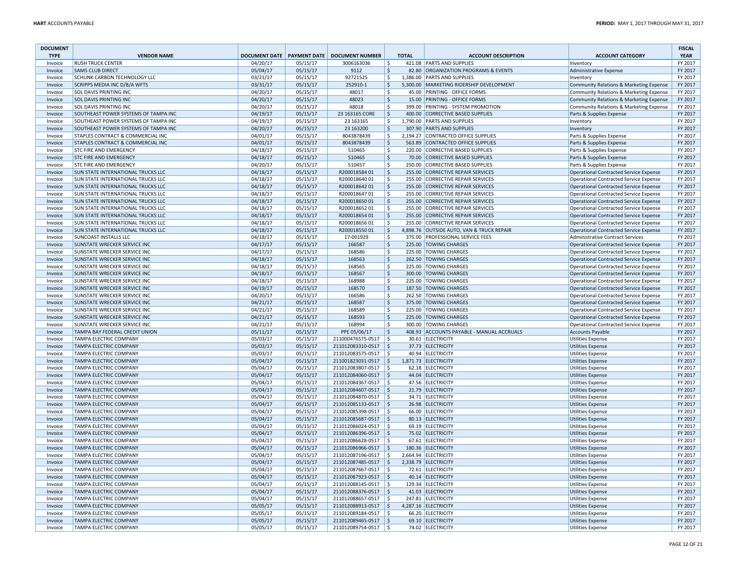| <b>DOCUMENT</b><br><b>TYPE</b> | <b>VENDOR NAME</b>                        | <b>DOCUMENT DATE</b> |                      | <b>PAYMENT DATE   DOCUMENT NUMBER</b> |                    | <b>TOTAL</b> | <b>ACCOUNT DESCRIPTION</b>                | <b>ACCOUNT CATEGORY</b>                       | <b>FISCAL</b><br><b>YEAR</b> |
|--------------------------------|-------------------------------------------|----------------------|----------------------|---------------------------------------|--------------------|--------------|-------------------------------------------|-----------------------------------------------|------------------------------|
| Invoice                        | <b>RUSH TRUCK CENTER</b>                  | 04/20/17             | 05/15/17             | 3006163036                            | -\$                |              | 421.08 PARTS AND SUPPLIES                 | Inventory                                     | FY 2017                      |
| Invoice                        | <b>SAMS CLUB DIRECT</b>                   | 05/04/17             | 05/15/17             | 9112                                  | $\zeta$            |              | 82.80 ORGANIZATION PROGRAMS & EVENTS      | Administrative Expense                        | FY 2017                      |
| Invoice                        | SCHUNK CARBON TECHNOLOGY LLC              | 03/21/17             | 05/15/17             | 92721525                              | -\$                |              | 1.386.00 PARTS AND SUPPLIES               | Inventory                                     | FY 2017                      |
| Invoice                        | SCRIPPS MEDIA INC D/B/A WFTS              | 03/31/17             | 05/15/17             | 252910-1                              | l \$               |              | 5,300.00 MARKETING RIDERSHIP DEVELOPMENT  | Community Relations & Marketing Expense       | FY 2017                      |
| Invoice                        | SOL DAVIS PRINTING INC                    | 04/20/17             | 05/15/17             | 48017                                 | <sub>S</sub>       |              | 45.00 PRINTING - OFFICE FORMS             | Community Relations & Marketing Expense       | FY 2017                      |
| Invoice                        | SOL DAVIS PRINTING INC                    | 04/20/17             | 05/15/17             | 48023                                 | ∣\$                |              | 15.00 PRINTING - OFFICE FORMS             | Community Relations & Marketing Expense       | FY 2017                      |
| Invoice                        | SOL DAVIS PRINTING INC                    | 04/20/17             | 05/15/17             | 48018                                 | \$                 |              | 399.00 PRINTING - SYSTEM PROMOTION        | Community Relations & Marketing Expense       | FY 2017                      |
| Invoice                        | SOUTHEAST POWER SYSTEMS OF TAMPA INC      | 04/19/17             | 05/15/17             | 23 163165 CORE                        | ۱\$                |              | 400.00 CORRECTIVE BASED SUPPLIES          | Parts & Supplies Expense                      | FY 2017                      |
| Invoice                        | SOUTHEAST POWER SYSTEMS OF TAMPA INC      | 04/19/17             | 05/15/17             | 23 16 3165                            | S.                 |              | 1,790.00 PARTS AND SUPPLIES               | Inventory                                     | FY 2017                      |
| Invoice                        | SOUTHEAST POWER SYSTEMS OF TAMPA INC      | 04/20/17             | 05/15/17             | 23 163200                             | l \$               |              | 307.90 PARTS AND SUPPLIES                 | Inventory                                     | FY 2017                      |
| Invoice                        | STAPLES CONTRACT & COMMERCIAL INC         | 04/01/17             | 05/15/17             | 8043878439                            | ۱\$                |              | 2,194.27 CONTRACTED OFFICE SUPPLIES       | Parts & Supplies Expense                      | FY 2017                      |
| Invoice                        | STAPLES CONTRACT & COMMERCIAL INC         | 04/01/17             | 05/15/17             | 8043878439                            | ∣\$                |              | 563.89 CONTRACTED OFFICE SUPPLIES         | Parts & Supplies Expense                      | FY 2017                      |
| Invoice                        | STC FIRE AND EMERGENCY                    | 04/18/17             | 05/15/17             | 510465                                | ۱\$                |              | 220.00 CORRECTIVE BASED SUPPLIES          | Parts & Supplies Expense                      | FY 2017                      |
| Invoice                        | <b>STC FIRE AND EMERGENCY</b>             | 04/18/17             | 05/15/17             | 510465                                | l \$               |              | 70.00 CORRECTIVE BASED SUPPLIES           | Parts & Supplies Expense                      | FY 2017                      |
| Invoice                        | <b>STC FIRE AND EMERGENCY</b>             | 04/20/17             | 05/15/17             | 510457                                | $\ddot{\varsigma}$ |              | 250.00 CORRECTIVE BASED SUPPLIES          | Parts & Supplies Expense                      | FY 2017                      |
| Invoice                        | SUN STATE INTERNATIONAL TRUCKS LLC        | 04/18/17             | 05/15/17             | R20001858401                          | ∣\$                |              | 255.00 CORRECTIVE REPAIR SERVICES         | Operational Contracted Service Expense        | FY 2017                      |
| Invoice                        | SUN STATE INTERNATIONAL TRUCKS LLC        | 04/18/17             | 05/15/17             | R20001864001                          | \$                 |              | 255.00 CORRECTIVE REPAIR SERVICES         | <b>Operational Contracted Service Expense</b> | FY 2017                      |
| Invoice                        | SUN STATE INTERNATIONAL TRUCKS LLC        | 04/18/17             | 05/15/17             | R20001864201                          | ∣\$                |              | 255.00 CORRECTIVE REPAIR SERVICES         | Operational Contracted Service Expense        | FY 2017                      |
| Invoice                        | SUN STATE INTERNATIONAL TRUCKS LLC        | 04/18/17             | 05/15/17             | R20001864701                          | ۱Ś                 |              | 255.00 CORRECTIVE REPAIR SERVICES         | <b>Operational Contracted Service Expense</b> | FY 2017                      |
| Invoice                        | SUN STATE INTERNATIONAL TRUCKS LLC        | 04/18/17             | 05/15/17             | R20001865001                          | S.                 |              | 255.00 CORRECTIVE REPAIR SERVICES         | Operational Contracted Service Expense        | FY 2017                      |
| Invoice                        | SUN STATE INTERNATIONAL TRUCKS LLC        | 04/18/17             | 05/15/17             | R20001865201                          | ۱\$                |              | 255.00 CORRECTIVE REPAIR SERVICES         | Operational Contracted Service Expense        | FY 2017                      |
| Invoice                        | <b>SUN STATE INTERNATIONAL TRUCKS LLC</b> | 04/18/17             | 05/15/17             | R20001865401                          | ∣\$                |              | 255.00 CORRECTIVE REPAIR SERVICES         | Operational Contracted Service Expense        | FY 2017                      |
| Invoice                        | SUN STATE INTERNATIONAL TRUCKS LLC        | 04/18/17             | 05/15/17             | R20001865601                          | -\$                |              | 255.00 CORRECTIVE REPAIR SERVICES         | <b>Operational Contracted Service Expense</b> | FY 2017                      |
| Invoice                        | <b>SUN STATE INTERNATIONAL TRUCKS LLC</b> | 04/18/17             | 05/15/17             | R20001855001                          | l \$               |              | 4,898.76 OUTSIDE AUTO, VAN & TRUCK REPAIR | <b>Operational Contracted Service Expense</b> | FY 2017                      |
|                                | <b>SUNCOAST INSTALLS LLC</b>              |                      |                      | 17-001929                             | -Ś                 |              | 375.00 PROFESSIONAL SERVICE FEES          | <b>Administrative Contract Services</b>       | FY 2017                      |
| Invoice                        | SUNSTATE WRECKER SERVICE INC              | 04/18/17<br>04/17/17 | 05/15/17<br>05/15/17 | 166587                                | ۱\$                |              | 225.00 TOWING CHARGES                     |                                               | FY 2017                      |
| Invoice                        |                                           |                      |                      |                                       |                    |              |                                           | Operational Contracted Service Expense        |                              |
| Invoice                        | SUNSTATE WRECKER SERVICE INC              | 04/17/17             | 05/15/17             | 168586                                | $\ddot{\varsigma}$ |              | 225.00 TOWING CHARGES                     | <b>Operational Contracted Service Expense</b> | FY 2017                      |
| Invoice                        | SUNSTATE WRECKER SERVICE INC              | 04/18/17             | 05/15/17             | 168563                                | ۱\$                |              | 262.50 TOWING CHARGES                     | <b>Operational Contracted Service Expense</b> | FY 2017                      |
| Invoice                        | SUNSTATE WRECKER SERVICE INC              | 04/18/17             | 05/15/17             | 168565                                | ۱\$                |              | 225.00 TOWING CHARGES                     | <b>Operational Contracted Service Expense</b> | FY 2017                      |
| Invoice                        | SUNSTATE WRECKER SERVICE INC              | 04/18/17             | 05/15/17             | 168567                                | ۱\$                |              | 300.00 TOWING CHARGES                     | Operational Contracted Service Expense        | FY 2017                      |
| Invoice                        | SUNSTATE WRECKER SERVICE INC              | 04/18/17             | 05/15/17             | 168988                                | ۱\$                |              | 225.00 TOWING CHARGES                     | Operational Contracted Service Expense        | FY 2017                      |
| Invoice                        | SUNSTATE WRECKER SERVICE INC              | 04/19/17             | 05/15/17             | 168570                                | ۱\$                |              | 187.50 TOWING CHARGES                     | Operational Contracted Service Expense        | FY 2017                      |
| Invoice                        | SUNSTATE WRECKER SERVICE INC              | 04/20/17             | 05/15/17             | 166586                                | -\$                |              | 262.50 TOWING CHARGES                     | <b>Operational Contracted Service Expense</b> | FY 2017                      |
| Invoice                        | SUNSTATE WRECKER SERVICE INC              | 04/21/17             | 05/15/17             | 168587                                | l \$               |              | 375.00 TOWING CHARGES                     | <b>Operational Contracted Service Expense</b> | FY 2017                      |
| Invoice                        | SUNSTATE WRECKER SERVICE INC              | 04/21/17             | 05/15/17             | 168589                                | -\$                |              | 225.00 TOWING CHARGES                     | <b>Operational Contracted Service Expense</b> | FY 2017                      |
| Invoice                        | SUNSTATE WRECKER SERVICE INC              | 04/21/17             | 05/15/17             | 168593                                | \$                 |              | 225.00 TOWING CHARGES                     | Operational Contracted Service Expense        | FY 2017                      |
| Invoice                        | SUNSTATE WRECKER SERVICE INC              | 04/21/17             | 05/15/17             | 168994                                | $\ddot{\varsigma}$ |              | 300.00 TOWING CHARGES                     | <b>Operational Contracted Service Expense</b> | FY 2017                      |
| Invoice                        | TAMPA BAY FEDERAL CREDIT UNION            | 05/11/17             | 05/15/17             | PPE 05/06/17                          | ∣\$                |              | 408.93 ACCOUNTS PAYABLE - MANUAL ACCRUALS | <b>Accounts Payable</b>                       | FY 2017                      |
| Invoice                        | <b>TAMPA ELECTRIC COMPANY</b>             | 05/03/17             | 05/15/17             | 211000476575-0517                     | $\vert$ \$         |              | 30.61 ELECTRICITY                         | <b>Utilities Expense</b>                      | FY 2017                      |
| Invoice                        | <b>TAMPA ELECTRIC COMPANY</b>             | 05/03/17             | 05/15/17             | 211012083310-0517 \$                  |                    |              | 37.73 ELECTRICITY                         | <b>Utilities Expense</b>                      | FY 2017                      |
| Invoice                        | <b>TAMPA ELECTRIC COMPANY</b>             | 05/03/17             | 05/15/17             | 211012083575-0517                     | l \$               |              | 40.94 ELECTRICITY                         | <b>Utilities Expense</b>                      | FY 2017                      |
| Invoice                        | <b>TAMPA ELECTRIC COMPANY</b>             | 05/04/17             | 05/15/17             | 211001823031-0517 \$                  |                    |              | 1,871.73 ELECTRICITY                      | <b>Utilities Expense</b>                      | FY 2017                      |
| Invoice                        | <b>TAMPA ELECTRIC COMPANY</b>             | 05/04/17             | 05/15/17             | 211012083807-0517                     | $\vert$ \$         |              | 62.18 ELECTRICITY                         | <b>Utilities Expense</b>                      | FY 2017                      |
| Invoice                        | <b>TAMPA ELECTRIC COMPANY</b>             | 05/04/17             | 05/15/17             | 211012084060-0517 \$                  |                    |              | 44.04 ELECTRICITY                         | <b>Utilities Expense</b>                      | FY 2017                      |
| Invoice                        | <b>TAMPA ELECTRIC COMPANY</b>             | 05/04/17             | 05/15/17             | 211012084367-0517   \$                |                    |              | 47.56 ELECTRICITY                         | <b>Utilities Expense</b>                      | FY 2017                      |
| Invoice                        | <b>TAMPA ELECTRIC COMPANY</b>             | 05/04/17             | 05/15/17             | 211012084607-0517                     | $\vert$ \$         |              | 21.79 ELECTRICITY                         | <b>Utilities Expense</b>                      | FY 2017                      |
| Invoice                        | TAMPA ELECTRIC COMPANY                    | 05/04/17             | 05/15/17             | 211012084870-0517 \$                  |                    |              | 34.71 ELECTRICITY                         | <b>Utilities Expense</b>                      | FY 2017                      |
| Invoice                        | TAMPA ELECTRIC COMPANY                    | 05/04/17             | 05/15/17             | 211012085133-0517                     | $\vert$ \$         |              | 26.98 ELECTRICITY                         | <b>Utilities Expense</b>                      | FY 2017                      |
| Invoice                        | <b>TAMPA ELECTRIC COMPANY</b>             | 05/04/17             | 05/15/17             | 211012085398-0517                     | l \$               |              | 66.00 ELECTRICITY                         | <b>Utilities Expense</b>                      | FY 2017                      |
| Invoice                        | <b>TAMPA ELECTRIC COMPANY</b>             | 05/04/17             | 05/15/17             | 211012085687-0517   \$                |                    |              | 80.13 ELECTRICITY                         | <b>Utilities Expense</b>                      | FY 2017                      |
| Invoice                        | <b>TAMPA ELECTRIC COMPANY</b>             | 05/04/17             | 05/15/17             | 211012086024-0517                     | l \$               |              | 69.19 ELECTRICITY                         | <b>Utilities Expense</b>                      | FY 2017                      |
| Invoice                        | <b>TAMPA ELECTRIC COMPANY</b>             | 05/04/17             | 05/15/17             | 211012086396-0517 \$                  |                    |              | 75.02 ELECTRICITY                         | <b>Utilities Expense</b>                      | FY 2017                      |
| Invoice                        | <b>TAMPA ELECTRIC COMPANY</b>             | 05/04/17             | 05/15/17             | 211012086628-0517                     | l\$                |              | 67.61 ELECTRICITY                         | <b>Utilities Expense</b>                      | FY 2017                      |
| Invoice                        | <b>TAMPA ELECTRIC COMPANY</b>             | 05/04/17             | 05/15/17             | 211012086966-0517                     | $\vert$ \$         |              | 180.36 ELECTRICITY                        | <b>Utilities Expense</b>                      | FY 2017                      |
| Invoice                        | <b>TAMPA ELECTRIC COMPANY</b>             | 05/04/17             | 05/15/17             | 211012087196-0517                     | l \$               |              | 2,664.94 ELECTRICITY                      | <b>Utilities Expense</b>                      | FY 2017                      |
| Invoice                        | <b>TAMPA ELECTRIC COMPANY</b>             | 05/04/17             | 05/15/17             | 211012087485-0517 \$                  |                    |              | 2,338.79 ELECTRICITY                      | <b>Utilities Expense</b>                      | FY 2017                      |
| Invoice                        | <b>TAMPA ELECTRIC COMPANY</b>             | 05/04/17             | 05/15/17             | 211012087667-0517   \$                |                    |              | 72.61 ELECTRICITY                         | Utilities Expense                             | FY 2017                      |
| Invoice                        | <b>TAMPA ELECTRIC COMPANY</b>             | 05/04/17             | 05/15/17             | 211012087923-0517 \$                  |                    |              | 40.14 ELECTRICITY                         | Utilities Expense                             | FY 2017                      |
| Invoice                        | TAMPA ELECTRIC COMPANY                    | 05/04/17             | 05/15/17             | 211012088145-0517 \$                  |                    |              | 129.34 ELECTRICITY                        | <b>Utilities Expense</b>                      | FY 2017                      |
| Invoice                        | <b>TAMPA ELECTRIC COMPANY</b>             | 05/04/17             | 05/15/17             | 211012088376-0517 \$                  |                    |              | 41.03 ELECTRICITY                         | <b>Utilities Expense</b>                      | FY 2017                      |
| Invoice                        | <b>TAMPA ELECTRIC COMPANY</b>             | 05/04/17             | 05/15/17             | 211012088657-0517   \$                |                    |              | 247.81 ELECTRICITY                        | <b>Utilities Expense</b>                      | FY 2017                      |
| Invoice                        | <b>TAMPA ELECTRIC COMPANY</b>             | 05/05/17             | 05/15/17             | 211012088913-0517 \$                  |                    |              | 4,287.16 ELECTRICITY                      | Utilities Expense                             | FY 2017                      |
| Invoice                        | TAMPA ELECTRIC COMPANY                    | 05/05/17             | 05/15/17             | 211012089184-0517 \$                  |                    |              | 66.20 ELECTRICITY                         | <b>Utilities Expense</b>                      | FY 2017                      |
| Invoice                        | <b>TAMPA ELECTRIC COMPANY</b>             | 05/05/17             | 05/15/17             | 211012089465-0517 \$                  |                    |              | 69.10 ELECTRICITY                         | <b>Utilities Expense</b>                      | FY 2017                      |
| Invoice                        | <b>TAMPA ELECTRIC COMPANY</b>             | 05/05/17             | 05/15/17             | 211012089754-0517   \$                |                    |              | 74.02 ELECTRICITY                         | <b>Utilities Expense</b>                      | FY 2017                      |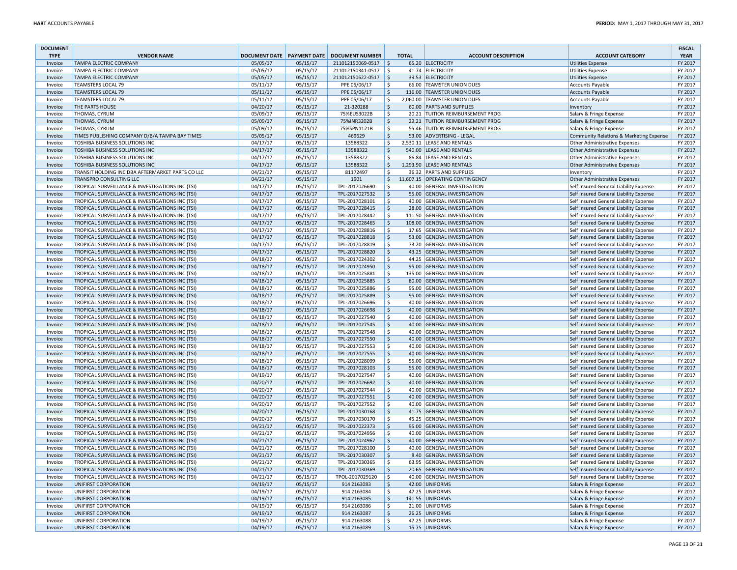| <b>DOCUMENT</b><br><b>TYPE</b> | <b>VENDOR NAME</b>                                                                                   | <b>DOCUMENT DATE   PAYMENT DATE</b> |                      | <b>DOCUMENT NUMBER</b>           | <b>TOTAL</b>       | <b>ACCOUNT DESCRIPTION</b>                                  | <b>ACCOUNT CATEGORY</b>                                                          | <b>FISCAL</b><br><b>YEAR</b> |
|--------------------------------|------------------------------------------------------------------------------------------------------|-------------------------------------|----------------------|----------------------------------|--------------------|-------------------------------------------------------------|----------------------------------------------------------------------------------|------------------------------|
| Invoice                        | <b>TAMPA ELECTRIC COMPANY</b>                                                                        | 05/05/17                            | 05/15/17             | $211012150069-0517$ \$           |                    | 65.20 ELECTRICITY                                           | <b>Utilities Expense</b>                                                         | FY 2017                      |
| Invoice                        | <b>TAMPA ELECTRIC COMPANY</b>                                                                        | 05/05/17                            | 05/15/17             | 211012150341-0517   \$           |                    | 41.74 ELECTRICITY                                           | <b>Utilities Expense</b>                                                         | FY 2017                      |
| Invoice                        | <b>TAMPA ELECTRIC COMPANY</b>                                                                        | 05/05/17                            | 05/15/17             | 211012150622-0517                | $\vert$ \$         | 39.53 ELECTRICITY                                           | <b>Utilities Expense</b>                                                         | FY 2017                      |
| Invoice                        | <b>TEAMSTERS LOCAL 79</b>                                                                            | 05/11/17                            | 05/15/17             | PPE 05/06/17                     | \$                 | 66.00 TEAMSTER UNION DUES                                   | <b>Accounts Payable</b>                                                          | FY 2017                      |
| Invoice                        | <b>TEAMSTERS LOCAL 79</b>                                                                            | 05/11/17                            | 05/15/17             | PPE 05/06/17                     | \$                 | 116.00 TEAMSTER UNION DUES                                  | <b>Accounts Payable</b>                                                          | FY 2017                      |
| Invoice                        | <b>TEAMSTERS LOCAL 79</b>                                                                            | 05/11/17                            | 05/15/17             | PPE 05/06/17                     | \$                 | 2,060.00 TEAMSTER UNION DUES                                | <b>Accounts Payable</b>                                                          | FY 2017                      |
| Invoice                        | THE PARTS HOUSE                                                                                      | 04/20/17                            | 05/15/17             | 21-320288                        | \$                 | 60.00 PARTS AND SUPPLIES                                    | Inventory                                                                        | FY 2017                      |
| Invoice                        | THOMAS, CYRUM                                                                                        | 05/09/17                            | 05/15/17             | 75%EUS3022B                      | \$                 | 20.21 TUITION REIMBURSEMENT PROG                            | Salary & Fringe Expense                                                          | FY 2017                      |
| Invoice                        | <b>THOMAS, CYRUM</b>                                                                                 | 05/09/17                            | 05/15/17             | 75%INR3202B                      | \$                 | 29.21 TUITION REIMBURSEMENT PROG                            | Salary & Fringe Expense                                                          | FY 2017                      |
| Invoice                        | <b>THOMAS, CYRUM</b>                                                                                 | 05/09/17                            | 05/15/17             | 75%SPN1121B                      | \$                 | 55.46 TUITION REIMBURSEMENT PROG                            | Salary & Fringe Expense                                                          | FY 2017                      |
| Invoice                        | TIMES PUBLISHING COMPANY D/B/A TAMPA BAY TIMES                                                       | 05/05/17                            | 05/15/17             | 469629                           | $\zeta$            | 53.00 ADVERTISING - LEGAL                                   | Community Relations & Marketing Expense                                          | FY 2017                      |
| Invoice                        | TOSHIBA BUSINESS SOLUTIONS INC                                                                       | 04/17/17                            | 05/15/17             | 13588322                         | \$                 | 2.530.11 LEASE AND RENTALS                                  | <b>Other Administrative Expenses</b>                                             | FY 2017                      |
| Invoice                        | TOSHIBA BUSINESS SOLUTIONS INC                                                                       | 04/17/17                            | 05/15/17             | 13588322                         | <sub>S</sub>       | 540.00 LEASE AND RENTALS                                    | <b>Other Administrative Expenses</b>                                             | FY 2017                      |
| Invoice                        | TOSHIBA BUSINESS SOLUTIONS INC                                                                       | 04/17/17                            | 05/15/17             | 13588322                         | \$                 | 86.84 LEASE AND RENTALS                                     | <b>Other Administrative Expenses</b>                                             | FY 2017                      |
| Invoice                        | TOSHIBA BUSINESS SOLUTIONS INC                                                                       | 04/17/17                            | 05/15/17             | 13588322                         | \$                 | 1.293.90 LEASE AND RENTALS                                  | <b>Other Administrative Expenses</b>                                             | FY 2017                      |
| Invoice                        | TRANSIT HOLDING INC DBA AFTERMARKET PARTS CO LLC                                                     | 04/21/17                            | 05/15/17             | 81172497                         | \$                 | 36.32 PARTS AND SUPPLIES<br>11,607.15 OPERATING CONTINGENCY | Inventory                                                                        | FY 2017                      |
| Invoice                        | <b>TRANSPRO CONSULTING LLC</b>                                                                       | 04/21/17<br>04/17/17                | 05/15/17<br>05/15/17 | 1901<br>TPL-2017026690           | \$<br>\$           | 40.00 GENERAL INVESTIGATION                                 | <b>Other Administrative Expenses</b><br>Self Insured General Liability Expense   | FY 2017<br>FY 2017           |
| Invoice<br>Invoice             | TROPICAL SURVEILLANCE & INVESTIGATIONS INC (TSI)<br>TROPICAL SURVEILLANCE & INVESTIGATIONS INC (TSI) | 04/17/17                            | 05/15/17             | TPL-2017027532                   | \$                 | 55.00 GENERAL INVESTIGATION                                 | Self Insured General Liability Expense                                           | FY 2017                      |
| Invoice                        | TROPICAL SURVEILLANCE & INVESTIGATIONS INC (TSI)                                                     | 04/17/17                            | 05/15/17             | TPL-2017028101                   | S.                 | 40.00 GENERAL INVESTIGATION                                 | Self Insured General Liability Expense                                           | FY 2017                      |
| Invoice                        | TROPICAL SURVEILLANCE & INVESTIGATIONS INC (TSI)                                                     | 04/17/17                            | 05/15/17             | TPL-2017028415                   | $\zeta$            | 28.00 GENERAL INVESTIGATION                                 | Self Insured General Liability Expense                                           | FY 2017                      |
| Invoice                        | TROPICAL SURVEILLANCE & INVESTIGATIONS INC (TSI)                                                     | 04/17/17                            | 05/15/17             | TPL-2017028442                   | Ŝ                  | 111.50 GENERAL INVESTIGATION                                | Self Insured General Liability Expense                                           | FY 2017                      |
| Invoice                        | TROPICAL SURVEILLANCE & INVESTIGATIONS INC (TSI)                                                     | 04/17/17                            | 05/15/17             | TPL-2017028465                   | \$                 | 108.00 GENERAL INVESTIGATION                                | Self Insured General Liability Expense                                           | FY 2017                      |
| Invoice                        | TROPICAL SURVEILLANCE & INVESTIGATIONS INC (TSI)                                                     | 04/17/17                            | 05/15/17             | TPL-2017028816                   | \$                 | 17.65 GENERAL INVESTIGATION                                 | Self Insured General Liability Expense                                           | FY 2017                      |
| Invoice                        | TROPICAL SURVEILLANCE & INVESTIGATIONS INC (TSI)                                                     | 04/17/17                            | 05/15/17             | TPL-2017028818                   | $\dot{\mathsf{S}}$ | 53.00 GENERAL INVESTIGATION                                 | Self Insured General Liability Expense                                           | FY 2017                      |
| Invoice                        | TROPICAL SURVEILLANCE & INVESTIGATIONS INC (TSI)                                                     | 04/17/17                            | 05/15/17             | TPL-2017028819                   | -\$                | 73.20 GENERAL INVESTIGATION                                 | Self Insured General Liability Expense                                           | FY 2017                      |
| Invoice                        | TROPICAL SURVEILLANCE & INVESTIGATIONS INC (TSI)                                                     | 04/17/17                            | 05/15/17             | TPL-2017028820                   | $\zeta$            | 43.25 GENERAL INVESTIGATION                                 | Self Insured General Liability Expense                                           | FY 2017                      |
| Invoice                        | TROPICAL SURVEILLANCE & INVESTIGATIONS INC (TSI)                                                     | 04/18/17                            | 05/15/17             | TPL-2017024302                   | \$                 | 44.25 GENERAL INVESTIGATION                                 | Self Insured General Liability Expense                                           | FY 2017                      |
| Invoice                        | TROPICAL SURVEILLANCE & INVESTIGATIONS INC (TSI)                                                     | 04/18/17                            | 05/15/17             | TPL-2017024950                   | \$                 | 95.00 GENERAL INVESTIGATION                                 | Self Insured General Liability Expense                                           | FY 2017                      |
| Invoice                        | TROPICAL SURVEILLANCE & INVESTIGATIONS INC (TSI)                                                     | 04/18/17                            | 05/15/17             | TPL-2017025881                   | \$                 | 135.00 GENERAL INVESTIGATION                                | Self Insured General Liability Expense                                           | FY 2017                      |
| Invoice                        | TROPICAL SURVEILLANCE & INVESTIGATIONS INC (TSI)                                                     | 04/18/17                            | 05/15/17             | TPL-2017025885                   | $\zeta$            | 80.00 GENERAL INVESTIGATION                                 | Self Insured General Liability Expense                                           | FY 2017                      |
| Invoice                        | TROPICAL SURVEILLANCE & INVESTIGATIONS INC (TSI)                                                     | 04/18/17                            | 05/15/17             | TPL-2017025886                   | \$                 | 95.00 GENERAL INVESTIGATION                                 | Self Insured General Liability Expense                                           | FY 2017                      |
| Invoice                        | TROPICAL SURVEILLANCE & INVESTIGATIONS INC (TSI)                                                     | 04/18/17                            | 05/15/17             | TPL-2017025889                   | \$                 | 95.00 GENERAL INVESTIGATION                                 | Self Insured General Liability Expense                                           | FY 2017                      |
| Invoice                        | TROPICAL SURVEILLANCE & INVESTIGATIONS INC (TSI)                                                     | 04/18/17                            | 05/15/17             | TPL-2017026696                   | \$                 | 40.00 GENERAL INVESTIGATION                                 | Self Insured General Liability Expense                                           | FY 2017                      |
| Invoice<br>Invoice             | TROPICAL SURVEILLANCE & INVESTIGATIONS INC (TSI)                                                     | 04/18/17<br>04/18/17                | 05/15/17             | TPL-2017026698                   | \$<br>\$           | 40.00 GENERAL INVESTIGATION<br>40.00 GENERAL INVESTIGATION  | Self Insured General Liability Expense                                           | FY 2017<br>FY 2017           |
| Invoice                        | TROPICAL SURVEILLANCE & INVESTIGATIONS INC (TSI)<br>TROPICAL SURVEILLANCE & INVESTIGATIONS INC (TSI) | 04/18/17                            | 05/15/17<br>05/15/17 | TPL-2017027540<br>TPL-2017027545 | $\zeta$            | 40.00 GENERAL INVESTIGATION                                 | Self Insured General Liability Expense<br>Self Insured General Liability Expense | FY 2017                      |
| Invoice                        | TROPICAL SURVEILLANCE & INVESTIGATIONS INC (TSI)                                                     | 04/18/17                            | 05/15/17             | TPL-2017027548                   | \$                 | 40.00 GENERAL INVESTIGATION                                 | Self Insured General Liability Expense                                           | FY 2017                      |
| Invoice                        | TROPICAL SURVEILLANCE & INVESTIGATIONS INC (TSI)                                                     | 04/18/17                            | 05/15/17             | TPL-2017027550                   | \$                 | 40.00 GENERAL INVESTIGATION                                 | Self Insured General Liability Expense                                           | FY 2017                      |
| Invoice                        | TROPICAL SURVEILLANCE & INVESTIGATIONS INC (TSI)                                                     | 04/18/17                            | 05/15/17             | TPL-2017027553                   | \$                 | 40.00 GENERAL INVESTIGATION                                 | Self Insured General Liability Expense                                           | FY 2017                      |
| Invoice                        | TROPICAL SURVEILLANCE & INVESTIGATIONS INC (TSI)                                                     | 04/18/17                            | 05/15/17             | TPL-2017027555                   | $\zeta$            | 40.00 GENERAL INVESTIGATION                                 | Self Insured General Liability Expense                                           | FY 2017                      |
| Invoice                        | TROPICAL SURVEILLANCE & INVESTIGATIONS INC (TSI)                                                     | 04/18/17                            | 05/15/17             | TPL-2017028099                   | \$                 | 55.00 GENERAL INVESTIGATION                                 | Self Insured General Liability Expense                                           | FY 2017                      |
| Invoice                        | TROPICAL SURVEILLANCE & INVESTIGATIONS INC (TSI)                                                     | 04/18/17                            | 05/15/17             | TPL-2017028103                   | \$                 | 55.00 GENERAL INVESTIGATION                                 | Self Insured General Liability Expense                                           | FY 2017                      |
| Invoice                        | TROPICAL SURVEILLANCE & INVESTIGATIONS INC (TSI)                                                     | 04/19/17                            | 05/15/17             | TPL-2017027547                   | \$                 | 40.00 GENERAL INVESTIGATION                                 | Self Insured General Liability Expense                                           | FY 2017                      |
| Invoice                        | TROPICAL SURVEILLANCE & INVESTIGATIONS INC (TSI)                                                     | 04/20/17                            | 05/15/17             | TPL-2017026692                   | \$                 | 40.00 GENERAL INVESTIGATION                                 | Self Insured General Liability Expense                                           | FY 2017                      |
| Invoice                        | TROPICAL SURVEILLANCE & INVESTIGATIONS INC (TSI)                                                     | 04/20/17                            | 05/15/17             | TPL-2017027544                   | S.                 | 40.00 GENERAL INVESTIGATION                                 | Self Insured General Liability Expense                                           | FY 2017                      |
| Invoice                        | TROPICAL SURVEILLANCE & INVESTIGATIONS INC (TSI)                                                     | 04/20/17                            | 05/15/17             | TPL-2017027551                   | $\zeta$            | 40.00 GENERAL INVESTIGATION                                 | Self Insured General Liability Expense                                           | FY 2017                      |
| Invoice                        | TROPICAL SURVEILLANCE & INVESTIGATIONS INC (TSI)                                                     | 04/20/17                            | 05/15/17             | TPL-2017027552                   | \$                 | 40.00 GENERAL INVESTIGATION                                 | Self Insured General Liability Expense                                           | FY 2017                      |
| Invoice                        | TROPICAL SURVEILLANCE & INVESTIGATIONS INC (TSI)                                                     | 04/20/17                            | 05/15/17             | TPL-2017030168                   | \$                 | 41.75 GENERAL INVESTIGATION                                 | Self Insured General Liability Expense                                           | FY 2017                      |
| Invoice                        | TROPICAL SURVEILLANCE & INVESTIGATIONS INC (TSI)                                                     | 04/20/17                            | 05/15/17             | TPL-2017030170                   | \$                 | 45.25 GENERAL INVESTIGATION                                 | Self Insured General Liability Expense                                           | FY 2017                      |
| Invoice                        | TROPICAL SURVEILLANCE & INVESTIGATIONS INC (TSI)                                                     | 04/21/17                            | 05/15/17             | TPL-2017022373                   | \$                 | 95.00 GENERAL INVESTIGATION                                 | Self Insured General Liability Expense                                           | FY 2017                      |
| Invoice                        | TROPICAL SURVEILLANCE & INVESTIGATIONS INC (TSI)                                                     | 04/21/17<br>04/21/17                | 05/15/17<br>05/15/17 | TPL-2017024956<br>TPL-2017024967 | \$<br>\$           | 40.00 GENERAL INVESTIGATION<br>40.00 GENERAL INVESTIGATION  | Self Insured General Liability Expense<br>Self Insured General Liability Expense | FY 2017<br>FY 2017           |
| Invoice                        | TROPICAL SURVEILLANCE & INVESTIGATIONS INC (TSI)                                                     | 04/21/17                            |                      |                                  | \$                 | 40.00 GENERAL INVESTIGATION                                 |                                                                                  | FY 2017                      |
| Invoice<br>Invoice             | TROPICAL SURVEILLANCE & INVESTIGATIONS INC (TSI)<br>TROPICAL SURVEILLANCE & INVESTIGATIONS INC (TSI) | 04/21/17                            | 05/15/17<br>05/15/17 | TPL-2017028100<br>TPL-2017030307 | \$                 | 8.40 GENERAL INVESTIGATION                                  | Self Insured General Liability Expense<br>Self Insured General Liability Expense | FY 2017                      |
| Invoice                        | TROPICAL SURVEILLANCE & INVESTIGATIONS INC (TSI)                                                     | 04/21/17                            | 05/15/17             | TPL-2017030365                   | ١ş                 | 63.95 GENERAL INVESTIGATION                                 | Self Insured General Liability Expense                                           | FY 2017                      |
| Invoice                        | TROPICAL SURVEILLANCE & INVESTIGATIONS INC (TSI)                                                     | 04/21/17                            | 05/15/17             | TPL-2017030369                   | \$                 | 20.65 GENERAL INVESTIGATION                                 | Self Insured General Liability Expense                                           | FY 2017                      |
| Invoice                        | TROPICAL SURVEILLANCE & INVESTIGATIONS INC (TSI)                                                     | 04/21/17                            | 05/15/17             | TPOL-2017029120                  | \$                 | 40.00 GENERAL INVESTIGATION                                 | Self Insured General Liability Expense                                           | FY 2017                      |
| Invoice                        | UNIFIRST CORPORATION                                                                                 | 04/19/17                            | 05/15/17             | 914 2163083                      | \$                 | 42.00 UNIFORMS                                              | Salary & Fringe Expense                                                          | FY 2017                      |
| Invoice                        | UNIFIRST CORPORATION                                                                                 | 04/19/17                            | 05/15/17             | 914 2163084                      | \$                 | 47.25 UNIFORMS                                              | Salary & Fringe Expense                                                          | FY 2017                      |
| Invoice                        | UNIFIRST CORPORATION                                                                                 | 04/19/17                            | 05/15/17             | 914 2163085                      | \$                 | 141.55 UNIFORMS                                             | Salary & Fringe Expense                                                          | FY 2017                      |
| Invoice                        | UNIFIRST CORPORATION                                                                                 | 04/19/17                            | 05/15/17             | 914 2163086                      | \$                 | 21.00 UNIFORMS                                              | Salary & Fringe Expense                                                          | FY 2017                      |
| Invoice                        | UNIFIRST CORPORATION                                                                                 | 04/19/17                            | 05/15/17             | 914 2163087                      | \$                 | 26.25 UNIFORMS                                              | Salary & Fringe Expense                                                          | FY 2017                      |
| Invoice                        | UNIFIRST CORPORATION                                                                                 | 04/19/17                            | 05/15/17             | 914 2163088                      | \$                 | 47.25 UNIFORMS                                              | Salary & Fringe Expense                                                          | FY 2017                      |
| Invoice                        | UNIFIRST CORPORATION                                                                                 | 04/19/17                            | 05/15/17             | 914 2163089                      | $\mathsf{S}$       | 15.75 UNIFORMS                                              | Salary & Fringe Expense                                                          | FY 2017                      |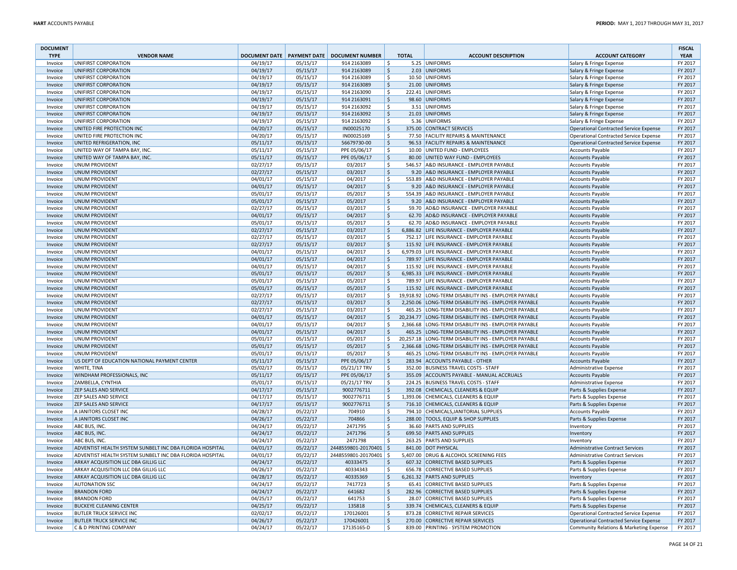| <b>DOCUMENT</b><br><b>TYPE</b> | <b>VENDOR NAME</b>                                                           |                      |                      | DOCUMENT DATE PAYMENT DATE DOCUMENT NUMBER |                     | <b>TOTAL</b> | <b>ACCOUNT DESCRIPTION</b>                                           | <b>ACCOUNT CATEGORY</b>                                                   | <b>FISCAL</b><br><b>YEAR</b> |
|--------------------------------|------------------------------------------------------------------------------|----------------------|----------------------|--------------------------------------------|---------------------|--------------|----------------------------------------------------------------------|---------------------------------------------------------------------------|------------------------------|
| Invoice                        | UNIFIRST CORPORATION                                                         | 04/19/17             | 05/15/17             | 914 2163089                                | -S                  |              | 5.25 UNIFORMS                                                        | Salary & Fringe Expense                                                   | FY 2017                      |
| Invoice                        | UNIFIRST CORPORATION                                                         | 04/19/17             | 05/15/17             | 914 2163089                                | \$                  |              | 2.03 UNIFORMS                                                        | Salary & Fringe Expense                                                   | FY 2017                      |
| Invoice                        | UNIFIRST CORPORATION                                                         | 04/19/17             | 05/15/17             | 914 2163089                                | \$                  |              | 10.50 UNIFORMS                                                       | Salary & Fringe Expense                                                   | FY 2017                      |
| Invoice                        | UNIFIRST CORPORATION                                                         | 04/19/17             | 05/15/17             | 914 2163089                                | \$                  |              | 21.00 UNIFORMS                                                       | Salary & Fringe Expense                                                   | FY 2017                      |
| Invoice                        | UNIFIRST CORPORATION                                                         | 04/19/17             | 05/15/17             | 914 2163090                                | .S                  |              | 222.41 UNIFORMS                                                      | Salary & Fringe Expense                                                   | FY 2017                      |
| Invoice                        | UNIFIRST CORPORATION                                                         | 04/19/17             | 05/15/17             | 914 2163091                                | \$                  |              | 98.60 UNIFORMS                                                       | Salary & Fringe Expense                                                   | FY 2017                      |
| Invoice                        | UNIFIRST CORPORATION                                                         | 04/19/17             | 05/15/17             | 914 2163092                                | \$                  |              | 3.51 UNIFORMS                                                        | Salary & Fringe Expense                                                   | FY 2017                      |
| Invoice                        | UNIFIRST CORPORATION                                                         | 04/19/17             | 05/15/17             | 914 2163092                                | \$                  |              | 21.03 UNIFORMS                                                       | Salary & Fringe Expense                                                   | FY 2017                      |
| Invoice                        | UNIFIRST CORPORATION                                                         | 04/19/17             | 05/15/17             | 914 2163092                                | \$                  |              | 5.36 UNIFORMS                                                        | Salary & Fringe Expense                                                   | FY 2017                      |
| Invoice                        | UNITED FIRE PROTECTION INC                                                   | 04/20/17             | 05/15/17             | IN00025170                                 | \$                  |              | 375.00 CONTRACT SERVICES                                             | <b>Operational Contracted Service Expense</b>                             | FY 2017                      |
| Invoice                        | UNITED FIRE PROTECTION INC                                                   | 04/20/17             | 05/15/17             | IN00025169                                 | $\ddot{\mathsf{S}}$ |              | 77.50 FACILITY REPAIRS & MAINTENANCE                                 | <b>Operational Contracted Service Expense</b>                             | FY 2017                      |
| Invoice                        | UNITED REFRIGERATION, INC                                                    | 05/11/17             | 05/15/17             | 56679730-00                                | \$                  |              | 96.53 FACILITY REPAIRS & MAINTENANCE                                 | <b>Operational Contracted Service Expense</b>                             | FY 2017                      |
| Invoice                        | UNITED WAY OF TAMPA BAY, INC.                                                | 05/11/17             | 05/15/17             | PPE 05/06/17                               | S.                  |              | 10.00 UNITED FUND - EMPLOYEES                                        | <b>Accounts Payable</b>                                                   | FY 2017                      |
| Invoice                        | UNITED WAY OF TAMPA BAY, INC.                                                | 05/11/17             | 05/15/17             | PPE 05/06/17                               | \$                  |              | 80.00 UNITED WAY FUND - EMPLOYEES                                    | <b>Accounts Payable</b>                                                   | FY 2017                      |
| Invoice                        | <b>UNUM PROVIDENT</b>                                                        | 02/27/17             | 05/15/17             | 03/2017                                    | <b>S</b>            |              | 546.57 A&D INSURANCE - EMPLOYER PAYABLE                              | <b>Accounts Payable</b>                                                   | FY 2017                      |
| Invoice                        | UNUM PROVIDENT                                                               | 02/27/17             | 05/15/17             | 03/2017                                    | <sub>S</sub>        |              | 9.20 A&D INSURANCE - EMPLOYER PAYABLE                                | Accounts Payable                                                          | FY 2017                      |
| Invoice                        | UNUM PROVIDENT                                                               | 04/01/17             | 05/15/17             | 04/2017                                    | Ŝ                   |              | 553.89 A&D INSURANCE - EMPLOYER PAYABLE                              | <b>Accounts Payable</b>                                                   | FY 2017                      |
| Invoice                        | <b>UNUM PROVIDENT</b>                                                        | 04/01/17             | 05/15/17             | 04/2017                                    | \$                  |              | 9.20 A&D INSURANCE - EMPLOYER PAYABLE                                | <b>Accounts Payable</b>                                                   | FY 2017                      |
| Invoice                        | <b>UNUM PROVIDENT</b>                                                        | 05/01/17             | 05/15/17             | 05/2017                                    | \$                  |              | 554.39 A&D INSURANCE - EMPLOYER PAYABLE                              | <b>Accounts Payable</b>                                                   | FY 2017                      |
| Invoice                        | <b>UNUM PROVIDENT</b>                                                        | 05/01/17             | 05/15/17             | 05/2017                                    | $\zeta$             |              | 9.20 A&D INSURANCE - EMPLOYER PAYABLE                                | <b>Accounts Payable</b>                                                   | FY 2017                      |
| Invoice                        | UNUM PROVIDENT                                                               | 02/27/17             | 05/15/17             | 03/2017                                    | \$                  |              | 59.70 AD&D INSURANCE - EMPLOYER PAYABLE                              | <b>Accounts Payable</b>                                                   | FY 2017                      |
| Invoice                        | <b>UNUM PROVIDENT</b>                                                        | 04/01/17             | 05/15/17             | 04/2017                                    | \$                  |              | 62.70 AD&D INSURANCE - EMPLOYER PAYABLE                              | <b>Accounts Payable</b>                                                   | FY 2017                      |
| Invoice                        | <b>UNUM PROVIDENT</b>                                                        | 05/01/17             | 05/15/17             | 05/2017                                    | S.                  |              | 62.70 AD&D INSURANCE - EMPLOYER PAYABLE                              | <b>Accounts Payable</b>                                                   | FY 2017                      |
| Invoice                        | <b>UNUM PROVIDENT</b>                                                        | 02/27/17             | 05/15/17             | 03/2017                                    | \$                  |              | 6,886.82 LIFE INSURANCE - EMPLOYER PAYABLE                           | <b>Accounts Payable</b>                                                   | FY 2017                      |
| Invoice                        | <b>UNUM PROVIDENT</b>                                                        | 02/27/17             | 05/15/17             | 03/2017                                    | Ś                   |              | 752.17 LIFE INSURANCE - EMPLOYER PAYABLE                             | <b>Accounts Payable</b>                                                   | FY 2017                      |
| Invoice                        | <b>UNUM PROVIDENT</b>                                                        | 02/27/17             | 05/15/17             | 03/2017                                    | \$                  |              | 115.92 LIFE INSURANCE - EMPLOYER PAYABLE                             | <b>Accounts Payable</b>                                                   | FY 2017                      |
| Invoice                        | <b>UNUM PROVIDENT</b>                                                        | 04/01/17             | 05/15/17             | 04/2017                                    | \$                  |              | 6,979.03 LIFE INSURANCE - EMPLOYER PAYABLE                           | <b>Accounts Payable</b>                                                   | FY 2017                      |
| Invoice                        | <b>UNUM PROVIDENT</b>                                                        | 04/01/17             | 05/15/17             | 04/2017                                    | S.                  |              | 789.97 LIFE INSURANCE - EMPLOYER PAYABLE                             | <b>Accounts Payable</b>                                                   | FY 2017                      |
| Invoice                        | UNUM PROVIDENT                                                               | 04/01/17             | 05/15/17             | 04/2017                                    | \$                  |              | 115.92 LIFE INSURANCE - EMPLOYER PAYABLE                             | Accounts Payable                                                          | FY 2017                      |
| Invoice                        | <b>UNUM PROVIDENT</b>                                                        | 05/01/17             | 05/15/17             | 05/2017                                    | $\mathsf{S}$        |              | 6,985.33 LIFE INSURANCE - EMPLOYER PAYABLE                           | <b>Accounts Payable</b>                                                   | FY 2017                      |
| Invoice                        | <b>UNUM PROVIDENT</b>                                                        | 05/01/17             | 05/15/17             | 05/2017                                    | <sup>\$</sup>       |              | 789.97 LIFE INSURANCE - EMPLOYER PAYABLE                             | <b>Accounts Payable</b>                                                   | FY 2017                      |
| Invoice                        | <b>UNUM PROVIDENT</b>                                                        | 05/01/17             | 05/15/17             | 05/2017                                    | S.                  |              | 115.92 LIFE INSURANCE - EMPLOYER PAYABLE                             | <b>Accounts Payable</b>                                                   | FY 2017                      |
| Invoice                        | <b>UNUM PROVIDENT</b>                                                        | 02/27/17             | 05/15/17             | 03/2017                                    | Ŝ.                  |              | 19,918.92 LONG-TERM DISABILITY INS - EMPLOYER PAYABLE                | <b>Accounts Payable</b>                                                   | FY 2017                      |
| Invoice                        | <b>UNUM PROVIDENT</b>                                                        | 02/27/17             | 05/15/17             | 03/2017                                    | <sup>S</sup>        |              | 2,250.06 LONG-TERM DISABILITY INS - EMPLOYER PAYABLE                 | <b>Accounts Payable</b>                                                   | FY 2017                      |
| Invoice                        | <b>UNUM PROVIDENT</b>                                                        | 02/27/17             | 05/15/17             | 03/2017                                    | <sup>\$</sup>       |              | 465.25 LONG-TERM DISABILITY INS - EMPLOYER PAYABLE                   | <b>Accounts Payable</b>                                                   | FY 2017                      |
| Invoice                        | <b>UNUM PROVIDENT</b>                                                        | 04/01/17             | 05/15/17             | 04/2017                                    | \$                  |              | 20,234.77 LONG-TERM DISABILITY INS - EMPLOYER PAYABLE                | <b>Accounts Payable</b>                                                   | FY 2017                      |
| Invoice                        | <b>UNUM PROVIDENT</b>                                                        | 04/01/17             | 05/15/17             | 04/2017                                    | S.                  |              | 2,366.68 LONG-TERM DISABILITY INS - EMPLOYER PAYABLE                 | <b>Accounts Payable</b>                                                   | FY 2017                      |
| Invoice                        | <b>UNUM PROVIDENT</b>                                                        | 04/01/17             | 05/15/17             | 04/2017                                    | \$                  |              | 465.25 LONG-TERM DISABILITY INS - EMPLOYER PAYABLE                   | Accounts Payable                                                          | FY 2017                      |
| Invoice                        | <b>UNUM PROVIDENT</b>                                                        | 05/01/17             | 05/15/17             | 05/2017                                    | \$                  |              | 20,257.18 LONG-TERM DISABILITY INS - EMPLOYER PAYABLE                | <b>Accounts Payable</b>                                                   | FY 2017                      |
| Invoice                        | <b>UNUM PROVIDENT</b>                                                        | 05/01/17             | 05/15/17             | 05/2017                                    | \$                  |              | 2,366.68 LONG-TERM DISABILITY INS - EMPLOYER PAYABLE                 | <b>Accounts Payable</b>                                                   | FY 2017                      |
| Invoice                        | <b>UNUM PROVIDENT</b>                                                        | 05/01/17             | 05/15/17             | 05/2017                                    | \$.                 |              | 465.25 LONG-TERM DISABILITY INS - EMPLOYER PAYABLE                   | <b>Accounts Payable</b>                                                   | FY 2017                      |
| Invoice                        | US DEPT OF EDUCATION NATIONAL PAYMENT CENTER                                 | 05/11/17             | 05/15/17             | PPE 05/06/17                               | \$                  |              | 283.94 ACCOUNTS PAYABLE - OTHER                                      | <b>Accounts Payable</b>                                                   | FY 2017                      |
| Invoice                        | WHITE, TINA                                                                  | 05/02/17             | 05/15/17             | 05/21/17 TRV                               | \$                  |              | 352.00 BUSINESS TRAVEL COSTS - STAFF                                 | Administrative Expense                                                    | FY 2017                      |
| Invoice                        | WINDHAM PROFESSIONALS, INC                                                   | 05/11/17             | 05/15/17             | PPE 05/06/17                               | \$                  |              | 355.09 ACCOUNTS PAYABLE - MANUAL ACCRUALS                            | <b>Accounts Payable</b>                                                   | FY 2017                      |
| Invoice                        | ZAMBELLA, CYNTHIA                                                            | 05/01/17             | 05/15/17             | 05/21/17 TRV                               | \$                  |              | 224.25 BUSINESS TRAVEL COSTS - STAFF                                 | Administrative Expense                                                    | FY 2017                      |
| Invoice                        | ZEP SALES AND SERVICE                                                        | 04/17/17             | 05/15/17             | 9002776711                                 | l \$                |              | 392.08 CHEMICALS, CLEANERS & EQUIP                                   | Parts & Supplies Expense                                                  | FY 2017                      |
| Invoice                        | ZEP SALES AND SERVICE                                                        | 04/17/17             | 05/15/17             | 9002776711                                 | \$                  |              | 1,393.06 CHEMICALS, CLEANERS & EQUIP                                 | Parts & Supplies Expense                                                  | FY 2017                      |
| Invoice                        | <b>ZEP SALES AND SERVICE</b>                                                 | 04/17/17             | 05/15/17             | 9002776711                                 | \$                  |              | 716.10 CHEMICALS, CLEANERS & EQUIP                                   | Parts & Supplies Expense                                                  | FY 2017                      |
| Invoice                        | A JANITORS CLOSET INC                                                        | 04/28/17             | 05/22/17             | 704910                                     | \$.                 |              | 794.10 CHEMICALS, JANITORIAL SUPPLIES                                | <b>Accounts Payable</b>                                                   | FY 2017                      |
| Invoice                        | A JANITORS CLOSET INC                                                        | 04/26/17             | 05/22/17             | 704866                                     | S.                  |              | 288.00 TOOLS, EQUIP & SHOP SUPPLIES                                  | Parts & Supplies Expense                                                  | FY 2017                      |
| Invoice                        | ABC BUS, INC.                                                                | 04/24/17             | 05/22/17             | 2471795                                    | Ŝ                   |              | 36.60 PARTS AND SUPPLIES                                             | Inventory                                                                 | FY 2017                      |
| Invoice                        | ABC BUS, INC.                                                                | 04/24/17             | 05/22/17             | 2471796                                    | \$                  |              | 699.50 PARTS AND SUPPLIES                                            | Inventory                                                                 | FY 2017                      |
| Invoice                        | ABC BUS, INC.                                                                | 04/24/17             | 05/22/17             | 2471798                                    | Ŝ                   |              | 263.25 PARTS AND SUPPLIES                                            | Inventory                                                                 | FY 2017                      |
| Invoice                        | ADVENTIST HEALTH SYSTEM SUNBELT INC DBA FLORIDA HOSPITAL                     | 04/01/17             | 05/22/17             | 2448559801-20170401 \$                     |                     |              | 841.00 DOT PHYSICAL                                                  | <b>Administrative Contract Services</b>                                   | FY 2017                      |
| Invoice                        | ADVENTIST HEALTH SYSTEM SUNBELT INC DBA FLORIDA HOSPITAL                     | 04/01/17             | 05/22/17             | 2448559801-20170401 \$                     |                     |              | 5,407.00 DRUG & ALCOHOL SCREENING FEES                               | <b>Administrative Contract Services</b>                                   | FY 2017                      |
| Invoice                        | ARKAY ACQUISITION LLC DBA GILLIG LLC<br>ARKAY ACQUISITION LLC DBA GILLIG LLC | 04/24/17             | 05/22/17             | 40333475<br>40334343                       | Ŝ.<br><sup>\$</sup> |              | 607.32 CORRECTIVE BASED SUPPLIES<br>656.78 CORRECTIVE BASED SUPPLIES | Parts & Supplies Expense                                                  | FY 2017<br>FY 2017           |
| Invoice                        |                                                                              | 04/26/17             | 05/22/17             |                                            |                     |              |                                                                      | Parts & Supplies Expense                                                  |                              |
| Invoice                        | ARKAY ACQUISITION LLC DBA GILLIG LLC                                         | 04/28/17             | 05/22/17             | 40335369                                   | S.                  |              | 6,261.32 PARTS AND SUPPLIES                                          | Inventory                                                                 | FY 2017                      |
| Invoice                        | <b>AUTONATION SSC</b>                                                        | 04/24/17             | 05/22/17             | 7417723                                    | Ŝ.                  |              | 65.41 CORRECTIVE BASED SUPPLIES                                      | Parts & Supplies Expense                                                  | FY 2017                      |
| Invoice<br>Invoice             | <b>BRANDON FORD</b><br><b>BRANDON FORD</b>                                   | 04/24/17<br>04/25/17 | 05/22/17<br>05/22/17 | 641682<br>641753                           | -Ś<br>Ŝ             |              | 282.96 CORRECTIVE BASED SUPPLIES<br>28.07 CORRECTIVE BASED SUPPLIES  | Parts & Supplies Expense<br>Parts & Supplies Expense                      | FY 2017<br>FY 2017           |
|                                | <b>BUCKEYE CLEANING CENTER</b>                                               | 04/25/17             | 05/22/17             | 135818                                     | \$                  |              | 339.74 CHEMICALS, CLEANERS & EQUIP                                   |                                                                           | FY 2017                      |
| Invoice<br>Invoice             | <b>BUTLER TRUCK SERVICE INC</b>                                              | 02/02/17             | 05/22/17             | 170126001                                  | S.                  |              | 873.28 CORRECTIVE REPAIR SERVICES                                    | Parts & Supplies Expense<br><b>Operational Contracted Service Expense</b> | FY 2017                      |
| Invoice                        | <b>BUTLER TRUCK SERVICE INC</b>                                              | 04/26/17             | 05/22/17             | 170426001                                  | $\zeta$             |              | 270.00 CORRECTIVE REPAIR SERVICES                                    | <b>Operational Contracted Service Expense</b>                             | FY 2017                      |
| Invoice                        | <b>C &amp; D PRINTING COMPANY</b>                                            | 04/24/17             | 05/22/17             | 17135165-D                                 | Ŝ.                  |              | 839.00 PRINTING - SYSTEM PROMOTION                                   | Community Relations & Marketing Expense                                   | FY 2017                      |
|                                |                                                                              |                      |                      |                                            |                     |              |                                                                      |                                                                           |                              |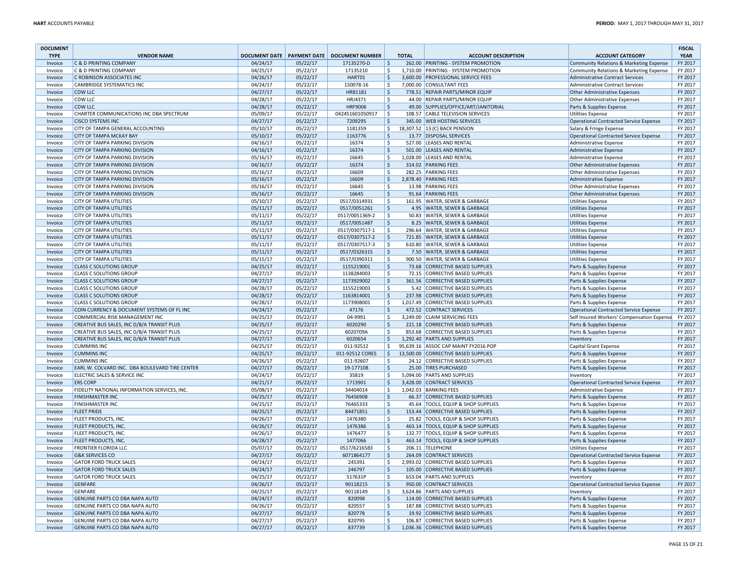| <b>DOCUMENT</b><br><b>TYPE</b> | <b>VENDOR NAME</b>                             |          |          | DOCUMENT DATE   PAYMENT DATE   DOCUMENT NUMBER |                    | <b>TOTAL</b> | <b>ACCOUNT DESCRIPTION</b>           | <b>ACCOUNT CATEGORY</b>                       | <b>FISCAL</b><br><b>YEAR</b> |
|--------------------------------|------------------------------------------------|----------|----------|------------------------------------------------|--------------------|--------------|--------------------------------------|-----------------------------------------------|------------------------------|
| Invoice                        | <b>C &amp; D PRINTING COMPANY</b>              | 04/24/17 | 05/22/17 | 17135270-D                                     | l \$               |              | 262.00 PRINTING - SYSTEM PROMOTION   | Community Relations & Marketing Expense       | FY 2017                      |
| Invoice                        | <b>C &amp; D PRINTING COMPANY</b>              | 04/25/17 | 05/22/17 | 17135210                                       | \$                 |              | 1,710.00 PRINTING - SYSTEM PROMOTION | Community Relations & Marketing Expense       | FY 2017                      |
| Invoice                        | C ROBINSON ASSOCIATES INC                      | 04/26/17 | 05/22/17 | HART01                                         | <sub>S</sub>       |              | 3,600.00 PROFESSIONAL SERVICE FEES   | <b>Administrative Contract Services</b>       | FY 2017                      |
| Invoice                        | <b>CAMBRIDGE SYSTEMATICS INC</b>               | 04/24/17 | 05/22/17 | 150078-16                                      | ۱Ś                 |              | 7,000.00 CONSULTANT FEES             | <b>Administrative Contract Services</b>       | FY 2017                      |
| Invoice                        | <b>CDW LLC</b>                                 | 04/27/17 | 05/22/17 | HRB1181                                        | ∣\$                |              | 778.51 REPAIR PARTS/MINOR EQUIP      | <b>Other Administrative Expenses</b>          | FY 2017                      |
| Invoice                        | <b>CDW LLC</b>                                 | 04/28/17 | 05/22/17 | HRJ4371                                        | ۱\$                |              | 44.00 REPAIR PARTS/MINOR EQUIP       | <b>Other Administrative Expenses</b>          | FY 2017                      |
| Invoice                        | <b>CDW LLC</b>                                 | 04/28/17 | 05/22/17 | <b>HRF9006</b>                                 | S,                 |              | 49.00 SUPPLIES/OFFICE/ART/JANITORIAL | Parts & Supplies Expense                      | FY 2017                      |
| Invoice                        | CHARTER COMMUNICATIONS INC DBA SPECTRUM        | 05/09/17 | 05/22/17 | 042451601050917                                | S.                 |              | 108.57 CABLE TELEVISION SERVICES     | <b>Utilities Expense</b>                      | FY 2017                      |
| Invoice                        | <b>CISCO SYSTEMS INC</b>                       | 04/27/17 | 05/22/17 | 7209295                                        | ∣\$                |              | 345.00 WEB HOSTING SERVICES          | <b>Operational Contracted Service Expense</b> | FY 2017                      |
| Invoice                        | CITY OF TAMPA GENERAL ACCOUNTING               | 05/10/17 | 05/22/17 | 1181359                                        | S.                 |              | 18,307.52 13 (C) BACK PENSION        | Salary & Fringe Expense                       | FY 2017                      |
| Invoice                        | <b>CITY OF TAMPA MCKAY BAY</b>                 | 05/10/17 | 05/22/17 | 1163776                                        | $\zeta$            |              | 13.77 DISPOSAL SERVICES              | <b>Operational Contracted Service Expense</b> | FY 2017                      |
| Invoice                        | CITY OF TAMPA PARKING DIVISION                 | 04/16/17 | 05/22/17 | 16374                                          | \$                 |              | 527.00 LEASES AND RENTAL             | Administrative Expense                        | FY 2017                      |
| Invoice                        | CITY OF TAMPA PARKING DIVISION                 | 04/16/17 | 05/22/17 | 16374                                          | $\mathsf{S}$       |              | 501.00 LEASES AND RENTAL             | Administrative Expense                        | FY 2017                      |
| Invoice                        | CITY OF TAMPA PARKING DIVISION                 | 05/16/17 | 05/22/17 | 16645                                          | S.                 |              | 1,028.00 LEASES AND RENTAL           | Administrative Expense                        | FY 2017                      |
| Invoice                        | <b>CITY OF TAMPA PARKING DIVISION</b>          | 04/16/17 | 05/22/17 | 16374                                          | l \$               |              | 314.02 PARKING FEES                  | <b>Other Administrative Expenses</b>          | FY 2017                      |
| Invoice                        | CITY OF TAMPA PARKING DIVISION                 | 05/16/17 | 05/22/17 | 16609                                          | ۱\$                |              | 282.25 PARKING FEES                  | <b>Other Administrative Expenses</b>          | FY 2017                      |
| Invoice                        | CITY OF TAMPA PARKING DIVISION                 | 05/16/17 | 05/22/17 | 16609                                          | $\ddot{\varsigma}$ |              | 2,878.40 PARKING FEES                | Administrative Expense                        | FY 2017                      |
| Invoice                        | <b>CITY OF TAMPA PARKING DIVISION</b>          | 05/16/17 | 05/22/17 | 16645                                          | Ŝ.                 |              | 13.98 PARKING FEES                   | Other Administrative Expenses                 | FY 2017                      |
| Invoice                        | CITY OF TAMPA PARKING DIVISION                 | 05/16/17 | 05/22/17 | 16645                                          | \$                 |              | 91.64 PARKING FEES                   | <b>Other Administrative Expenses</b>          | FY 2017                      |
| Invoice                        | <b>CITY OF TAMPA UTILITIES</b>                 | 05/10/17 | 05/22/17 | 0517/0314931                                   | S.                 |              | 161.95 WATER, SEWER & GARBAGE        | Utilities Expense                             | FY 2017                      |
| Invoice                        | <b>CITY OF TAMPA UTILITIES</b>                 | 05/11/17 | 05/22/17 | 0517/0051261                                   | l \$               |              | 4.95 WATER, SEWER & GARBAGE          | <b>Utilities Expense</b>                      | FY 2017                      |
| Invoice                        | <b>CITY OF TAMPA UTILITIES</b>                 | 05/11/17 | 05/22/17 | 0517/0051369-2                                 | ۱\$                |              | 50.83 WATER, SEWER & GARBAGE         | <b>Utilities Expense</b>                      | FY 2017                      |
| Invoice                        | <b>CITY OF TAMPA UTILITIES</b>                 | 05/11/17 | 05/22/17 | 0517/0051487                                   | $\ddot{\varsigma}$ |              | 8.25 WATER, SEWER & GARBAGE          | <b>Utilities Expense</b>                      | FY 2017                      |
| Invoice                        | <b>CITY OF TAMPA UTILITIES</b>                 | 05/11/17 | 05/22/17 | 0517/0307517-1                                 | ۱Ś                 |              | 296.64 WATER, SEWER & GARBAGE        | <b>Utilities Expense</b>                      | FY 2017                      |
| Invoice                        | <b>CITY OF TAMPA UTILITIES</b>                 | 05/11/17 | 05/22/17 | 0517/0307517-2                                 | l \$               |              | 721.85 WATER, SEWER & GARBAGE        | <b>Utilities Expense</b>                      | FY 2017                      |
| Invoice                        | <b>CITY OF TAMPA UTILITIES</b>                 | 05/11/17 | 05/22/17 | 0517/0307517-3                                 | ۱\$                |              | 610.80 WATER, SEWER & GARBAGE        | <b>Utilities Expense</b>                      | FY 2017                      |
| Invoice                        | <b>CITY OF TAMPA UTILITIES</b>                 | 05/11/17 | 05/22/17 | 0517/0326315                                   | $\zeta$            |              | 7.50 WATER, SEWER & GARBAGE          | <b>Utilities Expense</b>                      | FY 2017                      |
| Invoice                        | <b>CITY OF TAMPA UTILITIES</b>                 | 05/15/17 | 05/22/17 | 0517/0390311                                   | $\ddot{\varsigma}$ |              | 900.50 WATER, SEWER & GARBAGE        | <b>Utilities Expense</b>                      | FY 2017                      |
| Invoice                        | <b>CLASS C SOLUTIONS GROUP</b>                 | 04/25/17 | 05/22/17 | 1155219001                                     | \$                 |              | 73.68 CORRECTIVE BASED SUPPLIES      | Parts & Supplies Expense                      | FY 2017                      |
| Invoice                        | <b>CLASS C SOLUTIONS GROUP</b>                 | 04/27/17 | 05/22/17 | 1138284003                                     | S.                 |              | 72.15 CORRECTIVE BASED SUPPLIES      | Parts & Supplies Expense                      | FY 2017                      |
| Invoice                        | <b>CLASS C SOLUTIONS GROUP</b>                 | 04/27/17 | 05/22/17 | 1173929002                                     | ∣\$                |              | 361.56 CORRECTIVE BASED SUPPLIES     | Parts & Supplies Expense                      | FY 2017                      |
| Invoice                        | <b>CLASS C SOLUTIONS GROUP</b>                 | 04/28/17 | 05/22/17 | 1155219003                                     | \$                 |              | 5.42 CORRECTIVE BASED SUPPLIES       | Parts & Supplies Expense                      | FY 2017                      |
| Invoice                        | <b>CLASS C SOLUTIONS GROUP</b>                 | 04/28/17 | 05/22/17 | 1163814001                                     | $\mathsf{S}$       |              | 237.98 CORRECTIVE BASED SUPPLIES     | Parts & Supplies Expense                      | FY 2017                      |
| Invoice                        | <b>CLASS C SOLUTIONS GROUP</b>                 | 04/28/17 | 05/22/17 | 1173908001                                     | S.                 |              | 1,017.49 CORRECTIVE BASED SUPPLIES   | Parts & Supplies Expense                      | FY 2017                      |
| Invoice                        | COIN CURRENCY & DOCUMENT SYSTEMS OF FL INC     | 04/24/17 | 05/22/17 | 47176                                          | $\mathsf{S}$       |              | 472.52 CONTRACT SERVICES             | <b>Operational Contracted Service Expense</b> | FY 2017                      |
| Invoice                        | COMMERCIAL RISK MANAGEMENT INC                 | 04/25/17 | 05/22/17 | 04-9991                                        | ۱\$                |              | 3,249.00 CLAIM SERVICING FEES        | Self Insured Workers' Compensation Expense    | FY 2017                      |
| Invoice                        | CREATIVE BUS SALES, INC D/B/A TRANSIT PLUS     | 04/25/17 | 05/22/17 | 6020290                                        | $\ddot{\varsigma}$ |              | 221.18 CORRECTIVE BASED SUPPLIES     | Parts & Supplies Expense                      | FY 2017                      |
| Invoice                        | CREATIVE BUS SALES, INC D/B/A TRANSIT PLUS     | 04/25/17 | 05/22/17 | 6020709A                                       | S.                 |              | 853.68 CORRECTIVE BASED SUPPLIES     | Parts & Supplies Expense                      | FY 2017                      |
| Invoice                        | CREATIVE BUS SALES, INC D/B/A TRANSIT PLUS     | 04/27/17 | 05/22/17 | 6020654                                        | ∣\$                |              | 1,292.40 PARTS AND SUPPLIES          | Inventory                                     | FY 2017                      |
| Invoice                        | <b>CUMMINS INC</b>                             | 04/25/17 | 05/22/17 | 011-92512                                      | Ŝ.                 |              | 95,639.16 ASSOC CAP MAINT FY2016 POP | Capital Grant Expense                         | FY 2017                      |
| Invoice                        | <b>CUMMINS INC</b>                             | 04/25/17 | 05/22/17 | 011-92512 CORES                                | l \$               |              | 13,500.00 CORRECTIVE BASED SUPPLIES  | Parts & Supplies Expense                      | FY 2017                      |
| Invoice                        | <b>CUMMINS INC</b>                             | 04/26/17 | 05/22/17 | 011-92607                                      | \$                 |              | 24.12 CORRECTIVE BASED SUPPLIES      | Parts & Supplies Expense                      | FY 2017                      |
| Invoice                        | EARL W. COLVARD INC. DBA BOULEVARD TIRE CENTER | 04/27/17 | 05/22/17 | 19-177108                                      | \$                 |              | 25.00 TIRES PURCHASED                | Parts & Supplies Expense                      | FY 2017                      |
| Invoice                        | ELECTRIC SALES & SERVICE INC                   | 04/24/17 | 05/22/17 | 35819                                          | S.                 |              | 5,094.00 PARTS AND SUPPLIES          | Inventory                                     | FY 2017                      |
| Invoice                        | <b>ERS CORP</b>                                | 04/21/17 | 05/22/17 | 1713901                                        | l \$               |              | 3,428.00 CONTRACT SERVICES           | <b>Operational Contracted Service Expense</b> | FY 2017                      |
| Invoice                        | FIDELITY NATIONAL INFORMATION SERVICES, INC.   | 05/08/17 | 05/22/17 | 34404014                                       | ۱\$                |              | 1,042.03 BANKING FEES                | Administrative Expense                        | FY 2017                      |
| Invoice                        | <b>FINISHMASTER INC</b>                        | 04/25/17 | 05/22/17 | 76456908                                       | $\ddot{\varsigma}$ |              | 66.37 CORRECTIVE BASED SUPPLIES      | Parts & Supplies Expense                      | FY 2017                      |
| Invoice                        | <b>FINISHMASTER INC</b>                        | 04/25/17 | 05/22/17 | 76465333                                       | $\ddot{\varsigma}$ |              | 45.64 TOOLS, EQUIP & SHOP SUPPLIES   | Parts & Supplies Expense                      | FY 2017                      |
| Invoice                        | <b>FLEET PRIDE</b>                             | 04/25/17 | 05/22/17 | 84471851                                       | \$                 |              | 153.44 CORRECTIVE BASED SUPPLIES     | Parts & Supplies Expense                      | FY 2017                      |
| Invoice                        | FLEET PRODUCTS, INC.                           | 04/26/17 | 05/22/17 | 1476380                                        | S.                 |              | 25.82 TOOLS. EQUIP & SHOP SUPPLIES   | Parts & Supplies Expense                      | FY 2017                      |
| Invoice                        | FLEET PRODUCTS, INC.                           | 04/26/17 | 05/22/17 | 1476386                                        | ∣\$                |              | 463.14 TOOLS, EQUIP & SHOP SUPPLIES  | Parts & Supplies Expense                      | FY 2017                      |
| Invoice                        | FLEET PRODUCTS, INC.                           | 04/26/17 | 05/22/17 | 1476477                                        | \$                 |              | 132.77 TOOLS, EQUIP & SHOP SUPPLIES  | Parts & Supplies Expense                      | FY 2017                      |
| Invoice                        | FLEET PRODUCTS, INC.                           | 04/28/17 | 05/22/17 | 1477066                                        | ∣\$                |              | 463.14 TOOLS, EQUIP & SHOP SUPPLIES  | Parts & Supplies Expense                      | FY 2017                      |
| Invoice                        | <b>FRONTIER FLORIDA LLC</b>                    | 05/07/17 | 05/22/17 | 0517/6216583                                   | S.                 |              | 206.11 TELEPHONE                     | <b>Utilities Expense</b>                      | FY 2017                      |
| Invoice                        | <b>G&amp;K SERVICES CO</b>                     | 04/27/17 | 05/22/17 | 6071864177                                     | l \$               |              | 264.09 CONTRACT SERVICES             | <b>Operational Contracted Service Expense</b> | FY 2017                      |
| Invoice                        | <b>GATOR FORD TRUCK SALES</b>                  | 04/24/17 | 05/22/17 | 245391                                         | ۱\$                |              | 2,993.02 CORRECTIVE BASED SUPPLIES   | Parts & Supplies Expense                      | FY 2017                      |
| Invoice                        | <b>GATOR FORD TRUCK SALES</b>                  | 04/24/17 | 05/22/17 | 246797                                         | ∣\$                |              | 105.00 CORRECTIVE BASED SUPPLIES     | Parts & Supplies Expense                      | FY 2017                      |
| Invoice                        | <b>GATOR FORD TRUCK SALES</b>                  | 04/25/17 | 05/22/17 | 517631P                                        | $\zeta$            |              | 653.04 PARTS AND SUPPLIES            | Inventory                                     | FY 2017                      |
| Invoice                        | <b>GENFARE</b>                                 | 04/26/17 | 05/22/17 | 90118215                                       | \$                 |              | 950.00 CONTRACT SERVICES             | Operational Contracted Service Expense        | FY 2017                      |
| Invoice                        | <b>GENFARE</b>                                 | 04/25/17 | 05/22/17 | 90118149                                       | l \$               |              | 3,624.86 PARTS AND SUPPLIES          | Inventory                                     | FY 2017                      |
| Invoice                        | GENUINE PARTS CO DBA NAPA AUTO                 | 04/24/17 | 05/22/17 | 820098                                         | ∣\$                |              | 114.00 CORRECTIVE BASED SUPPLIES     | Parts & Supplies Expense                      | FY 2017                      |
| Invoice                        | GENUINE PARTS CO DBA NAPA AUTO                 | 04/26/17 | 05/22/17 | 820557                                         | \$                 |              | 187.88 CORRECTIVE BASED SUPPLIES     | Parts & Supplies Expense                      | FY 2017                      |
| Invoice                        | GENUINE PARTS CO DBA NAPA AUTO                 | 04/27/17 | 05/22/17 | 820778                                         | ∣\$                |              | 19.92 CORRECTIVE BASED SUPPLIES      | Parts & Supplies Expense                      | FY 2017                      |
| Invoice                        | GENUINE PARTS CO DBA NAPA AUTO                 | 04/27/17 | 05/22/17 | 820795                                         | l \$               |              | 106.87 CORRECTIVE BASED SUPPLIES     | Parts & Supplies Expense                      | FY 2017                      |
| Invoice                        | GENUINE PARTS CO DBA NAPA AUTO                 | 04/27/17 | 05/22/17 | 837739                                         | l \$               |              | 1,036.36 CORRECTIVE BASED SUPPLIES   | Parts & Supplies Expense                      | FY 2017                      |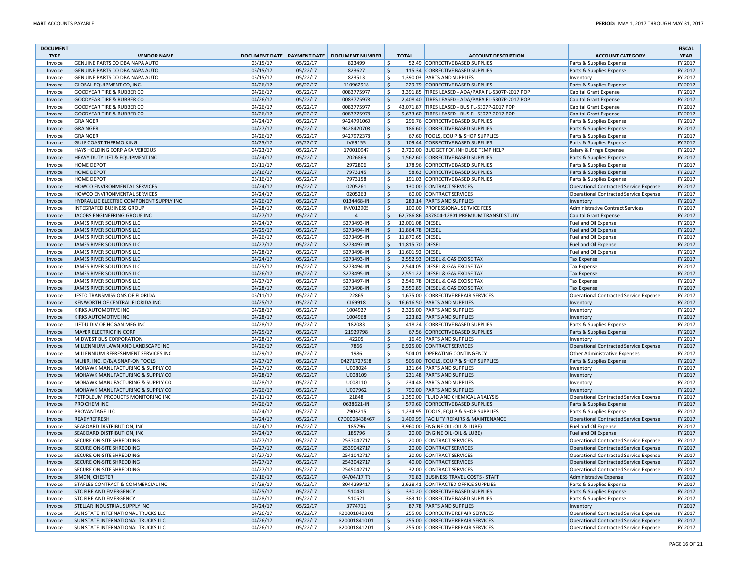| <b>DOCUMENT</b><br><b>TYPE</b> | <b>VENDOR NAME</b>                                                       |                      |                      | DOCUMENT DATE   PAYMENT DATE   DOCUMENT NUMBER |                    | <b>TOTAL</b>     | <b>ACCOUNT DESCRIPTION</b>                             | <b>ACCOUNT CATEGORY</b>                                    | <b>FISCAL</b><br><b>YEAR</b> |
|--------------------------------|--------------------------------------------------------------------------|----------------------|----------------------|------------------------------------------------|--------------------|------------------|--------------------------------------------------------|------------------------------------------------------------|------------------------------|
| Invoice                        | GENUINE PARTS CO DBA NAPA AUTO                                           | 05/15/17             | 05/22/17             | 823499                                         | -S                 |                  | 52.49 CORRECTIVE BASED SUPPLIES                        | Parts & Supplies Expense                                   | FY 2017                      |
| Invoice                        | GENUINE PARTS CO DBA NAPA AUTO                                           | 05/15/17             | 05/22/17             | 823627                                         | $\zeta$            |                  | 115.34 CORRECTIVE BASED SUPPLIES                       | Parts & Supplies Expense                                   | FY 2017                      |
| Invoice                        | GENUINE PARTS CO DBA NAPA AUTO                                           | 05/15/17             | 05/22/17             | 823513                                         | ۱\$                |                  | 1,390.03 PARTS AND SUPPLIES                            | Inventory                                                  | FY 2017                      |
| Invoice                        | GLOBAL EQUIPMENT CO, INC.                                                | 04/26/17             | 05/22/17             | 110962918                                      | \$                 |                  | 229.79 CORRECTIVE BASED SUPPLIES                       | Parts & Supplies Expense                                   | FY 2017                      |
| Invoice                        | <b>GOODYEAR TIRE &amp; RUBBER CO</b>                                     | 04/26/17             | 05/22/17             | 0083775977                                     | -Ś                 |                  | 3,391.85 TIRES LEASED - ADA/PARA FL-5307P-2017 POP     | Capital Grant Expense                                      | FY 2017                      |
| Invoice                        | <b>GOODYEAR TIRE &amp; RUBBER CO</b>                                     | 04/26/17             | 05/22/17             | 0083775978                                     | \$                 |                  | 2,408.40 TIRES LEASED - ADA/PARA FL-5307P-2017 POP     | <b>Capital Grant Expense</b>                               | FY 2017                      |
| Invoice                        | <b>GOODYEAR TIRE &amp; RUBBER CO</b>                                     | 04/26/17             | 05/22/17             | 0083775977                                     | Ŝ.                 |                  | 43,071.87 TIRES LEASED - BUS FL-5307P-2017 POP         | Capital Grant Expense                                      | FY 2017                      |
| Invoice                        | <b>GOODYEAR TIRE &amp; RUBBER CO</b>                                     | 04/26/17             | 05/22/17             | 0083775978                                     | S.                 |                  | 9,633.60 TIRES LEASED - BUS FL-5307P-2017 POP          | <b>Capital Grant Expense</b>                               | FY 2017                      |
| Invoice                        | <b>GRAINGER</b>                                                          | 04/24/17             | 05/22/17             | 9424791060                                     | \$                 |                  | 296.76 CORRECTIVE BASED SUPPLIES                       | Parts & Supplies Expense                                   | FY 2017                      |
| Invoice                        | <b>GRAINGER</b>                                                          | 04/27/17             | 05/22/17             | 9428420708                                     | l \$               |                  | 186.60 CORRECTIVE BASED SUPPLIES                       | Parts & Supplies Expense                                   | FY 2017                      |
| Invoice                        | <b>GRAINGER</b>                                                          | 04/26/17             | 05/22/17             | 9427972378                                     | -\$                |                  | 67.60 TOOLS, EQUIP & SHOP SUPPLIES                     | Parts & Supplies Expense                                   | FY 2017                      |
| Invoice                        | <b>GULF COAST THERMO KING</b>                                            | 04/25/17             | 05/22/17             | IV69155                                        | ∣\$                |                  | 109.44 CORRECTIVE BASED SUPPLIES                       | Parts & Supplies Expense                                   | FY 2017                      |
| Invoice                        | HAYS HOLDING CORP AKA VEREDUS                                            | 04/23/17             | 05/22/17             | 170010947                                      | -\$                |                  | 2,720.00 BUDGET FOR INHOUSE TEMP HELP                  | Salary & Fringe Expense                                    | FY 2017                      |
| Invoice                        | HEAVY DUTY LIFT & EQUIPMENT INC                                          | 04/24/17             | 05/22/17             | 2026869                                        | \$                 |                  | 1,562.60 CORRECTIVE BASED SUPPLIES                     | Parts & Supplies Expense                                   | FY 2017                      |
| Invoice                        | <b>HOME DEPOT</b>                                                        | 05/11/17             | 05/22/17             | 2972806                                        | -\$                |                  | 178.96 CORRECTIVE BASED SUPPLIES                       | Parts & Supplies Expense                                   | FY 2017                      |
| Invoice                        | <b>HOME DEPOT</b>                                                        | 05/16/17             | 05/22/17             | 7973145                                        | \$                 |                  | 58.63 CORRECTIVE BASED SUPPLIES                        | Parts & Supplies Expense                                   | FY 2017                      |
| Invoice                        | <b>HOME DEPOT</b>                                                        | 05/16/17             | 05/22/17             | 7973158                                        | -\$                |                  | 191.03 CORRECTIVE BASED SUPPLIES                       | Parts & Supplies Expense                                   | FY 2017                      |
| Invoice                        | HOWCO ENVIRONMENTAL SERVICES                                             | 04/24/17             | 05/22/17             | 0205261                                        | l \$               |                  | 130.00 CONTRACT SERVICES                               | <b>Operational Contracted Service Expense</b>              | FY 2017                      |
| Invoice                        | HOWCO ENVIRONMENTAL SERVICES                                             | 04/24/17             | 05/22/17             | 0205263                                        | \$                 |                  | 60.00 CONTRACT SERVICES                                | <b>Operational Contracted Service Expense</b>              | FY 2017                      |
| Invoice                        | HYDRAULIC ELECTRIC COMPONENT SUPPLY INC                                  | 04/26/17             | 05/22/17             | 0134468-IN                                     | S.                 |                  | 283.14 PARTS AND SUPPLIES                              | Inventory                                                  | FY 2017                      |
| Invoice                        | <b>INTEGRATED BUSINESS GROUP</b>                                         | 04/28/17             | 05/22/17             | INV012905                                      | -\$                |                  | 100.00 PROFESSIONAL SERVICE FEES                       | <b>Administrative Contract Services</b>                    | FY 2017                      |
| Invoice                        | JACOBS ENGINEERING GROUP INC                                             | 04/27/17             | 05/22/17             | $\overline{4}$                                 | $\zeta$            |                  | 62,786.86 437804-12801 PREMIUM TRANSIT STUDY           | <b>Capital Grant Expense</b>                               | FY 2017                      |
| Invoice                        | JAMES RIVER SOLUTIONS LLC                                                | 04/24/17             | 05/22/17             | S273493-IN                                     | -\$                | 12,001.08 DIESEL |                                                        | Fuel and Oil Expense                                       | FY 2017                      |
| Invoice                        | JAMES RIVER SOLUTIONS LLC                                                | 04/25/17             | 05/22/17             | S273494-IN                                     | \$                 | 11,864.78 DIESEL |                                                        | Fuel and Oil Expense                                       | FY 2017                      |
| Invoice                        | JAMES RIVER SOLUTIONS LLC                                                | 04/26/17             | 05/22/17             | S273495-IN                                     | S.                 | 11,870.65 DIESEL |                                                        | Fuel and Oil Expense                                       | FY 2017                      |
| Invoice                        | JAMES RIVER SOLUTIONS LLC                                                | 04/27/17             | 05/22/17             | S273497-IN                                     | S,                 | 11,815.70 DIESEL |                                                        | Fuel and Oil Expense                                       | FY 2017                      |
| Invoice                        | JAMES RIVER SOLUTIONS LLC                                                | 04/28/17             | 05/22/17             | S273498-IN                                     | S.                 | 11,601.92 DIESEL |                                                        | Fuel and Oil Expense                                       | FY 2017                      |
| Invoice                        | JAMES RIVER SOLUTIONS LLC                                                | 04/24/17             | 05/22/17             | S273493-IN                                     | S.                 |                  | 2,552.93 DIESEL & GAS EXCISE TAX                       | <b>Tax Expense</b>                                         | FY 2017                      |
| Invoice                        | JAMES RIVER SOLUTIONS LLC                                                | 04/25/17             | 05/22/17             | S273494-IN                                     | -Ś                 |                  | 2,544.05 DIESEL & GAS EXCISE TAX                       | <b>Tax Expense</b>                                         | FY 2017                      |
| Invoice                        | JAMES RIVER SOLUTIONS LLC                                                | 04/26/17             | 05/22/17             | S273495-IN                                     | S.                 |                  | 2,551.22 DIESEL & GAS EXCISE TAX                       | <b>Tax Expense</b>                                         | FY 2017                      |
| Invoice                        | JAMES RIVER SOLUTIONS LLC                                                | 04/27/17             | 05/22/17             | S273497-IN                                     | -\$                |                  | 2,546.78 DIESEL & GAS EXCISE TAX                       | <b>Tax Expense</b>                                         | FY 2017                      |
| Invoice                        | JAMES RIVER SOLUTIONS LLC                                                | 04/28/17             | 05/22/17             | S273498-IN                                     | \$                 |                  | 2,550.89 DIESEL & GAS EXCISE TAX                       | <b>Tax Expense</b>                                         | FY 2017                      |
| Invoice                        | JESTO TRANSMISSIONS OF FLORIDA                                           | 05/11/17             | 05/22/17             | 22865                                          | -\$                |                  | 1,675.00 CORRECTIVE REPAIR SERVICES                    | <b>Operational Contracted Service Expense</b>              | FY 2017                      |
| Invoice                        | KENWORTH OF CENTRAL FLORIDA INC                                          | 04/25/17             | 05/22/17             | C169918                                        | \$                 |                  | 16,616.50 PARTS AND SUPPLIES                           | Inventory                                                  | FY 2017                      |
| Invoice                        | <b>KIRKS AUTOMOTIVE INC</b>                                              | 04/28/17             | 05/22/17             | 1004927                                        | -Ś                 |                  | 2,325.00 PARTS AND SUPPLIES                            | Inventory                                                  | FY 2017                      |
| Invoice                        | <b>KIRKS AUTOMOTIVE INC</b>                                              | 04/28/17             | 05/22/17             | 1004968                                        | \$                 |                  | 223.82 PARTS AND SUPPLIES                              | Inventory                                                  | FY 2017                      |
| Invoice                        | LIFT-U DIV OF HOGAN MFG INC                                              | 04/28/17             | 05/22/17             | 182083                                         | $\zeta$            |                  | 418.24 CORRECTIVE BASED SUPPLIES                       | Parts & Supplies Expense                                   | FY 2017<br>FY 2017           |
| Invoice                        | MAYER ELECTRIC FIN CORP                                                  | 04/25/17             | 05/22/17             | 21929798                                       | l \$               |                  | 67.56 CORRECTIVE BASED SUPPLIES                        | Parts & Supplies Expense                                   |                              |
| Invoice                        | MIDWEST BUS CORPORATION                                                  | 04/28/17<br>04/26/17 | 05/22/17             | 42205<br>7866                                  | \$<br>S.           |                  | 16.49 PARTS AND SUPPLIES<br>6,925.00 CONTRACT SERVICES | Inventory<br><b>Operational Contracted Service Expense</b> | FY 2017<br>FY 2017           |
| Invoice<br>Invoice             | MILLENNIUM LAWN AND LANDSCAPE INC<br>MILLENNIUM REFRESHMENT SERVICES INC | 04/29/17             | 05/22/17<br>05/22/17 | 1986                                           | ۱ś                 |                  | 504.01 OPERATING CONTINGENCY                           | <b>Other Administrative Expenses</b>                       | FY 2017                      |
| Invoice                        | MLHJR, INC. D/B/A SNAP-ON TOOLS                                          | 04/27/17             | 05/22/17             | 04271727538                                    | \$                 |                  | 505.00 TOOLS, EQUIP & SHOP SUPPLIES                    | Parts & Supplies Expense                                   | FY 2017                      |
| Invoice                        | MOHAWK MANUFACTURING & SUPPLY CO                                         | 04/27/17             | 05/22/17             | U008024                                        | l \$               |                  | 131.64 PARTS AND SUPPLIES                              | Inventory                                                  | FY 2017                      |
| Invoice                        | MOHAWK MANUFACTURING & SUPPLY CO                                         | 04/28/17             | 05/22/17             | U008109                                        | $\ddot{\varsigma}$ |                  | 231.48 PARTS AND SUPPLIES                              | Inventory                                                  | FY 2017                      |
| Invoice                        | MOHAWK MANUFACTURING & SUPPLY CO                                         | 04/28/17             | 05/22/17             | U008110                                        | -\$                |                  | 234.48 PARTS AND SUPPLIES                              | Inventory                                                  | FY 2017                      |
| Invoice                        | MOHAWK MANUFACTURING & SUPPLY CO                                         | 04/26/17             | 05/22/17             | U007962                                        | \$                 |                  | 790.00 PARTS AND SUPPLIES                              | Inventory                                                  | FY 2017                      |
| Invoice                        | PETROLEUM PRODUCTS MONITORING INC                                        | 05/11/17             | 05/22/17             | 21848                                          | Ŝ.                 |                  | 1,350.00 FLUID AND CHEMICAL ANALYSIS                   | Operational Contracted Service Expense                     | FY 2017                      |
| Invoice                        | PRO CHEM INC                                                             | 04/26/17             | 05/22/17             | 0638621-IN                                     | S.                 |                  | 579.60 CORRECTIVE BASED SUPPLIES                       | Parts & Supplies Expense                                   | FY 2017                      |
| Invoice                        | PROVANTAGE LLC                                                           | 04/24/17             | 05/22/17             | 7903215                                        | \$                 |                  | 1,234.95 TOOLS, EQUIP & SHOP SUPPLIES                  | Parts & Supplies Expense                                   | FY 2017                      |
| Invoice                        | READYREFRESH                                                             | 04/24/17             | 05/22/17             | 07D0008438467                                  | <sub>S</sub>       |                  | 1,409.99 FACILITY REPAIRS & MAINTENANCE                | <b>Operational Contracted Service Expense</b>              | FY 2017                      |
| Invoice                        | SEABOARD DISTRIBUTION, INC                                               | 04/24/17             | 05/22/17             | 185796                                         | \$                 |                  | 3,960.00 ENGINE OIL (OIL & LUBE)                       | Fuel and Oil Expense                                       | FY 2017                      |
| Invoice                        | SEABOARD DISTRIBUTION, INC                                               | 04/24/17             | 05/22/17             | 185796                                         | \$                 |                  | 20.00 ENGINE OIL (OIL & LUBE)                          | Fuel and Oil Expense                                       | FY 2017                      |
| Invoice                        | SECURE ON-SITE SHREDDING                                                 | 04/27/17             | 05/22/17             | 2537042717                                     | \$                 |                  | 20.00 CONTRACT SERVICES                                | <b>Operational Contracted Service Expense</b>              | FY 2017                      |
| Invoice                        | SECURE ON-SITE SHREDDING                                                 | 04/27/17             | 05/22/17             | 2539042717                                     | \$                 |                  | 20.00 CONTRACT SERVICES                                | <b>Operational Contracted Service Expense</b>              | FY 2017                      |
| Invoice                        | SECURE ON-SITE SHREDDING                                                 | 04/27/17             | 05/22/17             | 2541042717                                     | Ŝ.                 |                  | 20.00 CONTRACT SERVICES                                | <b>Operational Contracted Service Expense</b>              | FY 2017                      |
| Invoice                        | SECURE ON-SITE SHREDDING                                                 | 04/27/17             | 05/22/17             | 2543042717                                     | ١ş                 |                  | 40.00 CONTRACT SERVICES                                | <b>Operational Contracted Service Expense</b>              | FY 2017                      |
| Invoice                        | SECURE ON-SITE SHREDDING                                                 | 04/27/17             | 05/22/17             | 2545042717                                     | \$                 |                  | 32.00 CONTRACT SERVICES                                | <b>Operational Contracted Service Expense</b>              | FY 2017                      |
| Invoice                        | SIMON, CHESTER                                                           | 05/16/17             | 05/22/17             | 04/04/17 TR                                    | l \$               |                  | 76.83 BUSINESS TRAVEL COSTS - STAFF                    | Administrative Expense                                     | FY 2017                      |
| Invoice                        | STAPLES CONTRACT & COMMERCIAL INC                                        | 04/29/17             | 05/22/17             | 8044299417                                     | \$                 |                  | 2,628.41 CONTRACTED OFFICE SUPPLIES                    | Parts & Supplies Expense                                   | FY 2017                      |
| Invoice                        | <b>STC FIRE AND EMERGENCY</b>                                            | 04/25/17             | 05/22/17             | 510431                                         | ∣\$                |                  | 330.20 CORRECTIVE BASED SUPPLIES                       | Parts & Supplies Expense                                   | FY 2017                      |
| Invoice                        | <b>STC FIRE AND EMERGENCY</b>                                            | 04/28/17             | 05/22/17             | 510521                                         | ۱\$                |                  | 383.10 CORRECTIVE BASED SUPPLIES                       | Parts & Supplies Expense                                   | FY 2017                      |
| Invoice                        | STELLAR INDUSTRIAL SUPPLY INC                                            | 04/24/17             | 05/22/17             | 3774711                                        | \$                 |                  | 87.78 PARTS AND SUPPLIES                               | Inventory                                                  | FY 2017                      |
| Invoice                        | SUN STATE INTERNATIONAL TRUCKS LLC                                       | 04/26/17             | 05/22/17             | R20001840801                                   | ۱\$                |                  | 255.00 CORRECTIVE REPAIR SERVICES                      | <b>Operational Contracted Service Expense</b>              | FY 2017                      |
| Invoice                        | SUN STATE INTERNATIONAL TRUCKS LLC                                       | 04/26/17             | 05/22/17             | R20001841001                                   | $\ddot{\varsigma}$ |                  | 255.00 CORRECTIVE REPAIR SERVICES                      | Operational Contracted Service Expense                     | FY 2017                      |
| Invoice                        | <b>SUN STATE INTERNATIONAL TRUCKS LLC</b>                                | 04/26/17             | 05/22/17             | R20001841201                                   | l \$               |                  | 255.00 CORRECTIVE REPAIR SERVICES                      | Operational Contracted Service Expense                     | FY 2017                      |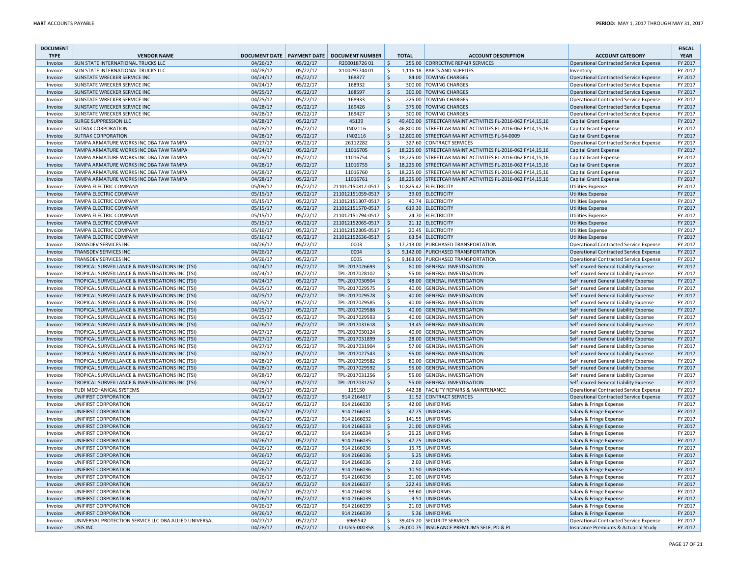| <b>DOCUMENT</b><br><b>TYPE</b> | <b>VENDOR NAME</b>                                                               | <b>DOCUMENT DATE</b> |                      | <b>PAYMENT DATE   DOCUMENT NUMBER</b> |                     | <b>TOTAL</b> | <b>ACCOUNT DESCRIPTION</b>                                                                                                 | <b>ACCOUNT CATEGORY</b>                            | <b>FISCAL</b><br><b>YEAR</b> |
|--------------------------------|----------------------------------------------------------------------------------|----------------------|----------------------|---------------------------------------|---------------------|--------------|----------------------------------------------------------------------------------------------------------------------------|----------------------------------------------------|------------------------------|
| Invoice                        | <b>SUN STATE INTERNATIONAL TRUCKS LLC</b>                                        | 04/26/17             | 05/22/17             | R20001872601                          | I\$.                |              | 255.00 CORRECTIVE REPAIR SERVICES                                                                                          | Operational Contracted Service Expense             | FY 2017                      |
| Invoice                        | <b>SUN STATE INTERNATIONAL TRUCKS LLC</b>                                        | 04/28/17             | 05/22/17             | X10029774401                          | \$                  |              | 1,116.18 PARTS AND SUPPLIES                                                                                                | Inventory                                          | FY 2017                      |
| Invoice                        | <b>SUNSTATE WRECKER SERVICE INC</b>                                              | 04/24/17             | 05/22/17             | 168877                                | \$                  |              | 84.00 TOWING CHARGES                                                                                                       | Operational Contracted Service Expense             | FY 2017                      |
| Invoice                        | <b>SUNSTATE WRECKER SERVICE INC</b>                                              | 04/24/17             | 05/22/17             | 168932                                | \$                  |              | 300.00 TOWING CHARGES                                                                                                      | Operational Contracted Service Expense             | FY 2017                      |
| Invoice                        | <b>SUNSTATE WRECKER SERVICE INC</b>                                              | 04/25/17             | 05/22/17             | 168597                                | $\mathsf{S}$        |              | 300.00 TOWING CHARGES                                                                                                      | Operational Contracted Service Expense             | FY 2017                      |
| Invoice                        | <b>SUNSTATE WRECKER SERVICE INC</b>                                              | 04/25/17             | 05/22/17             | 168933                                | \$                  |              | 225.00 TOWING CHARGES                                                                                                      | Operational Contracted Service Expense             | FY 2017                      |
| Invoice                        | <b>SUNSTATE WRECKER SERVICE INC</b>                                              | 04/28/17             | 05/22/17             | 169426                                | \$                  |              | 375.00 TOWING CHARGES                                                                                                      | Operational Contracted Service Expense             | FY 2017                      |
| Invoice                        | SUNSTATE WRECKER SERVICE INC                                                     | 04/28/17             | 05/22/17             | 169427                                | Ŝ.                  |              | 300.00 TOWING CHARGES                                                                                                      | Operational Contracted Service Expense             | FY 2017                      |
| Invoice                        | <b>SURGE SUPPRESSION LLC</b>                                                     | 04/28/17             | 05/22/17             | 45139                                 | $\zeta$             |              | 49,400.00 STREETCAR MAINT ACTIVITIES FL-2016-062 FY14,15,16                                                                | Capital Grant Expense                              | FY 2017                      |
| Invoice                        | <b>SUTRAK CORPORATION</b>                                                        | 04/28/17             | 05/22/17             | IN02116                               | Ś.                  |              | 46,800.00 STREETCAR MAINT ACTIVITIES FL-2016-062 FY14,15,16                                                                | <b>Capital Grant Expense</b>                       | FY 2017                      |
| Invoice                        | <b>SUTRAK CORPORATION</b>                                                        | 04/28/17             | 05/22/17             | IN02116                               | \$                  |              | 12,800.00 STREETCAR MAINT ACTIVITIES FL-54-0009                                                                            | Capital Grant Expense                              | FY 2017                      |
| Invoice                        | TAMPA ARMATURE WORKS INC DBA TAW TAMPA                                           | 04/27/17             | 05/22/17             | 26112282                              | \$                  |              | 327.60 CONTRACT SERVICES                                                                                                   | Operational Contracted Service Expense             | FY 2017                      |
| Invoice                        | TAMPA ARMATURE WORKS INC DBA TAW TAMPA                                           | 04/24/17             | 05/22/17             | 11016705                              | \$                  |              | 18,225.00 STREETCAR MAINT ACTIVITIES FL-2016-062 FY14,15,16                                                                | Capital Grant Expense                              | FY 2017                      |
| Invoice                        | TAMPA ARMATURE WORKS INC DBA TAW TAMPA                                           | 04/28/17             | 05/22/17             | 11016754                              | \$                  |              | 18,225.00 STREETCAR MAINT ACTIVITIES FL-2016-062 FY14,15,16                                                                | Capital Grant Expense                              | FY 2017                      |
| Invoice                        | TAMPA ARMATURE WORKS INC DBA TAW TAMPA                                           | 04/28/17             | 05/22/17             | 11016755                              | S.                  |              | 18,225.00 STREETCAR MAINT ACTIVITIES FL-2016-062 FY14,15,16                                                                | <b>Capital Grant Expense</b>                       | FY 2017                      |
| Invoice                        | TAMPA ARMATURE WORKS INC DBA TAW TAMPA<br>TAMPA ARMATURE WORKS INC DBA TAW TAMPA | 04/28/17<br>04/28/17 | 05/22/17<br>05/22/17 | 11016760<br>11016761                  | \$<br>\$            |              | 18,225.00 STREETCAR MAINT ACTIVITIES FL-2016-062 FY14,15,16<br>18,225.00 STREETCAR MAINT ACTIVITIES FL-2016-062 FY14,15,16 | Capital Grant Expense                              | FY 2017<br>FY 2017           |
| Invoice                        | <b>TAMPA ELECTRIC COMPANY</b>                                                    | 05/09/17             | 05/22/17             | 211012150812-0517                     | $\vert$ \$          |              | 10,825.42 ELECTRICITY                                                                                                      | Capital Grant Expense<br><b>Utilities Expense</b>  | FY 2017                      |
| Invoice<br>Invoice             | <b>TAMPA ELECTRIC COMPANY</b>                                                    | 05/15/17             | 05/22/17             | 211012151059-0517 \$                  |                     |              | 39.03 ELECTRICITY                                                                                                          | <b>Utilities Expense</b>                           | FY 2017                      |
| Invoice                        | <b>TAMPA ELECTRIC COMPANY</b>                                                    | 05/15/17             | 05/22/17             | 211012151307-0517 \$                  |                     |              | 40.74 ELECTRICITY                                                                                                          | <b>Utilities Expense</b>                           | FY 2017                      |
| Invoice                        | <b>TAMPA ELECTRIC COMPANY</b>                                                    | 05/15/17             | 05/22/17             | 211012151570-0517 \$                  |                     |              | 619.30 ELECTRICITY                                                                                                         | <b>Utilities Expense</b>                           | FY 2017                      |
| Invoice                        | <b>TAMPA ELECTRIC COMPANY</b>                                                    | 05/15/17             | 05/22/17             | 211012151794-0517 \$                  |                     |              | 24.70 ELECTRICITY                                                                                                          | <b>Utilities Expense</b>                           | FY 2017                      |
| Invoice                        | <b>TAMPA ELECTRIC COMPANY</b>                                                    | 05/15/17             | 05/22/17             | 211012152065-0517 \$                  |                     |              | 21.12 ELECTRICITY                                                                                                          | <b>Utilities Expense</b>                           | FY 2017                      |
| Invoice                        | <b>TAMPA ELECTRIC COMPANY</b>                                                    | 05/16/17             | 05/22/17             | 211012152305-0517 \$                  |                     |              | 20.45 ELECTRICITY                                                                                                          | <b>Utilities Expense</b>                           | FY 2017                      |
| Invoice                        | <b>TAMPA ELECTRIC COMPANY</b>                                                    | 05/16/17             | 05/22/17             | 211012152636-0517 \$                  |                     |              | 63.54 ELECTRICITY                                                                                                          | <b>Utilities Expense</b>                           | FY 2017                      |
| Invoice                        | <b>TRANSDEV SERVICES INC</b>                                                     | 04/26/17             | 05/22/17             | 0003                                  | \$                  |              | 17,213.00 PURCHASED TRANSPORTATION                                                                                         | Operational Contracted Service Expense             | FY 2017                      |
| Invoice                        | <b>TRANSDEV SERVICES INC</b>                                                     | 04/26/17             | 05/22/17             | 0004                                  | \$                  |              | 9,142.00 PURCHASED TRANSPORTATION                                                                                          | Operational Contracted Service Expense             | FY 2017                      |
| Invoice                        | <b>TRANSDEV SERVICES INC</b>                                                     | 04/26/17             | 05/22/17             | 0005                                  | Ŝ                   |              | 9,163.00 PURCHASED TRANSPORTATION                                                                                          | Operational Contracted Service Expense             | FY 2017                      |
| Invoice                        | TROPICAL SURVEILLANCE & INVESTIGATIONS INC (TSI)                                 | 04/24/17             | 05/22/17             | TPL-2017026693                        | $\vert$ \$          |              | 80.00 GENERAL INVESTIGATION                                                                                                | Self Insured General Liability Expense             | FY 2017                      |
| Invoice                        | TROPICAL SURVEILLANCE & INVESTIGATIONS INC (TSI)                                 | 04/24/17             | 05/22/17             | TPL-2017028102                        | -\$                 |              | 55.00 GENERAL INVESTIGATION                                                                                                | Self Insured General Liability Expense             | FY 2017                      |
| Invoice                        | TROPICAL SURVEILLANCE & INVESTIGATIONS INC (TSI)                                 | 04/24/17             | 05/22/17             | TPL-2017030904                        | l\$                 |              | 48.00 GENERAL INVESTIGATION                                                                                                | Self Insured General Liability Expense             | FY 2017                      |
| Invoice                        | TROPICAL SURVEILLANCE & INVESTIGATIONS INC (TSI)                                 | 04/25/17             | 05/22/17             | TPL-2017029575                        | \$                  |              | 40.00 GENERAL INVESTIGATION                                                                                                | Self Insured General Liability Expense             | FY 2017                      |
| Invoice                        | TROPICAL SURVEILLANCE & INVESTIGATIONS INC (TSI)                                 | 04/25/17             | 05/22/17             | TPL-2017029578                        | \$                  |              | 40.00 GENERAL INVESTIGATION                                                                                                | Self Insured General Liability Expense             | FY 2017                      |
| Invoice                        | TROPICAL SURVEILLANCE & INVESTIGATIONS INC (TSI)                                 | 04/25/17             | 05/22/17             | TPL-2017029585                        | \$                  |              | 40.00 GENERAL INVESTIGATION                                                                                                | Self Insured General Liability Expense             | FY 2017                      |
| Invoice                        | TROPICAL SURVEILLANCE & INVESTIGATIONS INC (TSI)                                 | 04/25/17             | 05/22/17             | TPL-2017029588                        | \$                  |              | 40.00 GENERAL INVESTIGATION                                                                                                | Self Insured General Liability Expense             | FY 2017                      |
| Invoice                        | TROPICAL SURVEILLANCE & INVESTIGATIONS INC (TSI)                                 | 04/25/17             | 05/22/17             | TPL-2017029593                        | $\ddot{\mathsf{S}}$ |              | 40.00 GENERAL INVESTIGATION                                                                                                | Self Insured General Liability Expense             | FY 2017                      |
| Invoice                        | TROPICAL SURVEILLANCE & INVESTIGATIONS INC (TSI)                                 | 04/26/17             | 05/22/17             | TPL-2017031618                        | \$                  |              | 13.45 GENERAL INVESTIGATION                                                                                                | Self Insured General Liability Expense             | FY 2017                      |
| Invoice                        | TROPICAL SURVEILLANCE & INVESTIGATIONS INC (TSI)                                 | 04/27/17             | 05/22/17             | TPL-2017030124                        | Ŝ.                  |              | 40.00 GENERAL INVESTIGATION                                                                                                | Self Insured General Liability Expense             | FY 2017                      |
| Invoice                        | TROPICAL SURVEILLANCE & INVESTIGATIONS INC (TSI)                                 | 04/27/17             | 05/22/17             | TPL-2017031899                        | l \$                |              | 28.00 GENERAL INVESTIGATION                                                                                                | Self Insured General Liability Expense             | FY 2017                      |
| Invoice                        | TROPICAL SURVEILLANCE & INVESTIGATIONS INC (TSI)                                 | 04/27/17             | 05/22/17             | TPL-2017031904                        | Ŝ.                  |              | 57.00 GENERAL INVESTIGATION                                                                                                | Self Insured General Liability Expense             | FY 2017                      |
| Invoice                        | TROPICAL SURVEILLANCE & INVESTIGATIONS INC (TSI)                                 | 04/28/17             | 05/22/17             | TPL-2017027543                        | l\$                 |              | 95.00 GENERAL INVESTIGATION                                                                                                | Self Insured General Liability Expense             | FY 2017                      |
| Invoice                        | TROPICAL SURVEILLANCE & INVESTIGATIONS INC (TSI)                                 | 04/28/17             | 05/22/17             | TPL-2017029582                        | \$                  |              | 80.00 GENERAL INVESTIGATION                                                                                                | Self Insured General Liability Expense             | FY 2017                      |
| Invoice                        | TROPICAL SURVEILLANCE & INVESTIGATIONS INC (TSI)                                 | 04/28/17             | 05/22/17             | TPL-2017029592                        | \$                  |              | 95.00 GENERAL INVESTIGATION                                                                                                | Self Insured General Liability Expense             | FY 2017                      |
| Invoice                        | TROPICAL SURVEILLANCE & INVESTIGATIONS INC (TSI)                                 | 04/28/17             | 05/22/17             | TPL-2017031256                        | -\$                 |              | 55.00 GENERAL INVESTIGATION                                                                                                | Self Insured General Liability Expense             | FY 2017                      |
| Invoice                        | TROPICAL SURVEILLANCE & INVESTIGATIONS INC (TSI)                                 | 04/28/17             | 05/22/17             | TPL-2017031257                        | \$                  |              | 55.00 GENERAL INVESTIGATION                                                                                                | Self Insured General Liability Expense             | FY 2017                      |
| Invoice                        | TUDI MECHANICAL SYSTEMS                                                          | 04/25/17             | 05/22/17             | 115150                                | \$                  |              | 442.38 FACILITY REPAIRS & MAINTENANCE                                                                                      | Operational Contracted Service Expense             | FY 2017                      |
| Invoice                        | UNIFIRST CORPORATION                                                             | 04/24/17             | 05/22/17             | 914 2164617                           | \$                  |              | 11.52 CONTRACT SERVICES                                                                                                    | Operational Contracted Service Expense             | FY 2017                      |
| Invoice                        | UNIFIRST CORPORATION                                                             | 04/26/17             | 05/22/17             | 914 2166030                           | \$                  |              | 42.00 UNIFORMS                                                                                                             | Salary & Fringe Expense                            | FY 2017                      |
| Invoice                        | UNIFIRST CORPORATION                                                             | 04/26/17             | 05/22/17             | 914 2166031<br>914 2166032            | l \$<br>\$          |              | 47.25 UNIFORMS<br>141.55 UNIFORMS                                                                                          | Salary & Fringe Expense<br>Salary & Fringe Expense | FY 2017<br>FY 2017           |
| Invoice<br>Invoice             | UNIFIRST CORPORATION<br>UNIFIRST CORPORATION                                     | 04/26/17<br>04/26/17 | 05/22/17<br>05/22/17 | 914 2166033                           | $\ddot{\varsigma}$  |              | 21.00 UNIFORMS                                                                                                             | Salary & Fringe Expense                            | FY 2017                      |
| Invoice                        | UNIFIRST CORPORATION                                                             | 04/26/17             | 05/22/17             | 914 2166034                           | \$                  |              | 26.25 UNIFORMS                                                                                                             | Salary & Fringe Expense                            | FY 2017                      |
| Invoice                        | UNIFIRST CORPORATION                                                             | 04/26/17             | 05/22/17             | 914 2166035                           | \$                  |              | 47.25 UNIFORMS                                                                                                             | Salary & Fringe Expense                            | FY 2017                      |
| Invoice                        | UNIFIRST CORPORATION                                                             | 04/26/17             | 05/22/17             | 914 2166036                           | S.                  |              | 15.75 UNIFORMS                                                                                                             | Salary & Fringe Expense                            | FY 2017                      |
| Invoice                        | UNIFIRST CORPORATION                                                             | 04/26/17             | 05/22/17             | 914 2166036                           | \$                  |              | 5.25 UNIFORMS                                                                                                              | Salary & Fringe Expense                            | FY 2017                      |
| Invoice                        | UNIFIRST CORPORATION                                                             | 04/26/17             | 05/22/17             | 914 2166036                           | l \$                |              | 2.03 UNIFORMS                                                                                                              | Salary & Fringe Expense                            | FY 2017                      |
| Invoice                        | UNIFIRST CORPORATION                                                             | 04/26/17             | 05/22/17             | 914 2166036                           | l\$                 |              | 10.50 UNIFORMS                                                                                                             | Salary & Fringe Expense                            | FY 2017                      |
| Invoice                        | UNIFIRST CORPORATION                                                             | 04/26/17             | 05/22/17             | 914 2166036                           | \$                  |              | 21.00 UNIFORMS                                                                                                             | Salary & Fringe Expense                            | FY 2017                      |
| Invoice                        | UNIFIRST CORPORATION                                                             | 04/26/17             | 05/22/17             | 914 2166037                           | l \$                |              | 222.41 UNIFORMS                                                                                                            | Salary & Fringe Expense                            | FY 2017                      |
| Invoice                        | UNIFIRST CORPORATION                                                             | 04/26/17             | 05/22/17             | 914 2166038                           | \$                  |              | 98.60 UNIFORMS                                                                                                             | Salary & Fringe Expense                            | FY 2017                      |
| Invoice                        | UNIFIRST CORPORATION                                                             | 04/26/17             | 05/22/17             | 914 2166039                           | $\ddot{\varsigma}$  |              | 3.51 UNIFORMS                                                                                                              | Salary & Fringe Expense                            | FY 2017                      |
| Invoice                        | UNIFIRST CORPORATION                                                             | 04/26/17             | 05/22/17             | 914 2166039                           | \$                  |              | 21.03 UNIFORMS                                                                                                             | Salary & Fringe Expense                            | FY 2017                      |
| Invoice                        | UNIFIRST CORPORATION                                                             | 04/26/17             | 05/22/17             | 914 2166039                           | \$                  |              | 5.36 UNIFORMS                                                                                                              | Salary & Fringe Expense                            | FY 2017                      |
| Invoice                        | UNIVERSAL PROTECTION SERVICE LLC DBA ALLIED UNIVERSAL                            | 04/27/17             | 05/22/17             | 6965542                               | \$                  |              | 39,405.20 SECURITY SERVICES                                                                                                | Operational Contracted Service Expense             | FY 2017                      |
| Invoice                        | USIS INC                                                                         | 04/28/17             | 05/22/17             | CI-USIS-000358                        | I \$                |              | 26,000.75   INSURANCE PREMIUMS SELF, PD & PL                                                                               | Insurance Premiums & Actuarial Study               | FY 2017                      |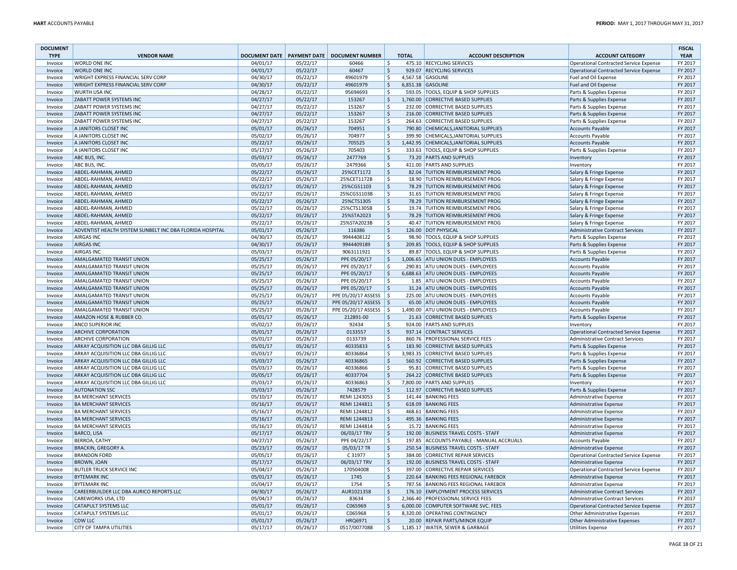| <b>DOCUMENT</b><br><b>TYPE</b> | <b>VENDOR NAME</b>                                       |                      |                      | DOCUMENT DATE   PAYMENT DATE   DOCUMENT NUMBER | <b>TOTAL</b>              | <b>ACCOUNT DESCRIPTION</b>                                             | <b>ACCOUNT CATEGORY</b>                            | <b>FISCAL</b><br><b>YEAR</b> |
|--------------------------------|----------------------------------------------------------|----------------------|----------------------|------------------------------------------------|---------------------------|------------------------------------------------------------------------|----------------------------------------------------|------------------------------|
| Invoice                        | <b>WORLD ONE INC</b>                                     | 04/01/17             | 05/22/17             | 60466                                          | <b>S</b>                  | 475.10 RECYCLING SERVICES                                              | <b>Operational Contracted Service Expense</b>      | FY 2017                      |
| Invoice                        | <b>WORLD ONE INC</b>                                     | 04/01/17             | 05/22/17             | 60467                                          | S.                        | 929.07 RECYCLING SERVICES                                              | <b>Operational Contracted Service Expense</b>      | FY 2017                      |
| Invoice                        | <b>WRIGHT EXPRESS FINANCIAL SERV CORP</b>                | 04/30/17             | 05/22/17             | 49601979                                       | S.                        | 4.567.58 GASOLINE                                                      | Fuel and Oil Expense                               | FY 2017                      |
| Invoice                        | WRIGHT EXPRESS FINANCIAL SERV CORP                       | 04/30/17             | 05/22/17             | 49601979                                       | \$                        | 6,851.38 GASOLINE                                                      | Fuel and Oil Expense                               | FY 2017                      |
| Invoice                        | <b>WURTH USA INC</b>                                     | 04/28/17             | 05/22/17             | 95694693                                       | \$                        | 593.05 TOOLS, EQUIP & SHOP SUPPLIES                                    | Parts & Supplies Expense                           | FY 2017                      |
| Invoice                        | ZABATT POWER SYSTEMS INC                                 | 04/27/17             | 05/22/17             | 153267                                         | \$                        | 1,760.00 CORRECTIVE BASED SUPPLIES                                     | Parts & Supplies Expense                           | FY 2017                      |
| Invoice                        | ZABATT POWER SYSTEMS INC                                 | 04/27/17             | 05/22/17             | 153267                                         | .S                        | 232.00 CORRECTIVE BASED SUPPLIES                                       | Parts & Supplies Expense                           | FY 2017                      |
| Invoice                        | <b>ZABATT POWER SYSTEMS INC</b>                          | 04/27/17             | 05/22/17             | 153267                                         | $\mathsf{S}$              | 216.00 CORRECTIVE BASED SUPPLIES                                       | Parts & Supplies Expense                           | FY 2017                      |
| Invoice                        | ZABATT POWER SYSTEMS INC                                 | 04/27/17             | 05/22/17             | 153267                                         | Ŝ                         | 264.63 CORRECTIVE BASED SUPPLIES                                       | Parts & Supplies Expense                           | FY 2017                      |
| Invoice                        | A JANITORS CLOSET INC                                    | 05/01/17             | 05/26/17             | 704951                                         | $\dot{\mathsf{S}}$        | 790.80 CHEMICALS, JANITORIAL SUPPLIES                                  | Accounts Payable                                   | FY 2017                      |
| Invoice                        | A JANITORS CLOSET INC                                    | 05/02/17             | 05/26/17             | 704977                                         | S.                        | 399.90 CHEMICALS, JANITORIAL SUPPLIES                                  | <b>Accounts Payable</b>                            | FY 2017                      |
| Invoice                        | A JANITORS CLOSET INC                                    | 05/22/17             | 05/26/17             | 705525                                         | $\mathsf{S}$              | 1,442.95 CHEMICALS, JANITORIAL SUPPLIES                                | <b>Accounts Payable</b>                            | FY 2017                      |
| Invoice                        | A JANITORS CLOSET INC                                    | 05/17/17             | 05/26/17             | 705403                                         | Ŝ.                        | 333.63 TOOLS, EQUIP & SHOP SUPPLIES                                    | Parts & Supplies Expense                           | FY 2017                      |
| Invoice                        | ABC BUS, INC.                                            | 05/03/17             | 05/26/17             | 2477769                                        | \$                        | 73.20 PARTS AND SUPPLIES                                               | Inventory                                          | FY 2017                      |
| Invoice                        | ABC BUS, INC.                                            | 05/05/17             | 05/26/17             | 2479366                                        | .S                        | 411.00 PARTS AND SUPPLIES                                              | Inventory                                          | FY 2017                      |
| Invoice                        | ABDEL-RAHMAN, AHMED                                      | 05/22/17             | 05/26/17             | 25%CET1172                                     | <sub>S</sub>              | 82.04 TUITION REIMBURSEMENT PROG                                       | Salary & Fringe Expense                            | FY 2017                      |
| Invoice                        | ABDEL-RAHMAN, AHMED                                      | 05/22/17             | 05/26/17             | 25%CET1172B                                    | \$                        | 18.90 TUITION REIMBURSEMENT PROG                                       | Salary & Fringe Expense                            | FY 2017                      |
| Invoice                        | ABDEL-RAHMAN, AHMED                                      | 05/22/17             | 05/26/17             | 25%CGS1103                                     | \$                        | 78.29 TUITION REIMBURSEMENT PROG                                       | Salary & Fringe Expense                            | FY 2017                      |
| Invoice                        | ABDEL-RAHMAN, AHMED                                      | 05/22/17             | 05/26/17             | 25%CGS1103B                                    | \$                        | 31.65 TUITION REIMBURSEMENT PROG                                       | Salary & Fringe Expense                            | FY 2017                      |
| Invoice                        | ABDEL-RAHMAN, AHMED                                      | 05/22/17             | 05/26/17             | 25%CTS1305                                     | $\mathsf{S}$              | 78.29 TUITION REIMBURSEMENT PROG                                       | Salary & Fringe Expense                            | FY 2017                      |
| Invoice                        | ABDEL-RAHMAN, AHMED                                      | 05/22/17             | 05/26/17             | 25%CTS1305B                                    | Ŝ.                        | 19.74 TUITION REIMBURSEMENT PROG                                       | Salary & Fringe Expense                            | FY 2017                      |
| Invoice                        | ABDEL-RAHMAN, AHMED                                      | 05/22/17             | 05/26/17             | 25%STA2023                                     | $\mathsf{S}$              | 78.29 TUITION REIMBURSEMENT PROG                                       | Salary & Fringe Expense                            | FY 2017                      |
| Invoice                        | ABDEL-RAHMAN, AHMED                                      | 05/22/17             | 05/26/17             | 25%STA2023B                                    | \$                        | 40.47 TUITION REIMBURSEMENT PROG                                       | Salary & Fringe Expense                            | FY 2017                      |
| Invoice                        | ADVENTIST HEALTH SYSTEM SUNBELT INC DBA FLORIDA HOSPITAL | 05/01/17             | 05/26/17             | 116386                                         | \$                        | 126.00 DOT PHYSICAL                                                    | <b>Administrative Contract Services</b>            | FY 2017                      |
| Invoice                        | <b>AIRGAS INC</b>                                        | 04/30/17             | 05/26/17             | 9944408122                                     | \$                        | 98.90 TOOLS, EQUIP & SHOP SUPPLIES                                     | Parts & Supplies Expense                           | FY 2017                      |
| Invoice                        | <b>AIRGAS INC</b>                                        | 04/30/17             | 05/26/17             | 9944409189                                     | \$                        | 209.85 TOOLS, EQUIP & SHOP SUPPLIES                                    | Parts & Supplies Expense                           | FY 2017                      |
| Invoice                        | <b>AIRGAS INC</b>                                        | 05/03/17             | 05/26/17             | 9063111921                                     | \$                        | 89.87 TOOLS, EQUIP & SHOP SUPPLIES                                     | Parts & Supplies Expense                           | FY 2017                      |
| Invoice                        | AMALGAMATED TRANSIT UNION                                | 05/25/17             | 05/26/17             | PPE 05/20/17                                   | \$                        | 1,006.65 ATU UNION DUES - EMPLOYEES                                    | <b>Accounts Payable</b>                            | FY 2017                      |
| Invoice                        | <b>AMALGAMATED TRANSIT UNION</b>                         | 05/25/17             | 05/26/17             | PPE 05/20/17                                   | S.                        | 290.81 ATU UNION DUES - EMPLOYEES                                      | <b>Accounts Payable</b>                            | FY 2017                      |
| Invoice                        | AMALGAMATED TRANSIT UNION<br>AMALGAMATED TRANSIT UNION   | 05/25/17<br>05/25/17 | 05/26/17<br>05/26/17 | PPE 05/20/17<br>PPE 05/20/17                   | $\ddot{\mathsf{S}}$<br>S. | 6,688.63 ATU UNION DUES - EMPLOYEES<br>1.85 ATU UNION DUES - EMPLOYEES | <b>Accounts Payable</b><br><b>Accounts Payable</b> | FY 2017<br>FY 2017           |
| Invoice<br>Invoice             | AMALGAMATED TRANSIT UNION                                | 05/25/17             | 05/26/17             | PPE 05/20/17                                   | $\zeta$                   | 31.24 ATU UNION DUES - EMPLOYEES                                       | <b>Accounts Payable</b>                            | FY 2017                      |
| Invoice                        | <b>AMALGAMATED TRANSIT UNION</b>                         | 05/25/17             | 05/26/17             | PPE 05/20/17 ASSESS   \$                       |                           | 225.00 ATU UNION DUES - EMPLOYEES                                      | <b>Accounts Payable</b>                            | FY 2017                      |
| Invoice                        | AMALGAMATED TRANSIT UNION                                | 05/25/17             | 05/26/17             | PPE 05/20/17 ASSESS                            | l \$                      | 65.00 ATU UNION DUES - EMPLOYEES                                       | <b>Accounts Payable</b>                            | FY 2017                      |
| Invoice                        | AMALGAMATED TRANSIT UNION                                | 05/25/17             | 05/26/17             | PPE 05/20/17 ASSESS                            | S.                        | 1,490.00 ATU UNION DUES - EMPLOYEES                                    | <b>Accounts Payable</b>                            | FY 2017                      |
| Invoice                        | AMAZON HOSE & RUBBER CO.                                 | 05/01/17             | 05/26/17             | 212891-00                                      | $\mathsf{S}$              | 21.63 CORRECTIVE BASED SUPPLIES                                        | Parts & Supplies Expense                           | FY 2017                      |
| Invoice                        | ANCO SUPERIOR INC                                        | 05/02/17             | 05/26/17             | 92434                                          | \$.                       | 924.00 PARTS AND SUPPLIES                                              | Inventory                                          | FY 2017                      |
| Invoice                        | <b>ARCHIVE CORPORATION</b>                               | 05/01/17             | 05/26/17             | 0133557                                        | $\zeta$                   | 937.14 CONTRACT SERVICES                                               | <b>Operational Contracted Service Expense</b>      | FY 2017                      |
| Invoice                        | <b>ARCHIVE CORPORATION</b>                               | 05/01/17             | 05/26/17             | 0133739                                        | \$                        | 860.76 PROFESSIONAL SERVICE FEES                                       | <b>Administrative Contract Services</b>            | FY 2017                      |
| Invoice                        | ARKAY ACQUISITION LLC DBA GILLIG LLC                     | 05/01/17             | 05/26/17             | 40335833                                       | $\zeta$                   | 183.90 CORRECTIVE BASED SUPPLIES                                       | Parts & Supplies Expense                           | FY 2017                      |
| Invoice                        | ARKAY ACQUISITION LLC DBA GILLIG LLC                     | 05/03/17             | 05/26/17             | 40336864                                       | .S                        | 3,983.35 CORRECTIVE BASED SUPPLIES                                     | Parts & Supplies Expense                           | FY 2017                      |
| Invoice                        | ARKAY ACQUISITION LLC DBA GILLIG LLC                     | 05/03/17             | 05/26/17             | 40336865                                       | Ŝ.                        | 560.92 CORRECTIVE BASED SUPPLIES                                       | Parts & Supplies Expense                           | FY 2017                      |
| Invoice                        | ARKAY ACQUISITION LLC DBA GILLIG LLC                     | 05/03/17             | 05/26/17             | 40336866                                       | Ŝ                         | 95.81 CORRECTIVE BASED SUPPLIES                                        | Parts & Supplies Expense                           | FY 2017                      |
| Invoice                        | ARKAY ACQUISITION LLC DBA GILLIG LLC                     | 05/05/17             | 05/26/17             | 40337704                                       | Ŝ.                        | 264.22 CORRECTIVE BASED SUPPLIES                                       | Parts & Supplies Expense                           | FY 2017                      |
| Invoice                        | ARKAY ACQUISITION LLC DBA GILLIG LLC                     | 05/03/17             | 05/26/17             | 40336863                                       | Ŝ                         | 7,800.00 PARTS AND SUPPLIES                                            | Inventory                                          | FY 2017                      |
| Invoice                        | <b>AUTONATION SSC</b>                                    | 05/03/17             | 05/26/17             | 7428579                                        | \$.                       | 112.97 CORRECTIVE BASED SUPPLIES                                       | Parts & Supplies Expense                           | FY 2017                      |
| Invoice                        | <b>BA MERCHANT SERVICES</b>                              | 05/10/17             | 05/26/17             | REMI 1243053                                   | Ŝ.                        | 141.44 BANKING FEES                                                    | Administrative Expense                             | FY 2017                      |
| Invoice                        | <b>BA MERCHANT SERVICES</b>                              | 05/16/17             | 05/26/17             | REMI 1244811                                   | $\mathsf{S}$              | 618.09 BANKING FEES                                                    | <b>Administrative Expense</b>                      | FY 2017                      |
| Invoice                        | <b>BA MERCHANT SERVICES</b>                              | 05/16/17             | 05/26/17             | REMI 1244812                                   | Ś.                        | 468.61 BANKING FEES                                                    | Administrative Expense                             | FY 2017                      |
| Invoice                        | <b>BA MERCHANT SERVICES</b>                              | 05/16/17             | 05/26/17             | REMI 1244813                                   | Ŝ.                        | 495.36 BANKING FEES                                                    | Administrative Expense                             | FY 2017                      |
| Invoice                        | <b>BA MERCHANT SERVICES</b>                              | 05/16/17             | 05/26/17             | REMI 1244814                                   | Ŝ                         | 15.72 BANKING FEES                                                     | <b>Administrative Expense</b>                      | FY 2017                      |
| Invoice                        | <b>BARCO, LISA</b>                                       | 05/17/17             | 05/26/17             | 06/03/17 TRV                                   | <sub>S</sub>              | 192.00 BUSINESS TRAVEL COSTS - STAFF                                   | Administrative Expense                             | FY 2017                      |
| Invoice                        | <b>BERROA, CATHY</b>                                     | 04/27/17             | 05/26/17             | PPE 04/22/17                                   | Ŝ                         | 197.85 ACCOUNTS PAYABLE - MANUAL ACCRUALS                              | <b>Accounts Payable</b>                            | FY 2017                      |
| Invoice                        | <b>BRACKIN, GREGORY A.</b>                               | 05/23/17             | 05/26/17             | 05/03/17 TR                                    | $\zeta$                   | 250.54 BUSINESS TRAVEL COSTS - STAFF                                   | Administrative Expense                             | FY 2017                      |
| Invoice                        | <b>BRANDON FORD</b>                                      | 05/05/17             | 05/26/17             | C 31977                                        | S.                        | 384.00 CORRECTIVE REPAIR SERVICES                                      | <b>Operational Contracted Service Expense</b>      | FY 2017                      |
| Invoice                        | <b>BROWN, JOAN</b>                                       | 05/17/17             | 05/26/17             | 06/03/17 TRV                                   | $\ddot{\mathsf{S}}$       | 192.00 BUSINESS TRAVEL COSTS - STAFF                                   | <b>Administrative Expense</b>                      | FY 2017                      |
| Invoice                        | <b>BUTLER TRUCK SERVICE INC</b>                          | 05/04/17             | 05/26/17             | 170504008                                      | \$                        | 397.00 CORRECTIVE REPAIR SERVICES                                      | <b>Operational Contracted Service Expense</b>      | FY 2017                      |
| Invoice                        | <b>BYTEMARK INC</b>                                      | 05/01/17             | 05/26/17             | 1745                                           | $\dot{\mathsf{S}}$        | 220.64 BANKING FEES REGIONAL FAREBOX                                   | <b>Administrative Expense</b>                      | FY 2017                      |
| Invoice                        | <b>BYTEMARK INC</b>                                      | 05/04/17             | 05/26/17             | 1754                                           | .S                        | 787.56 BANKING FEES REGIONAL FAREBOX                                   | <b>Administrative Expense</b>                      | FY 2017                      |
| Invoice                        | CAREERBUILDER LLC DBA AURICO REPORTS LLC                 | 04/30/17             | 05/26/17             | AUR1021358                                     | $\dot{\mathsf{S}}$        | 176.10 EMPLOYMENT PROCESS SERVICES                                     | <b>Administrative Contract Services</b>            | FY 2017                      |
| Invoice                        | <b>CAREWORKS USA, LTD</b>                                | 05/04/17             | 05/26/17             | 83634                                          | .S                        | 2,366.40 PROFESSIONAL SERVICE FEES                                     | <b>Administrative Contract Services</b>            | FY 2017                      |
| Invoice                        | <b>CATAPULT SYSTEMS LLC</b>                              | 05/01/17             | 05/26/17             | C065969                                        | <sub>S</sub>              | 6,000.00 COMPUTER SOFTWARE SVC. FEES                                   | <b>Operational Contracted Service Expense</b>      | FY 2017                      |
| Invoice                        | <b>CATAPULT SYSTEMS LLC</b>                              | 05/01/17             | 05/26/17             | C065968                                        | .S                        | 8,320.00 OPERATING CONTINGENCY                                         | <b>Other Administrative Expenses</b>               | FY 2017                      |
| Invoice                        | <b>CDW LLC</b>                                           | 05/01/17             | 05/26/17             | HRQ6971                                        | <sub>S</sub>              | 20.00 REPAIR PARTS/MINOR EQUIP                                         | <b>Other Administrative Expenses</b>               | FY 2017                      |
| Invoice                        | <b>CITY OF TAMPA UTILITIES</b>                           | 05/17/17             | 05/26/17             | 0517/0077088                                   | Ŝ.                        | 1,185.17 WATER, SEWER & GARBAGE                                        | <b>Utilities Expense</b>                           | FY 2017                      |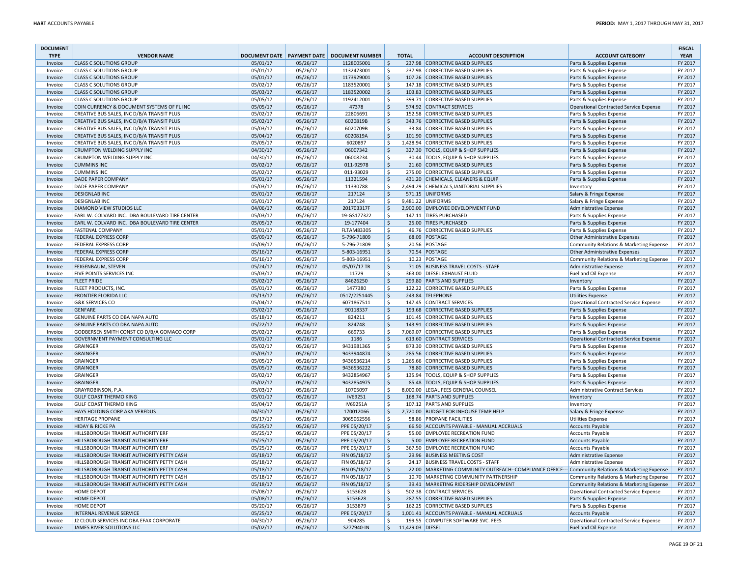| <b>DOCUMENT</b><br><b>TYPE</b> | <b>VENDOR NAME</b>                               |                      |                      | DOCUMENT DATE   PAYMENT DATE   DOCUMENT NUMBER |                                   | <b>TOTAL</b> | <b>ACCOUNT DESCRIPTION</b>                                                                       | <b>ACCOUNT CATEGORY</b>                                                  | <b>FISCAL</b><br><b>YEAR</b> |
|--------------------------------|--------------------------------------------------|----------------------|----------------------|------------------------------------------------|-----------------------------------|--------------|--------------------------------------------------------------------------------------------------|--------------------------------------------------------------------------|------------------------------|
| Invoice                        | <b>CLASS C SOLUTIONS GROUP</b>                   | 05/01/17             | 05/26/17             | 1128005001                                     | l \$                              |              | 237.98 CORRECTIVE BASED SUPPLIES                                                                 | Parts & Supplies Expense                                                 | FY 2017                      |
| Invoice                        | <b>CLASS C SOLUTIONS GROUP</b>                   | 05/01/17             | 05/26/17             | 1132473001                                     | \$                                |              | 237.98 CORRECTIVE BASED SUPPLIES                                                                 | Parts & Supplies Expense                                                 | FY 2017                      |
| Invoice                        | <b>CLASS C SOLUTIONS GROUP</b>                   | 05/01/17             | 05/26/17             | 1173929001                                     | $\zeta$                           |              | 107.26 CORRECTIVE BASED SUPPLIES                                                                 | Parts & Supplies Expense                                                 | FY 2017                      |
| Invoice                        | <b>CLASS C SOLUTIONS GROUP</b>                   | 05/02/17             | 05/26/17             | 1183520001                                     | l \$                              |              | 147.18 CORRECTIVE BASED SUPPLIES                                                                 | Parts & Supplies Expense                                                 | FY 2017                      |
| Invoice                        | <b>CLASS C SOLUTIONS GROUP</b>                   | 05/03/17             | 05/26/17             | 1183520002                                     | ∣\$                               |              | 103.83 CORRECTIVE BASED SUPPLIES                                                                 | Parts & Supplies Expense                                                 | FY 2017                      |
| Invoice                        | <b>CLASS C SOLUTIONS GROUP</b>                   | 05/05/17             | 05/26/17             | 1192412001                                     | ۱\$.                              |              | 399.71 CORRECTIVE BASED SUPPLIES                                                                 | Parts & Supplies Expense                                                 | FY 2017                      |
| Invoice                        | COIN CURRENCY & DOCUMENT SYSTEMS OF FL INC       | 05/05/17             | 05/26/17             | 47378                                          | ∣\$                               |              | 574.92 CONTRACT SERVICES                                                                         | Operational Contracted Service Expense                                   | FY 2017                      |
| Invoice                        | CREATIVE BUS SALES, INC D/B/A TRANSIT PLUS       | 05/02/17             | 05/26/17             | 22806691                                       | $\mathsf{S}$                      |              | 152.58 CORRECTIVE BASED SUPPLIES                                                                 | Parts & Supplies Expense                                                 | FY 2017                      |
| Invoice                        | CREATIVE BUS SALES, INC D/B/A TRANSIT PLUS       | 05/02/17             | 05/26/17             | 6020819B                                       | l \$                              |              | 343.76 CORRECTIVE BASED SUPPLIES                                                                 | Parts & Supplies Expense                                                 | FY 2017                      |
| Invoice                        | CREATIVE BUS SALES, INC D/B/A TRANSIT PLUS       | 05/03/17             | 05/26/17             | 6020709B                                       | $\mathsf{S}$                      |              | 33.84 CORRECTIVE BASED SUPPLIES                                                                  | Parts & Supplies Expense                                                 | FY 2017                      |
| Invoice                        | CREATIVE BUS SALES, INC D/B/A TRANSIT PLUS       | 05/04/17             | 05/26/17             | 6020819A                                       | ∣\$                               |              | 101.90 CORRECTIVE BASED SUPPLIES                                                                 | Parts & Supplies Expense                                                 | FY 2017                      |
| Invoice                        | CREATIVE BUS SALES, INC D/B/A TRANSIT PLUS       | 05/05/17             | 05/26/17             | 6020897                                        | -\$                               |              | 1,428.94 CORRECTIVE BASED SUPPLIES                                                               | Parts & Supplies Expense                                                 | FY 2017                      |
| Invoice                        | <b>CRUMPTON WELDING SUPPLY INC</b>               | 04/30/17             | 05/26/17             | 06007342                                       | ۱\$                               |              | 327.30 TOOLS, EQUIP & SHOP SUPPLIES                                                              | Parts & Supplies Expense                                                 | FY 2017                      |
| Invoice                        | <b>CRUMPTON WELDING SUPPLY INC</b>               | 04/30/17             | 05/26/17             | 06008234                                       | $\mathsf{S}$                      |              | 30.44 TOOLS, EQUIP & SHOP SUPPLIES                                                               | Parts & Supplies Expense                                                 | FY 2017                      |
| Invoice                        | <b>CUMMINS INC</b>                               | 05/02/17             | 05/26/17             | 011-92978                                      | ∣\$                               |              | 21.60 CORRECTIVE BASED SUPPLIES                                                                  | Parts & Supplies Expense                                                 | FY 2017                      |
| Invoice                        | <b>CUMMINS INC</b>                               | 05/02/17             | 05/26/17             | 011-93029                                      | ۱\$.                              |              | 275.00 CORRECTIVE BASED SUPPLIES                                                                 | Parts & Supplies Expense                                                 | FY 2017                      |
| Invoice                        | DADE PAPER COMPANY                               | 05/01/17             | 05/26/17             | 11321594                                       | ∣\$                               |              | 431.20 CHEMICALS, CLEANERS & EQUIP                                                               | Parts & Supplies Expense                                                 | FY 2017                      |
| Invoice                        | <b>DADE PAPER COMPANY</b>                        | 05/03/17             | 05/26/17             | 11330788<br>217124                             | Ŝ.                                |              | 2,494.29 CHEMICALS, JANITORIAL SUPPLIES<br>571.15 UNIFORMS                                       | Inventory                                                                | FY 2017                      |
| Invoice                        | <b>DESIGNLAB INC</b>                             | 05/01/17             | 05/26/17             |                                                | l \$<br>Ŝ.                        |              |                                                                                                  | Salary & Fringe Expense                                                  | FY 2017                      |
| Invoice                        | <b>DESIGNLAB INC</b><br>DIAMOND VIEW STUDIOS LLC | 05/01/17<br>04/06/17 | 05/26/17             | 217124<br>201703317F                           | \$                                |              | 9,481.22 UNIFORMS<br>2,900.00 EMPLOYEE DEVELOPMENT FUND                                          | Salary & Fringe Expense                                                  | FY 2017<br>FY 2017           |
| Invoice<br>Invoice             | EARL W. COLVARD INC. DBA BOULEVARD TIRE CENTER   | 05/03/17             | 05/26/17<br>05/26/17 | 19-GS177322                                    | -\$                               |              | 147.11 TIRES PURCHASED                                                                           | Administrative Expense                                                   | FY 2017                      |
|                                | EARL W. COLVARD INC. DBA BOULEVARD TIRE CENTER   | 05/05/17             | 05/26/17             | 19-177404                                      | ∣\$                               |              | 25.00 TIRES PURCHASED                                                                            | Parts & Supplies Expense                                                 | FY 2017                      |
| Invoice<br>Invoice             | <b>FASTENAL COMPANY</b>                          | 05/01/17             | 05/26/17             | <b>FLTAM83305</b>                              | l \$                              |              | 46.76 CORRECTIVE BASED SUPPLIES                                                                  | Parts & Supplies Expense<br>Parts & Supplies Expense                     | FY 2017                      |
| Invoice                        | <b>FEDERAL EXPRESS CORP</b>                      | 05/09/17             | 05/26/17             | 5-796-71809                                    | ∣\$                               |              | 68.09 POSTAGE                                                                                    |                                                                          | FY 2017                      |
| Invoice                        | <b>FEDERAL EXPRESS CORP</b>                      | 05/09/17             | 05/26/17             | 5-796-71809                                    | ۱\$.                              |              | 20.56 POSTAGE                                                                                    | Other Administrative Expenses<br>Community Relations & Marketing Expense | FY 2017                      |
| Invoice                        | <b>FEDERAL EXPRESS CORP</b>                      | 05/16/17             | 05/26/17             | 5-803-16951                                    | ∣\$                               |              | 70.54 POSTAGE                                                                                    | Other Administrative Expenses                                            | FY 2017                      |
| Invoice                        | <b>FEDERAL EXPRESS CORP</b>                      | 05/16/17             | 05/26/17             | 5-803-16951                                    | $\mathsf{S}$                      |              | 10.23 POSTAGE                                                                                    | Community Relations & Marketing Expense                                  | FY 2017                      |
| Invoice                        | <b>FEIGENBAUM, STEVEN</b>                        | 05/24/17             | 05/26/17             | 05/07/17 TR                                    | l \$                              |              | 71.05 BUSINESS TRAVEL COSTS - STAFF                                                              | Administrative Expense                                                   | FY 2017                      |
| Invoice                        | <b>FIVE POINTS SERVICES INC</b>                  | 05/03/17             | 05/26/17             | 11729                                          | $\mathsf{S}$                      |              | 363.00 DIESEL EXHAUST FLUID                                                                      | Fuel and Oil Expense                                                     | FY 2017                      |
| Invoice                        | <b>FLEET PRIDE</b>                               | 05/02/17             | 05/26/17             | 84626250                                       | \$                                |              | 299.80 PARTS AND SUPPLIES                                                                        | Inventory                                                                | FY 2017                      |
| Invoice                        | FLEET PRODUCTS, INC.                             | 05/01/17             | 05/26/17             | 1477380                                        | \$                                |              | 122.22 CORRECTIVE BASED SUPPLIES                                                                 | Parts & Supplies Expense                                                 | FY 2017                      |
| Invoice                        | <b>FRONTIER FLORIDA LLC</b>                      | 05/13/17             | 05/26/17             | 0517/2251445                                   | ∣\$                               |              | 243.84 TELEPHONE                                                                                 | <b>Utilities Expense</b>                                                 | FY 2017                      |
| Invoice                        | <b>G&amp;K SERVICES CO</b>                       | 05/04/17             | 05/26/17             | 6071867511                                     | l \$                              |              | 147.45 CONTRACT SERVICES                                                                         | Operational Contracted Service Expense                                   | FY 2017                      |
| Invoice                        | <b>GENFARE</b>                                   | 05/02/17             | 05/26/17             | 90118337                                       | l \$                              |              | 193.68 CORRECTIVE BASED SUPPLIES                                                                 | Parts & Supplies Expense                                                 | FY 2017                      |
| Invoice                        | GENUINE PARTS CO DBA NAPA AUTO                   | 05/18/17             | 05/26/17             | 824211                                         | ۱\$.                              |              | 101.45 CORRECTIVE BASED SUPPLIES                                                                 | Parts & Supplies Expense                                                 | FY 2017                      |
| Invoice                        | GENUINE PARTS CO DBA NAPA AUTO                   | 05/22/17             | 05/26/17             | 824748                                         | ∣\$                               |              | 143.91 CORRECTIVE BASED SUPPLIES                                                                 | Parts & Supplies Expense                                                 | FY 2017                      |
| Invoice                        | GODBERSEN SMITH CONST CO D/B/A GOMACO CORP       | 05/02/17             | 05/26/17             | 669733                                         | -\$                               |              | 7,069.07 CORRECTIVE BASED SUPPLIES                                                               | Parts & Supplies Expense                                                 | FY 2017                      |
| Invoice                        | <b>GOVERNMENT PAYMENT CONSULTING LLC</b>         | 05/01/17             | 05/26/17             | 1186                                           | l \$                              |              | 613.60 CONTRACT SERVICES                                                                         | Operational Contracted Service Expense                                   | FY 2017                      |
| Invoice                        | GRAINGER                                         | 05/02/17             | 05/26/17             | 9431981365                                     | Ŝ.                                |              | 873.30 CORRECTIVE BASED SUPPLIES                                                                 | Parts & Supplies Expense                                                 | FY 2017                      |
| Invoice                        | GRAINGER                                         | 05/03/17             | 05/26/17             | 9433944874                                     | \$                                |              | 285.56 CORRECTIVE BASED SUPPLIES                                                                 | Parts & Supplies Expense                                                 | FY 2017                      |
| Invoice                        | GRAINGER                                         | 05/05/17             | 05/26/17             | 9436536214                                     | -\$                               |              | 1,265.66 CORRECTIVE BASED SUPPLIES                                                               | Parts & Supplies Expense                                                 | FY 2017                      |
| Invoice                        | GRAINGER                                         | 05/05/17             | 05/26/17             | 9436536222                                     | ∣\$                               |              | 78.80 CORRECTIVE BASED SUPPLIES                                                                  | Parts & Supplies Expense                                                 | FY 2017                      |
| Invoice                        | GRAINGER                                         | 05/02/17             | 05/26/17             | 9432854967                                     | Ŝ.                                |              | 135.94 TOOLS, EQUIP & SHOP SUPPLIES                                                              | Parts & Supplies Expense                                                 | FY 2017                      |
| Invoice                        | GRAINGER                                         | 05/02/17             | 05/26/17             | 9432854975                                     | l \$                              |              | 85.48 TOOLS, EQUIP & SHOP SUPPLIES                                                               | Parts & Supplies Expense                                                 | FY 2017                      |
| Invoice                        | GRAYROBINSON, P.A.                               | 05/03/17             | 05/26/17             | 10705097                                       | ۱\$.                              |              | 8,000.00 LEGAL FEES GENERAL COUNSEL                                                              | Administrative Contract Services                                         | FY 2017                      |
| Invoice                        | <b>GULF COAST THERMO KING</b>                    | 05/01/17             | 05/26/17             | IV69251                                        | $\zeta$                           |              | 168.74 PARTS AND SUPPLIES                                                                        | Inventory                                                                | FY 2017                      |
| Invoice                        | <b>GULF COAST THERMO KING</b>                    | 05/04/17             | 05/26/17             | IV69251A                                       | $\mathsf{S}$                      |              | 107.12 PARTS AND SUPPLIES                                                                        | Inventory                                                                | FY 2017                      |
| Invoice                        | HAYS HOLDING CORP AKA VEREDUS                    | 04/30/17             | 05/26/17             | 170012066                                      | l \$                              |              | 2,720.00 BUDGET FOR INHOUSE TEMP HELP                                                            | Salary & Fringe Expense                                                  | FY 2017                      |
| Invoice                        | <b>HERITAGE PROPANE</b>                          | 05/17/17             | 05/26/17             | 3065062556                                     | Ŝ.                                |              | 58.86 PROPANE FACILITIES                                                                         | <b>Utilities Expense</b>                                                 | FY 2017                      |
| Invoice                        | <b>HIDAY &amp; RICKE PA</b>                      | 05/25/17             | 05/26/17             | PPE 05/20/17                                   | l \$                              |              | 66.50 ACCOUNTS PAYABLE - MANUAL ACCRUALS                                                         | Accounts Payable                                                         | FY 2017                      |
| Invoice                        | HILLSBOROUGH TRANSIT AUTHORITY ERF               | 05/25/17             | 05/26/17             | PPE 05/20/17                                   | -\$                               |              | 55.00 EMPLOYEE RECREATION FUND                                                                   | Accounts Payable                                                         | FY 2017                      |
| Invoice                        | <b>HILLSBOROUGH TRANSIT AUTHORITY ERF</b>        | 05/25/17             | 05/26/17             | PPE 05/20/17                                   | $\zeta$                           |              | 5.00 EMPLOYEE RECREATION FUND                                                                    | <b>Accounts Payable</b>                                                  | FY 2017                      |
| Invoice                        | <b>HILLSBOROUGH TRANSIT AUTHORITY ERF</b>        | 05/25/17             | 05/26/17             | PPE 05/20/17                                   | Ŝ.                                |              | 367.50 EMPLOYEE RECREATION FUND                                                                  | Accounts Payable                                                         | FY 2017                      |
| Invoice                        | HILLSBOROUGH TRANSIT AUTHORITY PETTY CASH        | 05/18/17             | 05/26/17             | FIN 05/18/17                                   | ∣\$                               |              | 29.96 BUSINESS MEETING COST                                                                      | Administrative Expense                                                   | FY 2017                      |
| Invoice                        | HILLSBOROUGH TRANSIT AUTHORITY PETTY CASH        | 05/18/17             | 05/26/17             | FIN 05/18/17                                   | ١s                                |              | 24.17 BUSINESS TRAVEL COSTS - STAFF                                                              | Administrative Expense                                                   | FY 2017                      |
| Invoice                        | HILLSBOROUGH TRANSIT AUTHORITY PETTY CASH        | 05/18/17             | 05/26/17             | FIN 05/18/17                                   | l \$                              |              | 22.00 MARKETING COMMUNITY OUTREACH--COMPLIANCE OFFICE--- Community Relations & Marketing Expense |                                                                          | FY 2017                      |
| Invoice                        | HILLSBOROUGH TRANSIT AUTHORITY PETTY CASH        | 05/18/17             | 05/26/17             | FIN 05/18/17                                   | l \$                              |              | 10.70 MARKETING COMMUNITY PARTNERSHIP                                                            | Community Relations & Marketing Expense                                  | FY 2017                      |
| Invoice                        | HILLSBOROUGH TRANSIT AUTHORITY PETTY CASH        | 05/18/17             | 05/26/17             | FIN 05/18/17                                   | l \$                              |              | 39.41 MARKETING RIDERSHIP DEVELOPMENT                                                            | Community Relations & Marketing Expense                                  | FY 2017                      |
| Invoice                        | <b>HOME DEPOT</b>                                | 05/08/17             | 05/26/17             | 5153628                                        | Ŝ.                                |              | 502.38 CONTRACT SERVICES                                                                         | Operational Contracted Service Expense                                   | FY 2017                      |
| Invoice                        | <b>HOME DEPOT</b>                                | 05/08/17             | 05/26/17             | 5153628                                        | l \$                              |              | 287.55 CORRECTIVE BASED SUPPLIES                                                                 | Parts & Supplies Expense                                                 | FY 2017                      |
| Invoice                        | <b>HOME DEPOT</b>                                | 05/20/17             | 05/26/17             | 3153879                                        | \$                                |              | 162.25 CORRECTIVE BASED SUPPLIES                                                                 | Parts & Supplies Expense                                                 | FY 2017                      |
| Invoice                        | INTERNAL REVENUE SERVICE                         | 05/25/17             | 05/26/17             | PPE 05/20/17                                   | $\zeta$                           |              | 1,001.41 ACCOUNTS PAYABLE - MANUAL ACCRUALS                                                      | Accounts Payable                                                         | FY 2017                      |
| Invoice                        | J2 CLOUD SERVICES INC DBA EFAX CORPORATE         | 04/30/17             | 05/26/17             | 904285                                         | S.                                |              | 199.55 COMPUTER SOFTWARE SVC. FEES                                                               | Operational Contracted Service Expense                                   | FY 2017                      |
| Invoice                        | JAMES RIVER SOLUTIONS LLC                        | 05/02/17             | 05/26/17             | S277940-IN                                     | $\frac{1}{2}$ \$ 11,429.03 DIESEL |              |                                                                                                  | Fuel and Oil Expense                                                     | FY 2017                      |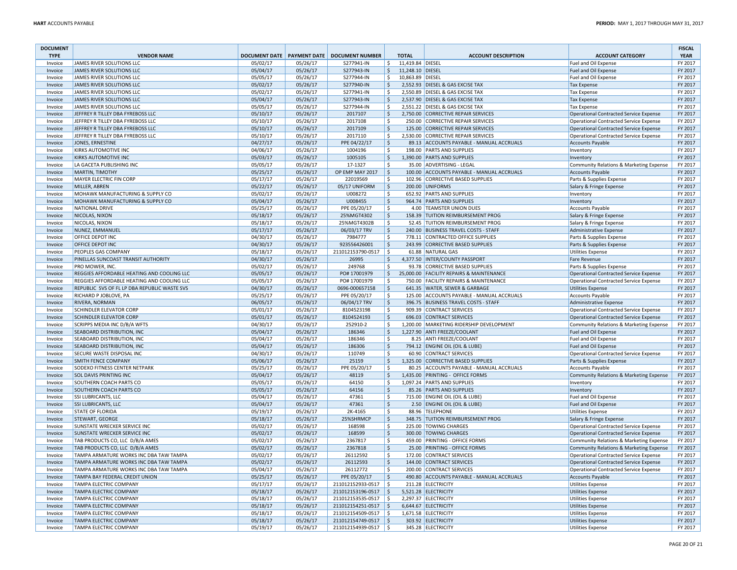| <b>DOCUMENT</b><br><b>TYPE</b> | <b>VENDOR NAME</b>                           |          |          | DOCUMENT DATE   PAYMENT DATE   DOCUMENT NUMBER |                    | <b>TOTAL</b>     | <b>ACCOUNT DESCRIPTION</b>                | <b>ACCOUNT CATEGORY</b>                       | <b>FISCAL</b><br><b>YEAR</b> |
|--------------------------------|----------------------------------------------|----------|----------|------------------------------------------------|--------------------|------------------|-------------------------------------------|-----------------------------------------------|------------------------------|
| Invoice                        | JAMES RIVER SOLUTIONS LLC                    | 05/02/17 | 05/26/17 | S277941-IN                                     | S.                 | 11,419.84 DIESEL |                                           | Fuel and Oil Expense                          | FY 2017                      |
| Invoice                        | JAMES RIVER SOLUTIONS LLC                    | 05/04/17 | 05/26/17 | S277943-IN                                     | -\$                | 11,248.10 DIESEL |                                           | Fuel and Oil Expense                          | FY 2017                      |
| Invoice                        | JAMES RIVER SOLUTIONS LLC                    | 05/05/17 | 05/26/17 | S277944-IN                                     | -\$                | 10,863.89 DIESEL |                                           | Fuel and Oil Expense                          | FY 2017                      |
| Invoice                        | JAMES RIVER SOLUTIONS LLC                    | 05/02/17 | 05/26/17 | S277940-IN                                     | <sub>\$</sub>      |                  | 2,552.93 DIESEL & GAS EXCISE TAX          | <b>Tax Expense</b>                            | FY 2017                      |
| Invoice                        | JAMES RIVER SOLUTIONS LLC                    | 05/02/17 | 05/26/17 | S277941-IN                                     | Ŝ                  |                  | 2,550.89 DIESEL & GAS EXCISE TAX          | <b>Tax Expense</b>                            | FY 2017                      |
| Invoice                        | JAMES RIVER SOLUTIONS LLC                    | 05/04/17 | 05/26/17 | S277943-IN                                     | ۱\$                |                  | 2,537.90 DIESEL & GAS EXCISE TAX          | <b>Tax Expense</b>                            | FY 2017                      |
| Invoice                        | JAMES RIVER SOLUTIONS LLC                    | 05/05/17 | 05/26/17 | S277944-IN                                     | -Ś                 |                  | 2,551.22 DIESEL & GAS EXCISE TAX          | <b>Tax Expense</b>                            | FY 2017                      |
| Invoice                        | JEFFREY R TILLEY DBA FYREBOSS LLC            | 05/10/17 | 05/26/17 | 2017107                                        | S,                 |                  | 2,750.00 CORRECTIVE REPAIR SERVICES       | Operational Contracted Service Expense        | FY 2017                      |
| Invoice                        | JEFFREY R TILLEY DBA FYREBOSS LLC            | 05/10/17 | 05/26/17 | 2017108                                        | -S                 |                  | 250.00 CORRECTIVE REPAIR SERVICES         | Operational Contracted Service Expense        | FY 2017                      |
| Invoice                        | JEFFREY R TILLEY DBA FYREBOSS LLC            | 05/10/17 | 05/26/17 | 2017109                                        | l \$               |                  | 125.00 CORRECTIVE REPAIR SERVICES         | <b>Operational Contracted Service Expense</b> | FY 2017                      |
| Invoice                        | JEFFREY R TILLEY DBA FYREBOSS LLC            | 05/10/17 | 05/26/17 | 2017110                                        | -\$                |                  | 2,530.00 CORRECTIVE REPAIR SERVICES       | Operational Contracted Service Expense        | FY 2017                      |
| Invoice                        | JONES, ERNESTINE                             | 04/27/17 | 05/26/17 | PPE 04/22/17                                   | ۱\$                |                  | 89.13 ACCOUNTS PAYABLE - MANUAL ACCRUALS  | <b>Accounts Payable</b>                       | FY 2017                      |
| Invoice                        | KIRKS AUTOMOTIVE INC                         | 04/06/17 | 05/26/17 | 1004196                                        | ۱\$                |                  | 198.00 PARTS AND SUPPLIES                 | Inventory                                     | FY 2017                      |
| Invoice                        | KIRKS AUTOMOTIVE INC                         | 05/03/17 | 05/26/17 | 1005105                                        | <sub>\$</sub>      |                  | 1,390.00 PARTS AND SUPPLIES               | Inventory                                     | FY 2017                      |
| Invoice                        | LA GACETA PUBLISHING INC                     | 05/05/17 | 05/26/17 | 17-1327                                        | -S                 |                  | 35.00 ADVERTISING - LEGAL                 | Community Relations & Marketing Expense       | FY 2017                      |
| Invoice                        | MARTIN, TIMOTHY                              | 05/25/17 | 05/26/17 | OP EMP MAY 2017                                | ۱\$                |                  | 100.00 ACCOUNTS PAYABLE - MANUAL ACCRUALS | <b>Accounts Payable</b>                       | FY 2017                      |
| Invoice                        | MAYER ELECTRIC FIN CORP                      | 05/17/17 | 05/26/17 | 22019569                                       | -\$                |                  | 102.96 CORRECTIVE BASED SUPPLIES          | Parts & Supplies Expense                      | FY 2017                      |
| Invoice                        | MILLER, ABREN                                | 05/22/17 | 05/26/17 | 05/17 UNIFORM                                  | ∣\$                |                  | 200.00 UNIFORMS                           | Salary & Fringe Expense                       | FY 2017                      |
|                                | MOHAWK MANUFACTURING & SUPPLY CO             | 05/02/17 | 05/26/17 | U008272                                        | \$                 |                  | 652.92 PARTS AND SUPPLIES                 | Inventory                                     | FY 2017                      |
| Invoice                        |                                              |          |          |                                                | l \$               |                  |                                           |                                               | FY 2017                      |
| Invoice                        | MOHAWK MANUFACTURING & SUPPLY CO             | 05/04/17 | 05/26/17 | U008455                                        |                    |                  | 964.74 PARTS AND SUPPLIES                 | Inventory                                     | FY 2017                      |
| Invoice                        | <b>NATIONAL DRIVE</b>                        | 05/25/17 | 05/26/17 | PPE 05/20/17                                   | ۱\$.               |                  | 4.00 TEAMSTER UNION DUES                  | Accounts Payable                              |                              |
| Invoice                        | NICOLAS, NIXON                               | 05/18/17 | 05/26/17 | 25%MGT4302                                     | \$                 |                  | 158.39 TUITION REIMBURSEMENT PROG         | Salary & Fringe Expense                       | FY 2017                      |
| Invoice                        | NICOLAS, NIXON                               | 05/18/17 | 05/26/17 | 25%MGT4302B                                    | ۱\$                |                  | 52.45 TUITION REIMBURSEMENT PROG          | Salary & Fringe Expense                       | FY 2017                      |
| Invoice                        | NUNEZ, EMMANUEL                              | 05/17/17 | 05/26/17 | 06/03/17 TRV                                   | <sub>\$</sub>      |                  | 240.00 BUSINESS TRAVEL COSTS - STAFF      | Administrative Expense                        | FY 2017                      |
| Invoice                        | OFFICE DEPOT INC                             | 04/30/17 | 05/26/17 | 7984777                                        | -Ś                 |                  | 778.11 CONTRACTED OFFICE SUPPLIES         | Parts & Supplies Expense                      | FY 2017                      |
| Invoice                        | OFFICE DEPOT INC                             | 04/30/17 | 05/26/17 | 923556426001                                   | ۱\$                |                  | 243.99 CORRECTIVE BASED SUPPLIES          | Parts & Supplies Expense                      | FY 2017                      |
| Invoice                        | PEOPLES GAS COMPANY                          | 05/18/17 | 05/26/17 | 211012153790-0517                              | ۱s                 |                  | 61.88 NATURAL GAS                         | <b>Utilities Expense</b>                      | FY 2017                      |
| Invoice                        | PINELLAS SUNCOAST TRANSIT AUTHORITY          | 04/30/17 | 05/26/17 | 26995                                          | \$                 |                  | 4,377.50 INTER/COUNTY PASSPORT            | Fare Revenue                                  | FY 2017                      |
| Invoice                        | PRO MOWER, INC.                              | 05/02/17 | 05/26/17 | 249768                                         | <sub>S</sub>       |                  | 93.78 CORRECTIVE BASED SUPPLIES           | Parts & Supplies Expense                      | FY 2017                      |
| Invoice                        | REGGIES AFFORDABLE HEATING AND COOLING LLC   | 05/05/17 | 05/26/17 | PO# 17001979                                   | $\mathsf{S}$       |                  | 25,000.00 FACILITY REPAIRS & MAINTENANCE  | <b>Operational Contracted Service Expense</b> | FY 2017                      |
| Invoice                        | REGGIES AFFORDABLE HEATING AND COOLING LLC   | 05/05/17 | 05/26/17 | PO# 17001979                                   | -\$                |                  | 750.00 FACILITY REPAIRS & MAINTENANCE     | Operational Contracted Service Expense        | FY 2017                      |
| Invoice                        | REPUBLIC SVS OF FL LP DBA REPUBLIC WASTE SVS | 04/30/17 | 05/26/17 | 0696-000657158                                 | ۱\$                |                  | 641.35 WATER, SEWER & GARBAGE             | <b>Utilities Expense</b>                      | FY 2017                      |
| Invoice                        | RICHARD P JOBLOVE, PA                        | 05/25/17 | 05/26/17 | PPE 05/20/17                                   | -S                 |                  | 125.00 ACCOUNTS PAYABLE - MANUAL ACCRUALS | <b>Accounts Payable</b>                       | FY 2017                      |
| Invoice                        | RIVERA, NORMAN                               | 06/05/17 | 05/26/17 | 06/04/17 TRV                                   | ۱\$                |                  | 396.75 BUSINESS TRAVEL COSTS - STAFF      | Administrative Expense                        | FY 2017                      |
| Invoice                        | SCHINDLER ELEVATOR CORP                      | 05/01/17 | 05/26/17 | 8104523198                                     | S.                 |                  | 909.39 CONTRACT SERVICES                  | Operational Contracted Service Expense        | FY 2017                      |
| Invoice                        | SCHINDLER ELEVATOR CORP                      | 05/01/17 | 05/26/17 | 8104524193                                     | ۱\$                |                  | 696.03 CONTRACT SERVICES                  | Operational Contracted Service Expense        | FY 2017                      |
| Invoice                        | SCRIPPS MEDIA INC D/B/A WFTS                 | 04/30/17 | 05/26/17 | 252910-2                                       | -Ś                 |                  | 1,200.00 MARKETING RIDERSHIP DEVELOPMENT  | Community Relations & Marketing Expense       | FY 2017                      |
| Invoice                        | <b>SEABOARD DISTRIBUTION, INC</b>            | 05/04/17 | 05/26/17 | 186346                                         | \$                 |                  | 1,227.90 ANTI FREEZE/COOLANT              | Fuel and Oil Expense                          | FY 2017                      |
| Invoice                        | SEABOARD DISTRIBUTION, INC                   | 05/04/17 | 05/26/17 | 186346                                         | <sub>S</sub>       |                  | 8.25 ANTI FREEZE/COOLANT                  | Fuel and Oil Expense                          | FY 2017                      |
| Invoice                        | SEABOARD DISTRIBUTION, INC                   | 05/04/17 | 05/26/17 | 186306                                         | $\mathsf{S}$       |                  | 794.12 ENGINE OIL (OIL & LUBE)            | <b>Fuel and Oil Expense</b>                   | FY 2017                      |
| Invoice                        | SECURE WASTE DISPOSAL INC                    | 04/30/17 | 05/26/17 | 110749                                         | \$                 |                  | 60.90 CONTRACT SERVICES                   | Operational Contracted Service Expense        | FY 2017                      |
| Invoice                        | <b>SMITH FENCE COMPANY</b>                   | 05/06/17 | 05/26/17 | 25159                                          | ۱\$                |                  | 1,325.00 CORRECTIVE BASED SUPPLIES        | Parts & Supplies Expense                      | FY 2017                      |
| Invoice                        | SODEXO FITNESS CENTER NETPARK                | 05/25/17 | 05/26/17 | PPE 05/20/17                                   | ۱\$                |                  | 80.25 ACCOUNTS PAYABLE - MANUAL ACCRUALS  | <b>Accounts Payable</b>                       | FY 2017                      |
| Invoice                        | <b>SOL DAVIS PRINTING INC</b>                | 05/04/17 | 05/26/17 | 48119                                          | <sub>\$</sub>      |                  | 1,435.00 PRINTING - OFFICE FORMS          | Community Relations & Marketing Expense       | FY 2017                      |
| Invoice                        | SOUTHERN COACH PARTS CO                      | 05/05/17 | 05/26/17 | 64150                                          | Ś                  |                  | 1,097.24 PARTS AND SUPPLIES               | Inventory                                     | FY 2017                      |
| Invoice                        | SOUTHERN COACH PARTS CO                      | 05/05/17 | 05/26/17 | 64156                                          | ۱\$                |                  | 85.26 PARTS AND SUPPLIES                  | Inventory                                     | FY 2017                      |
| Invoice                        | SSI LUBRICANTS, LLC                          | 05/04/17 | 05/26/17 | 47361                                          | \$                 |                  | 715.00 ENGINE OIL (OIL & LUBE)            | Fuel and Oil Expense                          | FY 2017                      |
| Invoice                        | <b>SSI LUBRICANTS, LLC</b>                   | 05/04/17 | 05/26/17 | 47361                                          | \$                 |                  | 2.50 ENGINE OIL (OIL & LUBE)              | Fuel and Oil Expense                          | FY 2017                      |
| Invoice                        | STATE OF FLORIDA                             | 05/19/17 | 05/26/17 | 2K-4165                                        | \$                 |                  | 88.96 TELEPHONE                           | <b>Utilities Expense</b>                      | FY 2017                      |
| Invoice                        | STEWART, GEORGE                              | 05/18/17 | 05/26/17 | 25%SHRMCP                                      | S.                 |                  | 348.75 TUITION REIMBURSEMENT PROG         | Salary & Fringe Expense                       | FY 2017                      |
| Invoice                        | SUNSTATE WRECKER SERVICE INC                 | 05/02/17 | 05/26/17 | 168598                                         | \$                 |                  | 225.00 TOWING CHARGES                     | Operational Contracted Service Expense        | FY 2017                      |
| Invoice                        | SUNSTATE WRECKER SERVICE INC                 | 05/02/17 | 05/26/17 | 168599                                         | \$                 |                  | 300.00 TOWING CHARGES                     | Operational Contracted Service Expense        | FY 2017                      |
|                                | TAB PRODUCTS CO, LLC D/B/A AMES              |          |          |                                                |                    |                  |                                           | Community Relations & Marketing Expense       |                              |
| Invoice                        |                                              | 05/02/17 | 05/26/17 | 2367817                                        | ۱\$                |                  | 459.00 PRINTING - OFFICE FORMS            |                                               | FY 2017                      |
| Invoice                        | TAB PRODUCTS CO, LLC D/B/A AMES              | 05/02/17 | 05/26/17 | 2367818                                        | $\ddot{\varsigma}$ |                  | 25.00 PRINTING - OFFICE FORMS             | Community Relations & Marketing Expense       | FY 2017                      |
| Invoice                        | TAMPA ARMATURE WORKS INC DBA TAW TAMPA       | 05/02/17 | 05/26/17 | 26112592                                       | <sub>S</sub>       |                  | 172.00 CONTRACT SERVICES                  | Operational Contracted Service Expense        | FY 2017                      |
| Invoice                        | TAMPA ARMATURE WORKS INC DBA TAW TAMPA       | 05/02/17 | 05/26/17 | 26112593                                       | ١Ş                 |                  | 144.00 CONTRACT SERVICES                  | Operational Contracted Service Expense        | FY 2017                      |
| Invoice                        | TAMPA ARMATURE WORKS INC DBA TAW TAMPA       | 05/04/17 | 05/26/17 | 26112772                                       | -\$                |                  | 200.00 CONTRACT SERVICES                  | Operational Contracted Service Expense        | FY 2017                      |
| Invoice                        | TAMPA BAY FEDERAL CREDIT UNION               | 05/25/17 | 05/26/17 | PPE 05/20/17                                   | l \$               |                  | 490.80 ACCOUNTS PAYABLE - MANUAL ACCRUALS | Accounts Payable                              | FY 2017                      |
| Invoice                        | TAMPA ELECTRIC COMPANY                       | 05/17/17 | 05/26/17 | 211012152933-0517 \$                           |                    |                  | 211.28 ELECTRICITY                        | <b>Utilities Expense</b>                      | FY 2017                      |
| Invoice                        | <b>TAMPA ELECTRIC COMPANY</b>                | 05/18/17 | 05/26/17 | 211012153196-0517 \$                           |                    |                  | 5,521.28 ELECTRICITY                      | <b>Utilities Expense</b>                      | FY 2017                      |
| Invoice                        | TAMPA ELECTRIC COMPANY                       | 05/18/17 | 05/26/17 | 211012153535-0517 \$                           |                    |                  | 2,297.37 ELECTRICITY                      | <b>Utilities Expense</b>                      | FY 2017                      |
| Invoice                        | TAMPA ELECTRIC COMPANY                       | 05/18/17 | 05/26/17 | 211012154251-0517 \$                           |                    |                  | 6,644.67 ELECTRICITY                      | <b>Utilities Expense</b>                      | FY 2017                      |
| Invoice                        | TAMPA ELECTRIC COMPANY                       | 05/18/17 | 05/26/17 | 211012154509-0517 \$                           |                    |                  | 1,671.58 ELECTRICITY                      | <b>Utilities Expense</b>                      | FY 2017                      |
| Invoice                        | TAMPA ELECTRIC COMPANY                       | 05/18/17 | 05/26/17 | 211012154749-0517 \$                           |                    |                  | 303.92 ELECTRICITY                        | <b>Utilities Expense</b>                      | FY 2017                      |
| Invoice                        | <b>TAMPA ELECTRIC COMPANY</b>                | 05/19/17 | 05/26/17 | 211012154939-0517   \$                         |                    |                  | 345.28 ELECTRICITY                        | <b>Utilities Expense</b>                      | FY 2017                      |